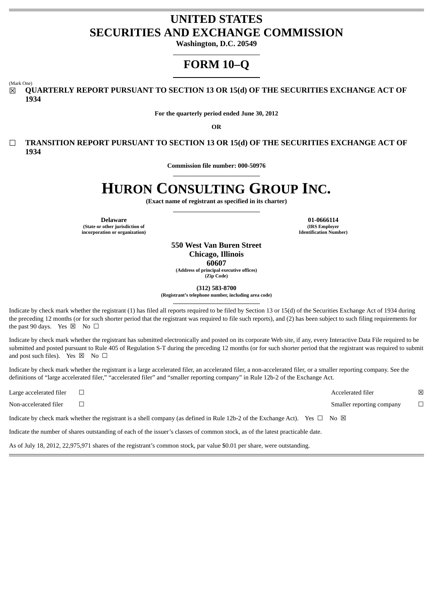# **UNITED STATES SECURITIES AND EXCHANGE COMMISSION**

**Washington, D.C. 20549**

# **FORM 10–Q**

(Mark One)

☒ **QUARTERLY REPORT PURSUANT TO SECTION 13 OR 15(d) OF THE SECURITIES EXCHANGE ACT OF 1934**

**For the quarterly period ended June 30, 2012**

**OR**

☐ **TRANSITION REPORT PURSUANT TO SECTION 13 OR 15(d) OF THE SECURITIES EXCHANGE ACT OF 1934**

**Commission file number: 000-50976**

# **HURON CONSULTING GROUP INC.**

**(Exact name of registrant as specified in its charter)**

**Delaware 01-0666114 (State or other jurisdiction of**

**incorporation or organization)**

**(IRS Employer Identification Number)**

**550 West Van Buren Street Chicago, Illinois 60607 (Address of principal executive offices) (Zip Code)**

**(312) 583-8700**

**(Registrant's telephone number, including area code)**

Indicate by check mark whether the registrant (1) has filed all reports required to be filed by Section 13 or 15(d) of the Securities Exchange Act of 1934 during the preceding 12 months (or for such shorter period that the registrant was required to file such reports), and (2) has been subject to such filing requirements for the past 90 days. Yes  $\boxtimes$  No  $\Box$ 

Indicate by check mark whether the registrant has submitted electronically and posted on its corporate Web site, if any, every Interactive Data File required to be submitted and posted pursuant to Rule 405 of Regulation S-T during the preceding 12 months (or for such shorter period that the registrant was required to submit and post such files). Yes  $\boxtimes$  No  $\Box$ 

Indicate by check mark whether the registrant is a large accelerated filer, an accelerated filer, a non-accelerated filer, or a smaller reporting company. See the definitions of "large accelerated filer," "accelerated filer" and "smaller reporting company" in Rule 12b-2 of the Exchange Act.

| Large accelerated filer                                                                                                       |                                                                                                                                            | Accelerated filer         | ⊠      |  |
|-------------------------------------------------------------------------------------------------------------------------------|--------------------------------------------------------------------------------------------------------------------------------------------|---------------------------|--------|--|
| Non-accelerated filer                                                                                                         |                                                                                                                                            | Smaller reporting company | $\Box$ |  |
|                                                                                                                               | Indicate by check mark whether the registrant is a shell company (as defined in Rule 12b-2 of the Exchange Act). Yes $\Box$ No $\boxtimes$ |                           |        |  |
| Indicate the number of shares outstanding of each of the issuer's classes of common stock, as of the latest practicable date. |                                                                                                                                            |                           |        |  |

As of July 18, 2012, 22,975,971 shares of the registrant's common stock, par value \$0.01 per share, were outstanding.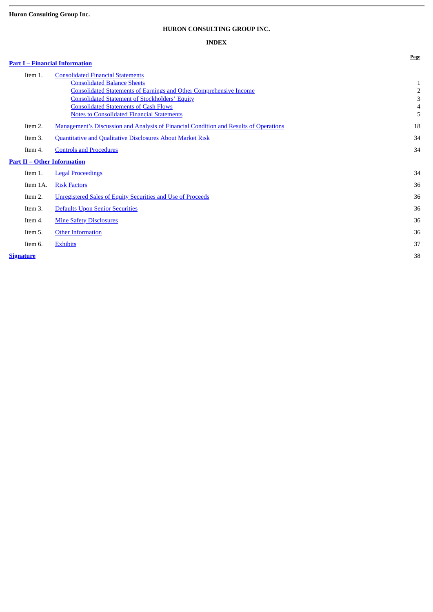# **Huron Consulting Group Inc.**

# **HURON CONSULTING GROUP INC.**

# **INDEX**

**Page**

# **[Part I – Financial Information](#page-2-0)**

| Item 1.                            | <b>Consolidated Financial Statements</b>                                                     |              |
|------------------------------------|----------------------------------------------------------------------------------------------|--------------|
|                                    | <b>Consolidated Balance Sheets</b>                                                           | $\mathbf{1}$ |
|                                    | <b>Consolidated Statements of Earnings and Other Comprehensive Income</b>                    | 2            |
|                                    | <b>Consolidated Statement of Stockholders' Equity</b>                                        | 3            |
|                                    | <b>Consolidated Statements of Cash Flows</b>                                                 | 4            |
|                                    | <b>Notes to Consolidated Financial Statements</b>                                            | 5            |
| Item 2.                            | <b>Management's Discussion and Analysis of Financial Condition and Results of Operations</b> | 18           |
| Item 3.                            | <b>Quantitative and Qualitative Disclosures About Market Risk</b>                            | 34           |
| Item 4.                            | <b>Controls and Procedures</b>                                                               | 34           |
| <b>Part II – Other Information</b> |                                                                                              |              |
| Item 1.                            | <b>Legal Proceedings</b>                                                                     | 34           |
| Item 1A.                           | <b>Risk Factors</b>                                                                          | 36           |
| Item 2.                            | <b>Unregistered Sales of Equity Securities and Use of Proceeds</b>                           | 36           |
| Item 3.                            | Defaults Upon Senior Securities                                                              | 36           |
| Item 4.                            | <b>Mine Safety Disclosures</b>                                                               | 36           |
| Item 5.                            | <b>Other Information</b>                                                                     | 36           |
| Item 6.                            | <b>Exhibits</b>                                                                              | 37           |
| Signature                          |                                                                                              | 38           |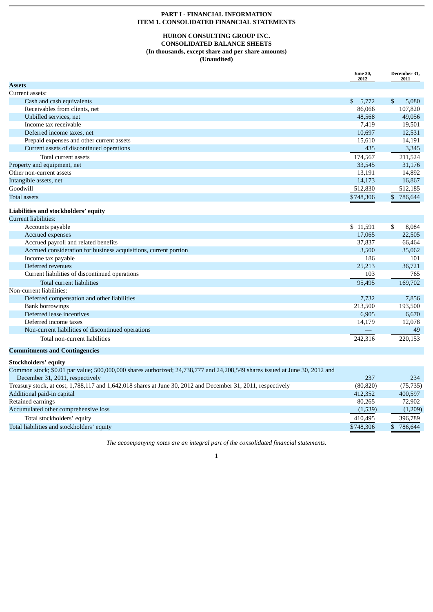# **PART I - FINANCIAL INFORMATION ITEM 1. CONSOLIDATED FINANCIAL STATEMENTS**

# **HURON CONSULTING GROUP INC. CONSOLIDATED BALANCE SHEETS (In thousands, except share and per share amounts) (Unaudited)**

<span id="page-2-2"></span><span id="page-2-1"></span><span id="page-2-0"></span>

|                                                                                                                             | <b>June 30,</b><br>2012 | December 31,<br>2011    |
|-----------------------------------------------------------------------------------------------------------------------------|-------------------------|-------------------------|
| <b>Assets</b>                                                                                                               |                         |                         |
| Current assets:                                                                                                             |                         |                         |
| Cash and cash equivalents                                                                                                   | 5.772<br>\$             | $\mathbf S$<br>5,080    |
| Receivables from clients, net                                                                                               | 86,066                  | 107,820                 |
| Unbilled services, net                                                                                                      | 48,568                  | 49,056                  |
| Income tax receivable                                                                                                       | 7,419                   | 19,501                  |
| Deferred income taxes, net                                                                                                  | 10,697                  | 12,531                  |
| Prepaid expenses and other current assets                                                                                   | 15,610                  | 14,191                  |
| Current assets of discontinued operations                                                                                   | 435                     | 3,345                   |
| Total current assets                                                                                                        | 174,567                 | 211,524                 |
| Property and equipment, net                                                                                                 | 33,545                  | 31,176                  |
| Other non-current assets                                                                                                    | 13,191                  | 14,892                  |
| Intangible assets, net                                                                                                      | 14,173                  | 16,867                  |
| Goodwill                                                                                                                    | 512,830                 | 512,185                 |
| <b>Total assets</b>                                                                                                         | \$748,306               | $\mathbb{S}$<br>786,644 |
| Liabilities and stockholders' equity                                                                                        |                         |                         |
| <b>Current liabilities:</b>                                                                                                 |                         |                         |
| Accounts payable                                                                                                            | \$11,591                | \$<br>8,084             |
| Accrued expenses                                                                                                            | 17,065                  | 22,505                  |
| Accrued payroll and related benefits                                                                                        | 37,837                  | 66,464                  |
| Accrued consideration for business acquisitions, current portion                                                            | 3,500                   | 35,062                  |
| Income tax payable                                                                                                          | 186                     | 101                     |
| Deferred revenues                                                                                                           | 25,213                  | 36,721                  |
| Current liabilities of discontinued operations                                                                              | 103                     | 765                     |
| <b>Total current liabilities</b>                                                                                            | 95,495                  | 169,702                 |
| Non-current liabilities:                                                                                                    |                         |                         |
| Deferred compensation and other liabilities                                                                                 | 7,732                   | 7,856                   |
| <b>Bank borrowings</b>                                                                                                      | 213,500                 | 193,500                 |
| Deferred lease incentives                                                                                                   | 6,905                   | 6,670                   |
| Deferred income taxes                                                                                                       | 14,179                  | 12,078                  |
| Non-current liabilities of discontinued operations                                                                          |                         | 49                      |
| Total non-current liabilities                                                                                               | 242,316                 | 220,153                 |
| <b>Commitments and Contingencies</b>                                                                                        |                         |                         |
| <b>Stockholders' equity</b>                                                                                                 |                         |                         |
| Common stock; \$0.01 par value; 500,000,000 shares authorized; 24,738,777 and 24,208,549 shares issued at June 30, 2012 and |                         |                         |
| December 31, 2011, respectively                                                                                             | 237                     | 234                     |
|                                                                                                                             |                         |                         |

| December 31, 2011, respectively                                                                              | 231       | 204       |
|--------------------------------------------------------------------------------------------------------------|-----------|-----------|
| Treasury stock, at cost, 1,788,117 and 1,642,018 shares at June 30, 2012 and December 31, 2011, respectively | (80, 820) | (75, 735) |
| Additional paid-in capital                                                                                   | 412,352   | 400,597   |
| Retained earnings                                                                                            | 80.265    | 72.902    |
| Accumulated other comprehensive loss                                                                         | (1,539)   | (1,209)   |
| Total stockholders' equity                                                                                   | 410.495   | 396,789   |
| Total liabilities and stockholders' equity                                                                   | \$748,306 | 786,644   |

*The accompanying notes are an integral part of the consolidated financial statements.*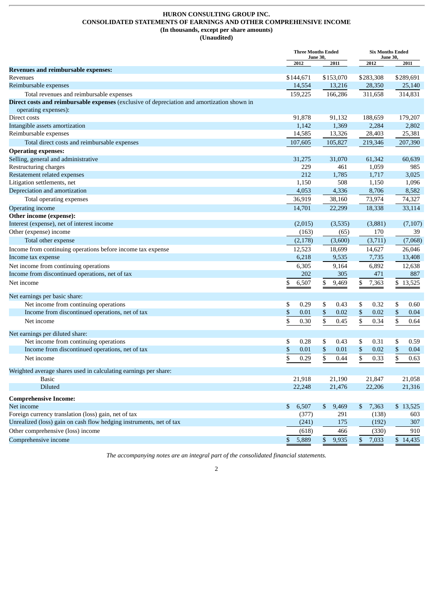# **HURON CONSULTING GROUP INC. CONSOLIDATED STATEMENTS OF EARNINGS AND OTHER COMPREHENSIVE INCOME (In thousands, except per share amounts) (Unaudited)**

<span id="page-3-0"></span>

|                                                                                                                     | <b>Three Months Ended</b><br><b>June 30,</b> |                       | <b>Six Months Ended</b><br><b>June 30,</b> |            |
|---------------------------------------------------------------------------------------------------------------------|----------------------------------------------|-----------------------|--------------------------------------------|------------|
|                                                                                                                     | 2012                                         | 2011                  | 2012                                       | 2011       |
| <b>Revenues and reimbursable expenses:</b>                                                                          |                                              |                       |                                            |            |
| Revenues                                                                                                            | \$144,671                                    | \$153,070             | \$283,308                                  | \$289,691  |
| Reimbursable expenses                                                                                               | 14,554                                       | 13,216                | 28,350                                     | 25,140     |
| Total revenues and reimbursable expenses                                                                            | 159,225                                      | 166,286               | 311,658                                    | 314,831    |
| Direct costs and reimbursable expenses (exclusive of depreciation and amortization shown in<br>operating expenses): |                                              |                       |                                            |            |
| Direct costs                                                                                                        | 91,878                                       | 91,132                | 188,659                                    | 179,207    |
| Intangible assets amortization                                                                                      | 1,142                                        | 1,369                 | 2,284                                      | 2,802      |
| Reimbursable expenses                                                                                               | 14,585                                       | 13,326                | 28,403                                     | 25,381     |
| Total direct costs and reimbursable expenses                                                                        | 107,605                                      | 105,827               | 219,346                                    | 207,390    |
| <b>Operating expenses:</b>                                                                                          |                                              |                       |                                            |            |
| Selling, general and administrative                                                                                 | 31,275                                       | 31,070                | 61,342                                     | 60,639     |
| Restructuring charges                                                                                               | 229                                          | 461                   | 1,059                                      | 985        |
| Restatement related expenses                                                                                        | 212                                          | 1,785                 | 1,717                                      | 3,025      |
| Litigation settlements, net                                                                                         | 1,150                                        | 508                   | 1,150                                      | 1,096      |
| Depreciation and amortization                                                                                       | 4,053                                        | 4,336                 | 8,706                                      | 8,582      |
| Total operating expenses                                                                                            | 36,919                                       | 38,160                | 73,974                                     | 74,327     |
| <b>Operating income</b>                                                                                             | 14,701                                       | 22,299                | 18,338                                     | 33,114     |
| Other income (expense):                                                                                             |                                              |                       |                                            |            |
| Interest (expense), net of interest income                                                                          | (2,015)                                      | (3,535)               | (3,881)                                    | (7, 107)   |
| Other (expense) income                                                                                              | (163)                                        | (65)                  | 170                                        | 39         |
| Total other expense                                                                                                 | (2,178)                                      | (3,600)               | (3,711)                                    | (7,068)    |
| Income from continuing operations before income tax expense                                                         | 12,523                                       | 18,699                | 14,627                                     | 26,046     |
| Income tax expense                                                                                                  | 6,218                                        | 9,535                 | 7,735                                      | 13,408     |
| Net income from continuing operations                                                                               | 6,305                                        | 9,164                 | 6,892                                      | 12,638     |
| Income from discontinued operations, net of tax                                                                     | 202                                          | 305                   | 471                                        | 887        |
| Net income                                                                                                          | \$<br>6,507                                  | 9,469<br>\$           | \$<br>7,363                                | \$13,525   |
| Net earnings per basic share:                                                                                       |                                              |                       |                                            |            |
| Net income from continuing operations                                                                               | 0.29<br>\$                                   | \$<br>0.43            | 0.32<br>\$                                 | \$<br>0.60 |
| Income from discontinued operations, net of tax                                                                     | \$<br>0.01                                   | \$<br>0.02            | \$<br>0.02                                 | \$<br>0.04 |
| Net income                                                                                                          | \$<br>0.30                                   | \$<br>0.45            | \$<br>0.34                                 | \$<br>0.64 |
| Net earnings per diluted share:                                                                                     |                                              |                       |                                            |            |
| Net income from continuing operations                                                                               | \$<br>0.28                                   | \$<br>0.43            | \$<br>0.31                                 | \$<br>0.59 |
| Income from discontinued operations, net of tax                                                                     | \$<br>0.01                                   | \$<br>0.01            | \$<br>0.02                                 | \$<br>0.04 |
| Net income                                                                                                          | \$<br>0.29                                   | \$<br>0.44            | \$<br>0.33                                 | \$<br>0.63 |
| Weighted average shares used in calculating earnings per share:                                                     |                                              |                       |                                            |            |
| Basic                                                                                                               | 21,918                                       | 21,190                | 21,847                                     | 21,058     |
| Diluted                                                                                                             | 22,248                                       | 21,476                | 22,206                                     | 21,316     |
| <b>Comprehensive Income:</b>                                                                                        |                                              |                       |                                            |            |
| Net income                                                                                                          | 6,507<br>\$                                  | 9,469<br>$\mathbb{S}$ | \$<br>7,363                                | \$13,525   |
| Foreign currency translation (loss) gain, net of tax                                                                | (377)                                        | 291                   | (138)                                      | 603        |
| Unrealized (loss) gain on cash flow hedging instruments, net of tax                                                 | (241)                                        | 175                   | (192)                                      | 307        |
| Other comprehensive (loss) income                                                                                   | (618)                                        | 466                   | (330)                                      | 910        |
| Comprehensive income                                                                                                | 5,889<br>\$                                  | 9,935<br>\$           | \$<br>7,033                                | \$14,435   |

*The accompanying notes are an integral part of the consolidated financial statements.*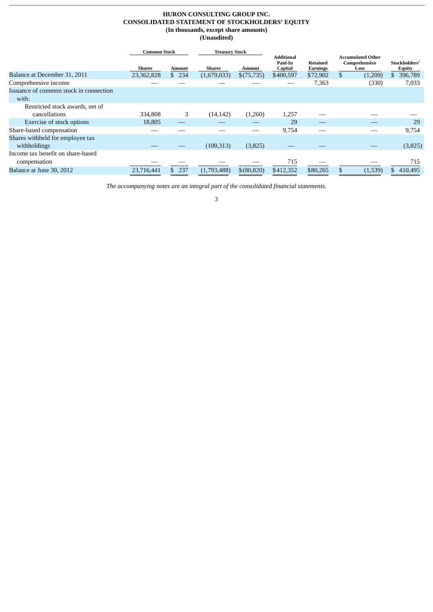#### **HURON CONSULTING GROUP INC. CONSOLIDATED STATEMENT OF STOCKHOLDERS' EQUITY (In thousands, except share amounts) (Unaudited)**

<span id="page-4-0"></span>

|                                                 | <b>Common Stock</b> |               |               | <b>Treasury Stock</b> |                                         |                      |    |                                                   |                         |
|-------------------------------------------------|---------------------|---------------|---------------|-----------------------|-----------------------------------------|----------------------|----|---------------------------------------------------|-------------------------|
|                                                 | <b>Shares</b>       | <b>Amount</b> | <b>Shares</b> | Amount                | <b>Additional</b><br>Paid-In<br>Capital | Retained<br>Earnings |    | <b>Accumulated Other</b><br>Comprehensive<br>Loss | Stockholders'<br>Equity |
| Balance at December 31, 2011                    | 23,362,828          | 234<br>\$     | (1,679,033)   | \$(75,735)            | \$400,597                               | \$72,902             | \$ | (1,209)                                           | 396,789<br>S.           |
| Comprehensive income                            |                     |               |               |                       |                                         | 7,363                |    | (330)                                             | 7,033                   |
| Issuance of common stock in connection<br>with: |                     |               |               |                       |                                         |                      |    |                                                   |                         |
| Restricted stock awards, net of                 |                     |               |               |                       |                                         |                      |    |                                                   |                         |
| cancellations                                   | 334,808             | 3             | (14, 142)     | (1,260)               | 1,257                                   |                      |    |                                                   |                         |
| Exercise of stock options                       | 18,805              |               |               |                       | 29                                      |                      |    |                                                   | 29                      |
| Share-based compensation                        |                     |               |               |                       | 9,754                                   |                      |    |                                                   | 9,754                   |
| Shares withheld for employee tax                |                     |               |               |                       |                                         |                      |    |                                                   |                         |
| withholdings                                    |                     |               | (100, 313)    | (3,825)               |                                         |                      |    |                                                   | (3,825)                 |
| Income tax benefit on share-based               |                     |               |               |                       |                                         |                      |    |                                                   |                         |
| compensation                                    |                     |               |               |                       | 715                                     |                      |    |                                                   | 715                     |
| Balance at June 30, 2012                        | 23,716,441          | 237           | (1,793,488)   | \$(80, 820)           | \$412,352                               | \$80,265             |    | (1,539)                                           | 410,495                 |

*The accompanying notes are an integral part of the consolidated financial statements.*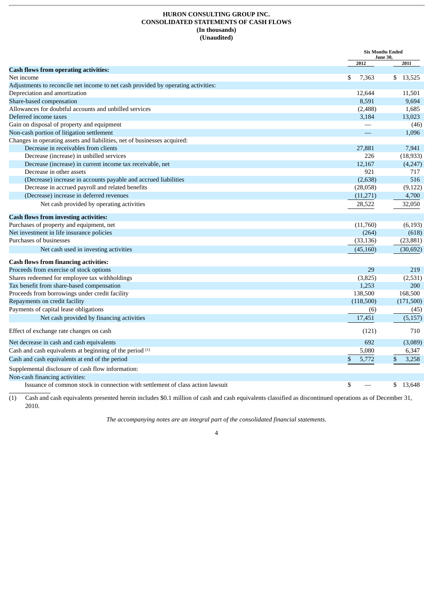# **HURON CONSULTING GROUP INC. CONSOLIDATED STATEMENTS OF CASH FLOWS (In thousands) (Unaudited)**

<span id="page-5-0"></span>

|                                                                                   | <b>Six Months Ended</b> | <b>June 30,</b>      |
|-----------------------------------------------------------------------------------|-------------------------|----------------------|
|                                                                                   | 2012                    | 2011                 |
| <b>Cash flows from operating activities:</b>                                      |                         |                      |
| Net income                                                                        | \$<br>7,363             | \$13,525             |
| Adjustments to reconcile net income to net cash provided by operating activities: |                         |                      |
| Depreciation and amortization                                                     | 12,644                  | 11,501               |
| Share-based compensation                                                          | 8.591                   | 9.694                |
| Allowances for doubtful accounts and unbilled services                            | (2,488)                 | 1,685                |
| Deferred income taxes                                                             | 3,184                   | 13,023               |
| Gain on disposal of property and equipment                                        |                         | (46)                 |
| Non-cash portion of litigation settlement                                         |                         | 1,096                |
| Changes in operating assets and liabilities, net of businesses acquired:          |                         |                      |
| Decrease in receivables from clients                                              | 27,881                  | 7,941                |
| Decrease (increase) in unbilled services                                          | 226                     | (18, 933)            |
| Decrease (increase) in current income tax receivable, net                         | 12,167                  | (4,247)              |
| Decrease in other assets                                                          | 921                     | 717                  |
| (Decrease) increase in accounts payable and accrued liabilities                   | (2,638)                 | 516                  |
| Decrease in accrued payroll and related benefits                                  | (28,058)                | (9, 122)             |
| (Decrease) increase in deferred revenues                                          | (11,271)                | 4,700                |
| Net cash provided by operating activities                                         | 28,522                  | 32,050               |
| <b>Cash flows from investing activities:</b>                                      |                         |                      |
| Purchases of property and equipment, net                                          | (11,760)                | (6, 193)             |
| Net investment in life insurance policies                                         | (264)                   | (618)                |
| Purchases of businesses                                                           | (33, 136)               | (23, 881)            |
| Net cash used in investing activities                                             | (45, 160)               | (30,692)             |
| <b>Cash flows from financing activities:</b>                                      |                         |                      |
| Proceeds from exercise of stock options                                           | 29                      | 219                  |
| Shares redeemed for employee tax withholdings                                     | (3,825)                 | (2,531)              |
| Tax benefit from share-based compensation                                         | 1,253                   | 200                  |
| Proceeds from borrowings under credit facility                                    | 138,500                 | 168,500              |
| Repayments on credit facility                                                     | (118,500)               | (171,500)            |
| Payments of capital lease obligations                                             | (6)                     | (45)                 |
| Net cash provided by financing activities                                         | 17,451                  | (5, 157)             |
| Effect of exchange rate changes on cash                                           | (121)                   | 710                  |
| Net decrease in cash and cash equivalents                                         | 692                     | (3,089)              |
| Cash and cash equivalents at beginning of the period (1)                          | 5,080                   | 6,347                |
| Cash and cash equivalents at end of the period                                    | \$<br>5,772             | $\mathbf S$<br>3,258 |
| Supplemental disclosure of cash flow information:                                 |                         |                      |
| Non-cash financing activities:                                                    |                         |                      |
| Issuance of common stock in connection with settlement of class action lawsuit    | \$                      | \$13,648             |

(1) Cash and cash equivalents presented herein includes \$0.1 million of cash and cash equivalents classified as discontinued operations as of December 31, 2010.

*The accompanying notes are an integral part of the consolidated financial statements.*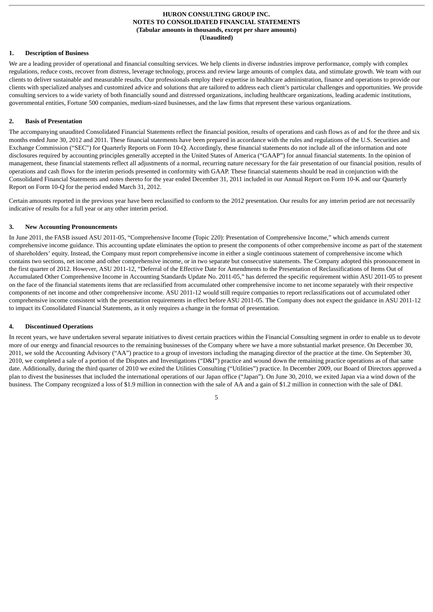# <span id="page-6-0"></span>**1. Description of Business**

We are a leading provider of operational and financial consulting services. We help clients in diverse industries improve performance, comply with complex regulations, reduce costs, recover from distress, leverage technology, process and review large amounts of complex data, and stimulate growth. We team with our clients to deliver sustainable and measurable results. Our professionals employ their expertise in healthcare administration, finance and operations to provide our clients with specialized analyses and customized advice and solutions that are tailored to address each client's particular challenges and opportunities. We provide consulting services to a wide variety of both financially sound and distressed organizations, including healthcare organizations, leading academic institutions, governmental entities, Fortune 500 companies, medium-sized businesses, and the law firms that represent these various organizations.

#### **2. Basis of Presentation**

The accompanying unaudited Consolidated Financial Statements reflect the financial position, results of operations and cash flows as of and for the three and six months ended June 30, 2012 and 2011. These financial statements have been prepared in accordance with the rules and regulations of the U.S. Securities and Exchange Commission ("SEC") for Quarterly Reports on Form 10-Q. Accordingly, these financial statements do not include all of the information and note disclosures required by accounting principles generally accepted in the United States of America ("GAAP") for annual financial statements. In the opinion of management, these financial statements reflect all adjustments of a normal, recurring nature necessary for the fair presentation of our financial position, results of operations and cash flows for the interim periods presented in conformity with GAAP. These financial statements should be read in conjunction with the Consolidated Financial Statements and notes thereto for the year ended December 31, 2011 included in our Annual Report on Form 10-K and our Quarterly Report on Form 10-Q for the period ended March 31, 2012.

Certain amounts reported in the previous year have been reclassified to conform to the 2012 presentation. Our results for any interim period are not necessarily indicative of results for a full year or any other interim period.

#### **3. New Accounting Pronouncements**

In June 2011, the FASB issued ASU 2011-05, "Comprehensive Income (Topic 220): Presentation of Comprehensive Income," which amends current comprehensive income guidance. This accounting update eliminates the option to present the components of other comprehensive income as part of the statement of shareholders' equity. Instead, the Company must report comprehensive income in either a single continuous statement of comprehensive income which contains two sections, net income and other comprehensive income, or in two separate but consecutive statements. The Company adopted this pronouncement in the first quarter of 2012. However, ASU 2011-12, "Deferral of the Effective Date for Amendments to the Presentation of Reclassifications of Items Out of Accumulated Other Comprehensive Income in Accounting Standards Update No. 2011-05," has deferred the specific requirement within ASU 2011-05 to present on the face of the financial statements items that are reclassified from accumulated other comprehensive income to net income separately with their respective components of net income and other comprehensive income. ASU 2011-12 would still require companies to report reclassifications out of accumulated other comprehensive income consistent with the presentation requirements in effect before ASU 2011-05. The Company does not expect the guidance in ASU 2011-12 to impact its Consolidated Financial Statements, as it only requires a change in the format of presentation.

#### **4. Discontinued Operations**

In recent years, we have undertaken several separate initiatives to divest certain practices within the Financial Consulting segment in order to enable us to devote more of our energy and financial resources to the remaining businesses of the Company where we have a more substantial market presence. On December 30, 2011, we sold the Accounting Advisory ("AA") practice to a group of investors including the managing director of the practice at the time. On September 30, 2010, we completed a sale of a portion of the Disputes and Investigations ("D&I") practice and wound down the remaining practice operations as of that same date. Additionally, during the third quarter of 2010 we exited the Utilities Consulting ("Utilities") practice. In December 2009, our Board of Directors approved a plan to divest the businesses that included the international operations of our Japan office ("Japan"). On June 30, 2010, we exited Japan via a wind down of the business. The Company recognized a loss of \$1.9 million in connection with the sale of AA and a gain of \$1.2 million in connection with the sale of D&I.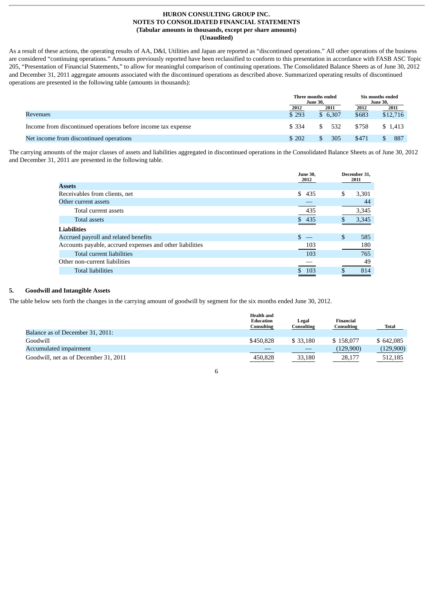As a result of these actions, the operating results of AA, D&I, Utilities and Japan are reported as "discontinued operations." All other operations of the business are considered "continuing operations." Amounts previously reported have been reclassified to conform to this presentation in accordance with FASB ASC Topic 205, "Presentation of Financial Statements," to allow for meaningful comparison of continuing operations. The Consolidated Balance Sheets as of June 30, 2012 and December 31, 2011 aggregate amounts associated with the discontinued operations as described above. Summarized operating results of discontinued operations are presented in the following table (amounts in thousands):

|                                                               |        | Three months ended<br><b>June 30.</b> | Six months ended<br><b>June 30,</b> |          |
|---------------------------------------------------------------|--------|---------------------------------------|-------------------------------------|----------|
|                                                               | 2012   | 2011                                  | 2012                                | 2011     |
| Revenues                                                      | \$293  | \$6,307                               | \$683                               | \$12,716 |
| Income from discontinued operations before income tax expense | \$ 334 | 532                                   | \$758                               | \$1,413  |
| Net income from discontinued operations                       | \$202  | 305                                   | \$471                               | 887      |

The carrying amounts of the major classes of assets and liabilities aggregated in discontinued operations in the Consolidated Balance Sheets as of June 30, 2012 and December 31, 2011 are presented in the following table.

|                                                          | <b>June 30.</b><br>2012 | December 31,<br>2011 |
|----------------------------------------------------------|-------------------------|----------------------|
| <b>Assets</b>                                            |                         |                      |
| Receivables from clients, net                            | \$<br>435               | \$<br>3,301          |
| Other current assets                                     |                         | 44                   |
| Total current assets                                     | 435                     | 3,345                |
| Total assets                                             | \$435                   | 3,345                |
| <b>Liabilities</b>                                       |                         |                      |
| Accrued payroll and related benefits                     | \$                      | \$<br>585            |
| Accounts payable, accrued expenses and other liabilities | 103                     | 180                  |
| Total current liabilities                                | 103                     | 765                  |
| Other non-current liabilities                            |                         | 49                   |
| <b>Total liabilities</b>                                 | 103                     | 814                  |

# **5. Goodwill and Intangible Assets**

The table below sets forth the changes in the carrying amount of goodwill by segment for the six months ended June 30, 2012.

|                                       | <b>Health and</b><br>Education<br>Consulting | Legal<br>Consulting | Financial<br><b>Consulting</b> | Total     |
|---------------------------------------|----------------------------------------------|---------------------|--------------------------------|-----------|
| Balance as of December 31, 2011:      |                                              |                     |                                |           |
| Goodwill                              | \$450,828                                    | \$33,180            | \$158,077                      | \$642,085 |
| Accumulated impairment                |                                              |                     | (129,900)                      | (129,900) |
| Goodwill, net as of December 31, 2011 | 450,828                                      | 33,180              | 28,177                         | 512,185   |

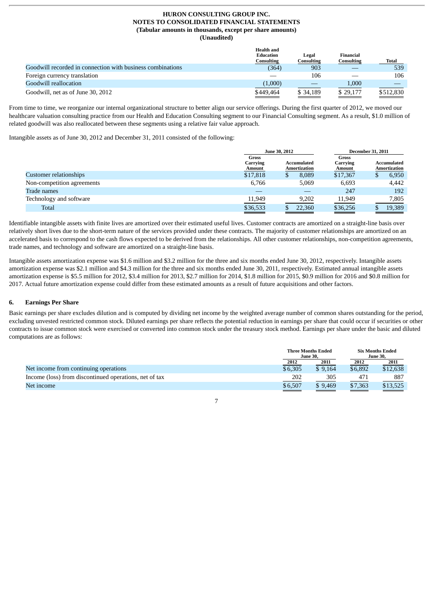|                                                            | <b>Health and</b><br><b>Education</b><br>Consulting | Legal<br>Consulting | Financial<br>Consulting | Total     |
|------------------------------------------------------------|-----------------------------------------------------|---------------------|-------------------------|-----------|
| Goodwill recorded in connection with business combinations | (364)                                               | 903                 |                         | 539       |
| Foreign currency translation                               |                                                     | 106                 |                         | 106       |
| Goodwill reallocation                                      | (1,000)                                             |                     | 1,000                   |           |
| Goodwill, net as of June 30, 2012                          | \$449.464                                           | \$34.189            | \$29,177                | \$512,830 |

From time to time, we reorganize our internal organizational structure to better align our service offerings. During the first quarter of 2012, we moved our healthcare valuation consulting practice from our Health and Education Consulting segment to our Financial Consulting segment. As a result, \$1.0 million of related goodwill was also reallocated between these segments using a relative fair value approach.

Intangible assets as of June 30, 2012 and December 31, 2011 consisted of the following:

|                            |                             | June 30, 2012               | <b>December 31, 2011</b>    |                                           |  |
|----------------------------|-----------------------------|-----------------------------|-----------------------------|-------------------------------------------|--|
|                            | Gross<br>Carrying<br>Amount | Accumulated<br>Amortization | Gross<br>Carrying<br>Amount | <b>Accumulated</b><br><b>Amortization</b> |  |
| Customer relationships     | \$17,818                    | 8.089                       | \$17,367                    | 6,950<br>D                                |  |
| Non-competition agreements | 6,766                       | 5,069                       | 6,693                       | 4,442                                     |  |
| Trade names                |                             |                             | 247                         | 192                                       |  |
| Technology and software    | 11,949                      | 9.202                       | 11,949                      | 7,805                                     |  |
| <b>Total</b>               | \$36,533                    | 22.360                      | \$36,256                    | 19,389                                    |  |

Identifiable intangible assets with finite lives are amortized over their estimated useful lives. Customer contracts are amortized on a straight-line basis over relatively short lives due to the short-term nature of the services provided under these contracts. The majority of customer relationships are amortized on an accelerated basis to correspond to the cash flows expected to be derived from the relationships. All other customer relationships, non-competition agreements, trade names, and technology and software are amortized on a straight-line basis.

Intangible assets amortization expense was \$1.6 million and \$3.2 million for the three and six months ended June 30, 2012, respectively. Intangible assets amortization expense was \$2.1 million and \$4.3 million for the three and six months ended June 30, 2011, respectively. Estimated annual intangible assets amortization expense is \$5.5 million for 2012, \$3.4 million for 2013, \$2.7 million for 2014, \$1.8 million for 2015, \$0.9 million for 2016 and \$0.8 million for 2017. Actual future amortization expense could differ from these estimated amounts as a result of future acquisitions and other factors.

# **6. Earnings Per Share**

Basic earnings per share excludes dilution and is computed by dividing net income by the weighted average number of common shares outstanding for the period, excluding unvested restricted common stock. Diluted earnings per share reflects the potential reduction in earnings per share that could occur if securities or other contracts to issue common stock were exercised or converted into common stock under the treasury stock method. Earnings per share under the basic and diluted computations are as follows:

|                                                        | <b>Three Months Ended</b><br><b>June 30,</b> |         | <b>Six Months Ended</b><br><b>June 30.</b> |          |
|--------------------------------------------------------|----------------------------------------------|---------|--------------------------------------------|----------|
|                                                        | 2012                                         | 2011    | 2012                                       | 2011     |
| Net income from continuing operations                  | \$6,305                                      | \$9.164 | \$6,892                                    | \$12,638 |
| Income (loss) from discontinued operations, net of tax | 202                                          | 305     | 471                                        | 887      |
| Net income                                             | \$6.507                                      | \$9,469 | \$7,363                                    | \$13,525 |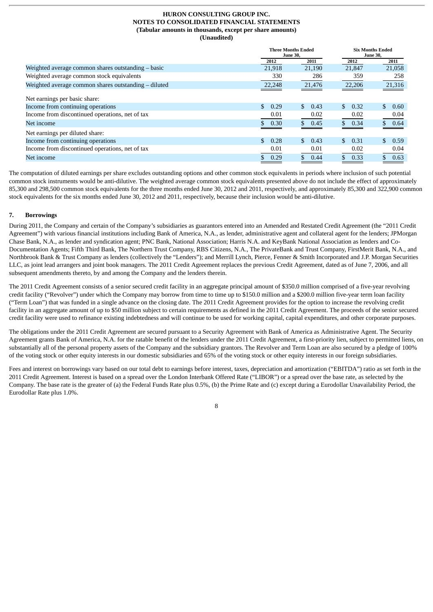|                                                      |                       | <b>Three Months Ended</b><br><b>June 30,</b> | <b>Six Months Ended</b><br><b>June 30,</b> |             |
|------------------------------------------------------|-----------------------|----------------------------------------------|--------------------------------------------|-------------|
|                                                      | 2012                  | 2011                                         | 2012                                       | 2011        |
| Weighted average common shares outstanding $-$ basic | 21,918                | 21,190                                       | 21.847                                     | 21,058      |
| Weighted average common stock equivalents            | 330                   | 286                                          | 359                                        | 258         |
| Weighted average common shares outstanding - diluted | 22,248                | 21,476                                       | 22,206                                     | 21,316      |
| Net earnings per basic share:                        |                       |                                              |                                            |             |
| Income from continuing operations                    | SS.<br>0.29           | $\mathcal{S}$<br>0.43                        | $\mathbf{s}$<br>0.32                       | \$.<br>0.60 |
| Income from discontinued operations, net of tax      | 0.01                  | 0.02                                         | 0.02                                       | 0.04        |
| Net income                                           | 0.30                  | \$0.45                                       | \$0.34                                     | \$0.64      |
| Net earnings per diluted share:                      |                       |                                              |                                            |             |
| Income from continuing operations                    | $\mathcal{S}$<br>0.28 | $\mathbb{S}$<br>0.43                         | $\mathbb{S}^-$<br>0.31                     | \$0.59      |
| Income from discontinued operations, net of tax      | 0.01                  | 0.01                                         | 0.02                                       | 0.04        |
| Net income                                           | 0.29                  | 0.44                                         | 0.33                                       | 0.63        |

The computation of diluted earnings per share excludes outstanding options and other common stock equivalents in periods where inclusion of such potential common stock instruments would be anti-dilutive. The weighted average common stock equivalents presented above do not include the effect of approximately 85,300 and 298,500 common stock equivalents for the three months ended June 30, 2012 and 2011, respectively, and approximately 85,300 and 322,900 common stock equivalents for the six months ended June 30, 2012 and 2011, respectively, because their inclusion would be anti-dilutive.

#### **7. Borrowings**

During 2011, the Company and certain of the Company's subsidiaries as guarantors entered into an Amended and Restated Credit Agreement (the "2011 Credit Agreement") with various financial institutions including Bank of America, N.A., as lender, administrative agent and collateral agent for the lenders; JPMorgan Chase Bank, N.A., as lender and syndication agent; PNC Bank, National Association; Harris N.A. and KeyBank National Association as lenders and Co-Documentation Agents; Fifth Third Bank, The Northern Trust Company, RBS Citizens, N.A., The PrivateBank and Trust Company, FirstMerit Bank, N.A., and Northbrook Bank & Trust Company as lenders (collectively the "Lenders"); and Merrill Lynch, Pierce, Fenner & Smith Incorporated and J.P. Morgan Securities LLC, as joint lead arrangers and joint book managers. The 2011 Credit Agreement replaces the previous Credit Agreement, dated as of June 7, 2006, and all subsequent amendments thereto, by and among the Company and the lenders therein.

The 2011 Credit Agreement consists of a senior secured credit facility in an aggregate principal amount of \$350.0 million comprised of a five-year revolving credit facility ("Revolver") under which the Company may borrow from time to time up to \$150.0 million and a \$200.0 million five-year term loan facility ("Term Loan") that was funded in a single advance on the closing date. The 2011 Credit Agreement provides for the option to increase the revolving credit facility in an aggregate amount of up to \$50 million subject to certain requirements as defined in the 2011 Credit Agreement. The proceeds of the senior secured credit facility were used to refinance existing indebtedness and will continue to be used for working capital, capital expenditures, and other corporate purposes.

The obligations under the 2011 Credit Agreement are secured pursuant to a Security Agreement with Bank of America as Administrative Agent. The Security Agreement grants Bank of America, N.A. for the ratable benefit of the lenders under the 2011 Credit Agreement, a first-priority lien, subject to permitted liens, on substantially all of the personal property assets of the Company and the subsidiary grantors. The Revolver and Term Loan are also secured by a pledge of 100% of the voting stock or other equity interests in our domestic subsidiaries and 65% of the voting stock or other equity interests in our foreign subsidiaries.

Fees and interest on borrowings vary based on our total debt to earnings before interest, taxes, depreciation and amortization ("EBITDA") ratio as set forth in the 2011 Credit Agreement. Interest is based on a spread over the London Interbank Offered Rate ("LIBOR") or a spread over the base rate, as selected by the Company. The base rate is the greater of (a) the Federal Funds Rate plus 0.5%, (b) the Prime Rate and (c) except during a Eurodollar Unavailability Period, the Eurodollar Rate plus 1.0%.

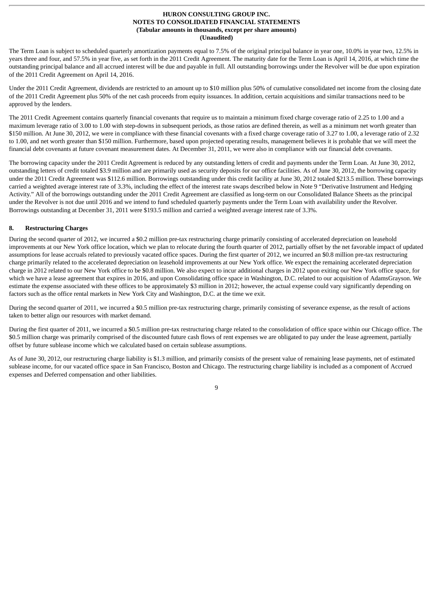The Term Loan is subject to scheduled quarterly amortization payments equal to 7.5% of the original principal balance in year one, 10.0% in year two, 12.5% in years three and four, and 57.5% in year five, as set forth in the 2011 Credit Agreement. The maturity date for the Term Loan is April 14, 2016, at which time the outstanding principal balance and all accrued interest will be due and payable in full. All outstanding borrowings under the Revolver will be due upon expiration of the 2011 Credit Agreement on April 14, 2016.

Under the 2011 Credit Agreement, dividends are restricted to an amount up to \$10 million plus 50% of cumulative consolidated net income from the closing date of the 2011 Credit Agreement plus 50% of the net cash proceeds from equity issuances. In addition, certain acquisitions and similar transactions need to be approved by the lenders.

The 2011 Credit Agreement contains quarterly financial covenants that require us to maintain a minimum fixed charge coverage ratio of 2.25 to 1.00 and a maximum leverage ratio of 3.00 to 1.00 with step-downs in subsequent periods, as those ratios are defined therein, as well as a minimum net worth greater than \$150 million. At June 30, 2012, we were in compliance with these financial covenants with a fixed charge coverage ratio of 3.27 to 1.00, a leverage ratio of 2.32 to 1.00, and net worth greater than \$150 million. Furthermore, based upon projected operating results, management believes it is probable that we will meet the financial debt covenants at future covenant measurement dates. At December 31, 2011, we were also in compliance with our financial debt covenants.

The borrowing capacity under the 2011 Credit Agreement is reduced by any outstanding letters of credit and payments under the Term Loan. At June 30, 2012, outstanding letters of credit totaled \$3.9 million and are primarily used as security deposits for our office facilities. As of June 30, 2012, the borrowing capacity under the 2011 Credit Agreement was \$112.6 million. Borrowings outstanding under this credit facility at June 30, 2012 totaled \$213.5 million. These borrowings carried a weighted average interest rate of 3.3%, including the effect of the interest rate swaps described below in Note 9 "Derivative Instrument and Hedging Activity." All of the borrowings outstanding under the 2011 Credit Agreement are classified as long-term on our Consolidated Balance Sheets as the principal under the Revolver is not due until 2016 and we intend to fund scheduled quarterly payments under the Term Loan with availability under the Revolver. Borrowings outstanding at December 31, 2011 were \$193.5 million and carried a weighted average interest rate of 3.3%.

### **8. Restructuring Charges**

During the second quarter of 2012, we incurred a \$0.2 million pre-tax restructuring charge primarily consisting of accelerated depreciation on leasehold improvements at our New York office location, which we plan to relocate during the fourth quarter of 2012, partially offset by the net favorable impact of updated assumptions for lease accruals related to previously vacated office spaces. During the first quarter of 2012, we incurred an \$0.8 million pre-tax restructuring charge primarily related to the accelerated depreciation on leasehold improvements at our New York office. We expect the remaining accelerated depreciation charge in 2012 related to our New York office to be \$0.8 million. We also expect to incur additional charges in 2012 upon exiting our New York office space, for which we have a lease agreement that expires in 2016, and upon Consolidating office space in Washington, D.C. related to our acquisition of AdamsGrayson. We estimate the expense associated with these offices to be approximately \$3 million in 2012; however, the actual expense could vary significantly depending on factors such as the office rental markets in New York City and Washington, D.C. at the time we exit.

During the second quarter of 2011, we incurred a \$0.5 million pre-tax restructuring charge, primarily consisting of severance expense, as the result of actions taken to better align our resources with market demand.

During the first quarter of 2011, we incurred a \$0.5 million pre-tax restructuring charge related to the consolidation of office space within our Chicago office. The \$0.5 million charge was primarily comprised of the discounted future cash flows of rent expenses we are obligated to pay under the lease agreement, partially offset by future sublease income which we calculated based on certain sublease assumptions.

As of June 30, 2012, our restructuring charge liability is \$1.3 million, and primarily consists of the present value of remaining lease payments, net of estimated sublease income, for our vacated office space in San Francisco, Boston and Chicago. The restructuring charge liability is included as a component of Accrued expenses and Deferred compensation and other liabilities.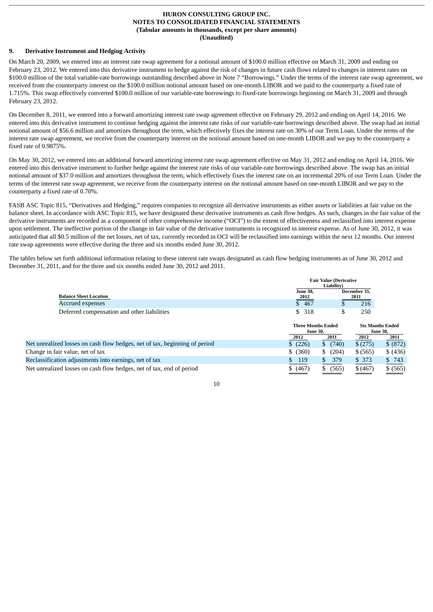# **9. Derivative Instrument and Hedging Activity**

On March 20, 2009, we entered into an interest rate swap agreement for a notional amount of \$100.0 million effective on March 31, 2009 and ending on February 23, 2012. We entered into this derivative instrument to hedge against the risk of changes in future cash flows related to changes in interest rates on \$100.0 million of the total variable-rate borrowings outstanding described above in Note 7 "Borrowings." Under the terms of the interest rate swap agreement, we received from the counterparty interest on the \$100.0 million notional amount based on one-month LIBOR and we paid to the counterparty a fixed rate of 1.715%. This swap effectively converted \$100.0 million of our variable-rate borrowings to fixed-rate borrowings beginning on March 31, 2009 and through February 23, 2012.

On December 8, 2011, we entered into a forward amortizing interest rate swap agreement effective on February 29, 2012 and ending on April 14, 2016. We entered into this derivative instrument to continue hedging against the interest rate risks of our variable-rate borrowings described above. The swap had an initial notional amount of \$56.6 million and amortizes throughout the term, which effectively fixes the interest rate on 30% of our Term Loan. Under the terms of the interest rate swap agreement, we receive from the counterparty interest on the notional amount based on one-month LIBOR and we pay to the counterparty a fixed rate of 0.9875%.

On May 30, 2012, we entered into an additional forward amortizing interest rate swap agreement effective on May 31, 2012 and ending on April 14, 2016. We entered into this derivative instrument to further hedge against the interest rate risks of our variable-rate borrowings described above. The swap has an initial notional amount of \$37.0 million and amortizes throughout the term, which effectively fixes the interest rate on an incremental 20% of our Term Loan. Under the terms of the interest rate swap agreement, we receive from the counterparty interest on the notional amount based on one-month LIBOR and we pay to the counterparty a fixed rate of 0.70%.

FASB ASC Topic 815, "Derivatives and Hedging," requires companies to recognize all derivative instruments as either assets or liabilities at fair value on the balance sheet. In accordance with ASC Topic 815, we have designated these derivative instruments as cash flow hedges. As such, changes in the fair value of the derivative instruments are recorded as a component of other comprehensive income ("OCI") to the extent of effectiveness and reclassified into interest expense upon settlement. The ineffective portion of the change in fair value of the derivative instruments is recognized in interest expense. As of June 30, 2012, it was anticipated that all \$0.5 million of the net losses, net of tax, currently recorded in OCI will be reclassified into earnings within the next 12 months. Our interest rate swap agreements were effective during the three and six months ended June 30, 2012.

The tables below set forth additional information relating to these interest rate swaps designated as cash flow hedging instruments as of June 30, 2012 and December 31, 2011, and for the three and six months ended June 30, 2012 and 2011.

|                                                                            | <b>Fair Value (Derivative</b><br>Liability)          |             |                      |                                                    |  |  |  |
|----------------------------------------------------------------------------|------------------------------------------------------|-------------|----------------------|----------------------------------------------------|--|--|--|
| <b>Balance Sheet Location</b>                                              | <b>June 30,</b><br>2012                              |             | December 31.<br>2011 |                                                    |  |  |  |
| Accrued expenses                                                           | \$467                                                |             | 216                  |                                                    |  |  |  |
| Deferred compensation and other liabilities                                | \$<br>318                                            | \$          | 250                  |                                                    |  |  |  |
|                                                                            | <b>Three Months Ended</b><br><b>June 30,</b><br>2012 | 2011        | 2012                 | <b>Six Months Ended</b><br><b>June 30,</b><br>2011 |  |  |  |
| Net unrealized losses on cash flow hedges, net of tax, beginning of period | \$(226)                                              | \$ (740)    | \$(275)              | \$ (872)                                           |  |  |  |
| Change in fair value, net of tax                                           | \$ (360)                                             | \$ (204)    | \$ (565)             | \$ (436)                                           |  |  |  |
| Reclassification adjustments into earnings, net of tax                     | \$.<br>119                                           | 379<br>S.   | \$373                | \$743                                              |  |  |  |
| Net unrealized losses on cash flow hedges, net of tax, end of period       | \$ (467)                                             | (565)<br>S. | \$(467)              | \$ (565)                                           |  |  |  |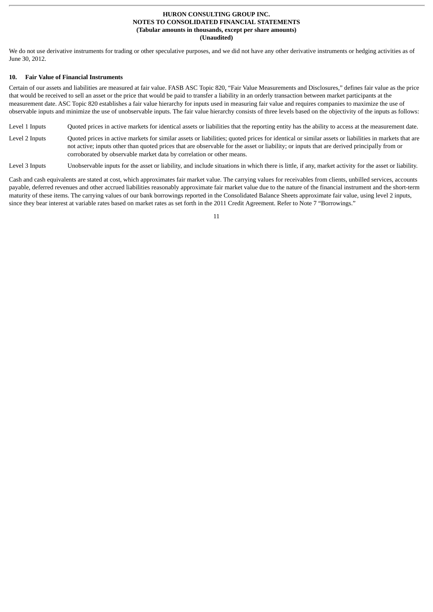We do not use derivative instruments for trading or other speculative purposes, and we did not have any other derivative instruments or hedging activities as of June 30, 2012.

#### **10. Fair Value of Financial Instruments**

Certain of our assets and liabilities are measured at fair value. FASB ASC Topic 820, "Fair Value Measurements and Disclosures," defines fair value as the price that would be received to sell an asset or the price that would be paid to transfer a liability in an orderly transaction between market participants at the measurement date. ASC Topic 820 establishes a fair value hierarchy for inputs used in measuring fair value and requires companies to maximize the use of observable inputs and minimize the use of unobservable inputs. The fair value hierarchy consists of three levels based on the objectivity of the inputs as follows:

Level 1 Inputs Cuoted prices in active markets for identical assets or liabilities that the reporting entity has the ability to access at the measurement date.

Level 2 Inputs Quoted prices in active markets for similar assets or liabilities; quoted prices for identical or similar assets or liabilities in markets that are not active; inputs other than quoted prices that are observable for the asset or liability; or inputs that are derived principally from or corroborated by observable market data by correlation or other means.

Level 3 Inputs Unobservable inputs for the asset or liability, and include situations in which there is little, if any, market activity for the asset or liability.

Cash and cash equivalents are stated at cost, which approximates fair market value. The carrying values for receivables from clients, unbilled services, accounts payable, deferred revenues and other accrued liabilities reasonably approximate fair market value due to the nature of the financial instrument and the short-term maturity of these items. The carrying values of our bank borrowings reported in the Consolidated Balance Sheets approximate fair value, using level 2 inputs, since they bear interest at variable rates based on market rates as set forth in the 2011 Credit Agreement. Refer to Note 7 "Borrowings."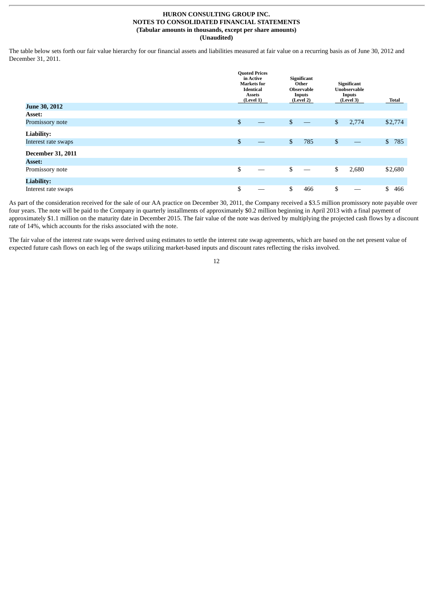The table below sets forth our fair value hierarchy for our financial assets and liabilities measured at fair value on a recurring basis as of June 30, 2012 and December 31, 2011.

|                          | <b>Quoted Prices</b><br>in Active<br><b>Markets</b> for<br><b>Identical</b><br><b>Assets</b><br>(Level 1) | Significant<br>Other<br><b>Observable</b><br><b>Inputs</b><br>(Level 2) | Significant<br><b>Unobservable</b><br><b>Inputs</b><br>(Level 3) | <b>Total</b>        |
|--------------------------|-----------------------------------------------------------------------------------------------------------|-------------------------------------------------------------------------|------------------------------------------------------------------|---------------------|
| <b>June 30, 2012</b>     |                                                                                                           |                                                                         |                                                                  |                     |
| <b>Asset:</b>            |                                                                                                           |                                                                         |                                                                  |                     |
| Promissory note          | \$                                                                                                        | \$                                                                      | \$<br>2,774                                                      | \$2,774             |
| Liability:               |                                                                                                           |                                                                         |                                                                  |                     |
| Interest rate swaps      | \$                                                                                                        | \$<br>785                                                               | \$                                                               | $\mathbb{S}$<br>785 |
| <b>December 31, 2011</b> |                                                                                                           |                                                                         |                                                                  |                     |
| <b>Asset:</b>            |                                                                                                           |                                                                         |                                                                  |                     |
| Promissory note          | \$                                                                                                        | \$                                                                      | \$<br>2,680                                                      | \$2,680             |
| <b>Liability:</b>        |                                                                                                           |                                                                         |                                                                  |                     |
| Interest rate swaps      | \$                                                                                                        | \$<br>466                                                               | \$                                                               | \$<br>466           |

As part of the consideration received for the sale of our AA practice on December 30, 2011, the Company received a \$3.5 million promissory note payable over four years. The note will be paid to the Company in quarterly installments of approximately \$0.2 million beginning in April 2013 with a final payment of approximately \$1.1 million on the maturity date in December 2015. The fair value of the note was derived by multiplying the projected cash flows by a discount rate of 14%, which accounts for the risks associated with the note.

The fair value of the interest rate swaps were derived using estimates to settle the interest rate swap agreements, which are based on the net present value of expected future cash flows on each leg of the swaps utilizing market-based inputs and discount rates reflecting the risks involved.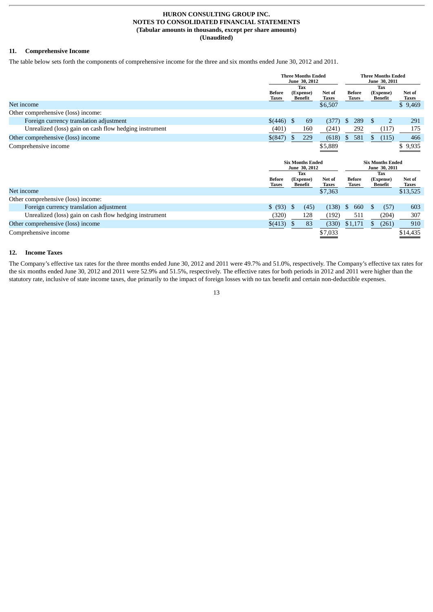# **11. Comprehensive Income**

The table below sets forth the components of comprehensive income for the three and six months ended June 30, 2012 and 2011.

|                                                        |                        | <b>Three Months Ended</b><br>June 30, 2012 |     |                 | <b>Three Months Ended</b><br>June 30, 2011 |                        |  |                                    |                 |
|--------------------------------------------------------|------------------------|--------------------------------------------|-----|-----------------|--------------------------------------------|------------------------|--|------------------------------------|-----------------|
|                                                        | <b>Before</b><br>Taxes | <b>Tax</b><br>(Expense)<br>Benefit         |     | Net of<br>Taxes |                                            | <b>Before</b><br>Taxes |  | <b>Tax</b><br>(Expense)<br>Benefit | Net of<br>Taxes |
| Net income                                             |                        |                                            |     | \$6,507         |                                            |                        |  |                                    | \$9,469         |
| Other comprehensive (loss) income:                     |                        |                                            |     |                 |                                            |                        |  |                                    |                 |
| Foreign currency translation adjustment                | \$(446)                | - \$                                       | 69  | (377)           | S.                                         | 289                    |  |                                    | 291             |
| Unrealized (loss) gain on cash flow hedging instrument | (401)                  |                                            | 160 | (241)           |                                            | 292                    |  | (117)                              | 175             |
| Other comprehensive (loss) income                      | $$^{(847)}$            | S                                          | 229 | (618)           | S.                                         | 581                    |  | (115)                              | 466             |
| Comprehensive income                                   |                        |                                            |     | \$5,889         |                                            |                        |  |                                    | \$9,935         |
|                                                        |                        | <b>Six Months Ended</b>                    |     |                 | <b>Six Months Ended</b>                    |                        |  |                                    |                 |

|                                                        | June 30, 2012          |                      |                 |     | June 30, 2011          |                      |                 |  |
|--------------------------------------------------------|------------------------|----------------------|-----------------|-----|------------------------|----------------------|-----------------|--|
|                                                        |                        | Tax                  |                 | Tax |                        |                      |                 |  |
|                                                        | <b>Before</b><br>Taxes | (Expense)<br>Benefit | Net of<br>Taxes |     | <b>Before</b><br>Taxes | (Expense)<br>Benefit | Net of<br>Taxes |  |
| Net income                                             |                        |                      | \$7,363         |     |                        |                      | \$13,525        |  |
| Other comprehensive (loss) income:                     |                        |                      |                 |     |                        |                      |                 |  |
| Foreign currency translation adjustment                | \$ (93)                |                      | (45)<br>(138)   | Ъ.  | 660                    | (57)                 | 603             |  |
| Unrealized (loss) gain on cash flow hedging instrument | (320)                  | 128                  | (192)           |     | 511                    | (204)                | 307             |  |
| Other comprehensive (loss) income                      | \$(413)                |                      | (330`<br>83     |     | \$1,171                | (261)                | 910             |  |
| Comprehensive income                                   |                        |                      | \$7,033         |     |                        |                      | \$14,435        |  |

#### **12. Income Taxes**

The Company's effective tax rates for the three months ended June 30, 2012 and 2011 were 49.7% and 51.0%, respectively. The Company's effective tax rates for the six months ended June 30, 2012 and 2011 were 52.9% and 51.5%, respectively. The effective rates for both periods in 2012 and 2011 were higher than the statutory rate, inclusive of state income taxes, due primarily to the impact of foreign losses with no tax benefit and certain non-deductible expenses.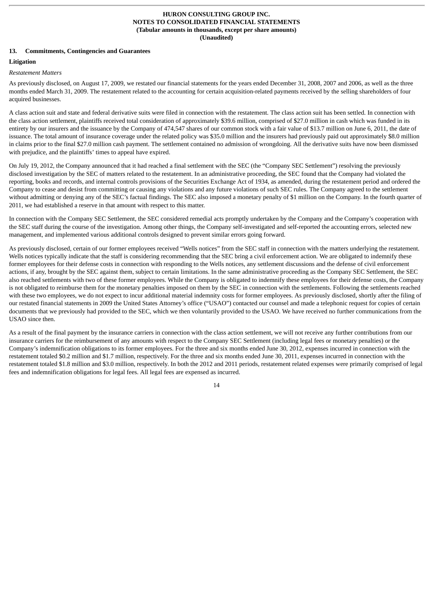# **13. Commitments, Contingencies and Guarantees**

# **Litigation**

#### *Restatement Matters*

As previously disclosed, on August 17, 2009, we restated our financial statements for the years ended December 31, 2008, 2007 and 2006, as well as the three months ended March 31, 2009. The restatement related to the accounting for certain acquisition-related payments received by the selling shareholders of four acquired businesses.

A class action suit and state and federal derivative suits were filed in connection with the restatement. The class action suit has been settled. In connection with the class action settlement, plaintiffs received total consideration of approximately \$39.6 million, comprised of \$27.0 million in cash which was funded in its entirety by our insurers and the issuance by the Company of 474,547 shares of our common stock with a fair value of \$13.7 million on June 6, 2011, the date of issuance. The total amount of insurance coverage under the related policy was \$35.0 million and the insurers had previously paid out approximately \$8.0 million in claims prior to the final \$27.0 million cash payment. The settlement contained no admission of wrongdoing. All the derivative suits have now been dismissed with prejudice, and the plaintiffs' times to appeal have expired.

On July 19, 2012, the Company announced that it had reached a final settlement with the SEC (the "Company SEC Settlement") resolving the previously disclosed investigation by the SEC of matters related to the restatement. In an administrative proceeding, the SEC found that the Company had violated the reporting, books and records, and internal controls provisions of the Securities Exchange Act of 1934, as amended, during the restatement period and ordered the Company to cease and desist from committing or causing any violations and any future violations of such SEC rules. The Company agreed to the settlement without admitting or denying any of the SEC's factual findings. The SEC also imposed a monetary penalty of \$1 million on the Company. In the fourth quarter of 2011, we had established a reserve in that amount with respect to this matter.

In connection with the Company SEC Settlement, the SEC considered remedial acts promptly undertaken by the Company and the Company's cooperation with the SEC staff during the course of the investigation. Among other things, the Company self-investigated and self-reported the accounting errors, selected new management, and implemented various additional controls designed to prevent similar errors going forward.

As previously disclosed, certain of our former employees received "Wells notices" from the SEC staff in connection with the matters underlying the restatement. Wells notices typically indicate that the staff is considering recommending that the SEC bring a civil enforcement action. We are obligated to indemnify these former employees for their defense costs in connection with responding to the Wells notices, any settlement discussions and the defense of civil enforcement actions, if any, brought by the SEC against them, subject to certain limitations. In the same administrative proceeding as the Company SEC Settlement, the SEC also reached settlements with two of these former employees. While the Company is obligated to indemnify these employees for their defense costs, the Company is not obligated to reimburse them for the monetary penalties imposed on them by the SEC in connection with the settlements. Following the settlements reached with these two employees, we do not expect to incur additional material indemnity costs for former employees. As previously disclosed, shortly after the filing of our restated financial statements in 2009 the United States Attorney's office ("USAO") contacted our counsel and made a telephonic request for copies of certain documents that we previously had provided to the SEC, which we then voluntarily provided to the USAO. We have received no further communications from the USAO since then.

As a result of the final payment by the insurance carriers in connection with the class action settlement, we will not receive any further contributions from our insurance carriers for the reimbursement of any amounts with respect to the Company SEC Settlement (including legal fees or monetary penalties) or the Company's indemnification obligations to its former employees. For the three and six months ended June 30, 2012, expenses incurred in connection with the restatement totaled \$0.2 million and \$1.7 million, respectively. For the three and six months ended June 30, 2011, expenses incurred in connection with the restatement totaled \$1.8 million and \$3.0 million, respectively. In both the 2012 and 2011 periods, restatement related expenses were primarily comprised of legal fees and indemnification obligations for legal fees. All legal fees are expensed as incurred.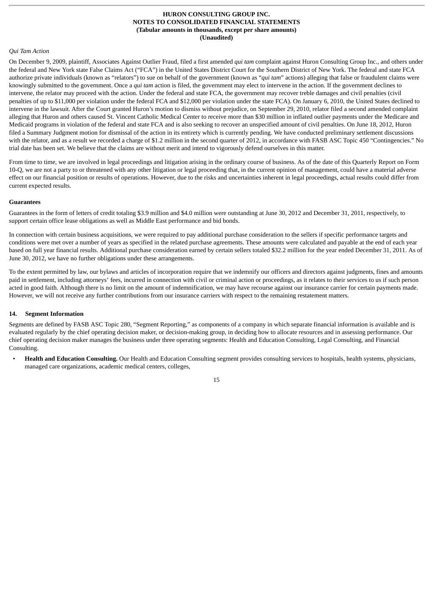#### *Qui Tam Action*

On December 9, 2009, plaintiff, Associates Against Outlier Fraud, filed a first amended *qui tam* complaint against Huron Consulting Group Inc., and others under the federal and New York state False Claims Act ("FCA") in the United States District Court for the Southern District of New York. The federal and state FCA authorize private individuals (known as "relators") to sue on behalf of the government (known as "*qui tam*" actions) alleging that false or fraudulent claims were knowingly submitted to the government. Once a *qui tam* action is filed, the government may elect to intervene in the action. If the government declines to intervene, the relator may proceed with the action. Under the federal and state FCA, the government may recover treble damages and civil penalties (civil penalties of up to \$11,000 per violation under the federal FCA and \$12,000 per violation under the state FCA). On January 6, 2010, the United States declined to intervene in the lawsuit. After the Court granted Huron's motion to dismiss without prejudice, on September 29, 2010, relator filed a second amended complaint alleging that Huron and others caused St. Vincent Catholic Medical Center to receive more than \$30 million in inflated outlier payments under the Medicare and Medicaid programs in violation of the federal and state FCA and is also seeking to recover an unspecified amount of civil penalties. On June 18, 2012, Huron filed a Summary Judgment motion for dismissal of the action in its entirety which is currently pending. We have conducted preliminary settlement discussions with the relator, and as a result we recorded a charge of \$1.2 million in the second quarter of 2012, in accordance with FASB ASC Topic 450 "Contingencies." No trial date has been set. We believe that the claims are without merit and intend to vigorously defend ourselves in this matter.

From time to time, we are involved in legal proceedings and litigation arising in the ordinary course of business. As of the date of this Quarterly Report on Form 10-Q, we are not a party to or threatened with any other litigation or legal proceeding that, in the current opinion of management, could have a material adverse effect on our financial position or results of operations. However, due to the risks and uncertainties inherent in legal proceedings, actual results could differ from current expected results.

#### **Guarantees**

Guarantees in the form of letters of credit totaling \$3.9 million and \$4.0 million were outstanding at June 30, 2012 and December 31, 2011, respectively, to support certain office lease obligations as well as Middle East performance and bid bonds.

In connection with certain business acquisitions, we were required to pay additional purchase consideration to the sellers if specific performance targets and conditions were met over a number of years as specified in the related purchase agreements. These amounts were calculated and payable at the end of each year based on full year financial results. Additional purchase consideration earned by certain sellers totaled \$32.2 million for the year ended December 31, 2011. As of June 30, 2012, we have no further obligations under these arrangements.

To the extent permitted by law, our bylaws and articles of incorporation require that we indemnify our officers and directors against judgments, fines and amounts paid in settlement, including attorneys' fees, incurred in connection with civil or criminal action or proceedings, as it relates to their services to us if such person acted in good faith. Although there is no limit on the amount of indemnification, we may have recourse against our insurance carrier for certain payments made. However, we will not receive any further contributions from our insurance carriers with respect to the remaining restatement matters.

#### **14. Segment Information**

Segments are defined by FASB ASC Topic 280, "Segment Reporting," as components of a company in which separate financial information is available and is evaluated regularly by the chief operating decision maker, or decision-making group, in deciding how to allocate resources and in assessing performance. Our chief operating decision maker manages the business under three operating segments: Health and Education Consulting, Legal Consulting, and Financial Consulting.

• **Health and Education Consulting.** Our Health and Education Consulting segment provides consulting services to hospitals, health systems, physicians, managed care organizations, academic medical centers, colleges,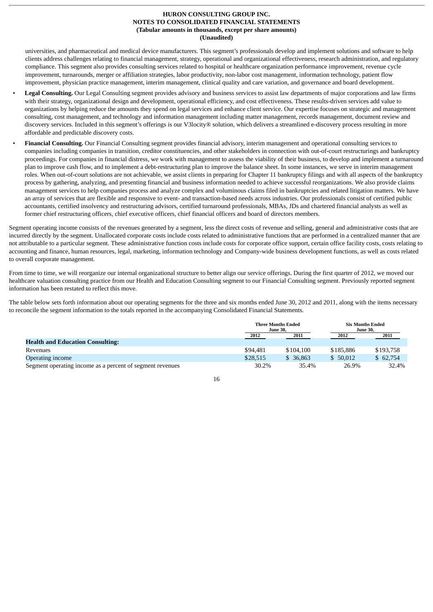universities, and pharmaceutical and medical device manufacturers. This segment's professionals develop and implement solutions and software to help clients address challenges relating to financial management, strategy, operational and organizational effectiveness, research administration, and regulatory compliance. This segment also provides consulting services related to hospital or healthcare organization performance improvement, revenue cycle improvement, turnarounds, merger or affiliation strategies, labor productivity, non-labor cost management, information technology, patient flow improvement, physician practice management, interim management, clinical quality and care variation, and governance and board development.

- **Legal Consulting.** Our Legal Consulting segment provides advisory and business services to assist law departments of major corporations and law firms with their strategy, organizational design and development, operational efficiency, and cost effectiveness. These results-driven services add value to organizations by helping reduce the amounts they spend on legal services and enhance client service. Our expertise focuses on strategic and management consulting, cost management, and technology and information management including matter management, records management, document review and discovery services. Included in this segment's offerings is our V3locity® solution, which delivers a streamlined e-discovery process resulting in more affordable and predictable discovery costs.
- **Financial Consulting.** Our Financial Consulting segment provides financial advisory, interim management and operational consulting services to companies including companies in transition, creditor constituencies, and other stakeholders in connection with out-of-court restructurings and bankruptcy proceedings. For companies in financial distress, we work with management to assess the viability of their business, to develop and implement a turnaround plan to improve cash flow, and to implement a debt-restructuring plan to improve the balance sheet. In some instances, we serve in interim management roles. When out-of-court solutions are not achievable, we assist clients in preparing for Chapter 11 bankruptcy filings and with all aspects of the bankruptcy process by gathering, analyzing, and presenting financial and business information needed to achieve successful reorganizations. We also provide claims management services to help companies process and analyze complex and voluminous claims filed in bankruptcies and related litigation matters. We have an array of services that are flexible and responsive to event- and transaction-based needs across industries. Our professionals consist of certified public accountants, certified insolvency and restructuring advisors, certified turnaround professionals, MBAs, JDs and chartered financial analysts as well as former chief restructuring officers, chief executive officers, chief financial officers and board of directors members.

Segment operating income consists of the revenues generated by a segment, less the direct costs of revenue and selling, general and administrative costs that are incurred directly by the segment. Unallocated corporate costs include costs related to administrative functions that are performed in a centralized manner that are not attributable to a particular segment. These administrative function costs include costs for corporate office support, certain office facility costs, costs relating to accounting and finance, human resources, legal, marketing, information technology and Company-wide business development functions, as well as costs related to overall corporate management.

From time to time, we will reorganize our internal organizational structure to better align our service offerings. During the first quarter of 2012, we moved our healthcare valuation consulting practice from our Health and Education Consulting segment to our Financial Consulting segment. Previously reported segment information has been restated to reflect this move.

The table below sets forth information about our operating segments for the three and six months ended June 30, 2012 and 2011, along with the items necessary to reconcile the segment information to the totals reported in the accompanying Consolidated Financial Statements.

|                                                           | <b>Three Months Ended</b><br><b>June 30,</b> |           | <b>Six Months Ended</b><br><b>June 30.</b> |           |
|-----------------------------------------------------------|----------------------------------------------|-----------|--------------------------------------------|-----------|
|                                                           | 2012                                         | 2011      | 2012                                       | 2011      |
| <b>Health and Education Consulting:</b>                   |                                              |           |                                            |           |
| Revenues                                                  | \$94,481                                     | \$104,100 | \$185,886                                  | \$193.758 |
| Operating income                                          | \$28,515                                     | \$ 36,863 | \$50.012                                   | \$62.754  |
| Segment operating income as a percent of segment revenues | 30.2%                                        | 35.4%     | 26.9%                                      | 32.4%     |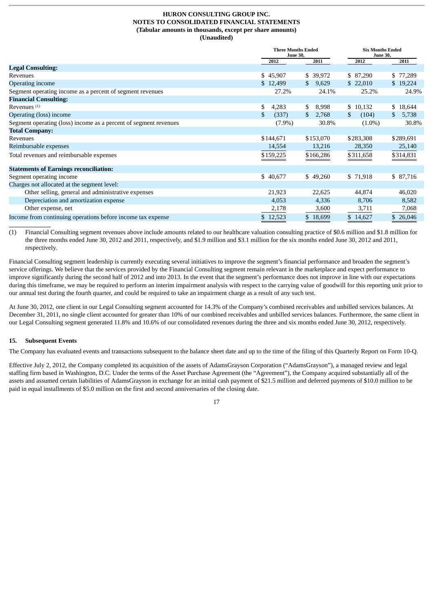|                                                                  | <b>Three Months Ended</b><br><b>June 30,</b> |             | <b>Six Months Ended</b><br><b>June 30,</b> |             |
|------------------------------------------------------------------|----------------------------------------------|-------------|--------------------------------------------|-------------|
|                                                                  | 2012                                         | 2011        | 2012                                       | 2011        |
| <b>Legal Consulting:</b>                                         |                                              |             |                                            |             |
| Revenues                                                         | \$45,907                                     | \$ 39,972   | \$ 87,290                                  | \$77,289    |
| <b>Operating income</b>                                          | \$12,499                                     | 9,629<br>S. | \$22,010                                   | \$19,224    |
| Segment operating income as a percent of segment revenues        | 27.2%                                        | 24.1%       | 25.2%                                      | 24.9%       |
| <b>Financial Consulting:</b>                                     |                                              |             |                                            |             |
| Revenues <sup>(1)</sup>                                          | \$<br>4,283                                  | \$<br>8,998 | \$10,132                                   | \$18,644    |
| Operating (loss) income                                          | \$<br>(337)                                  | 2,768<br>S  | \$<br>(104)                                | 5,738<br>\$ |
| Segment operating (loss) income as a percent of segment revenues | $(7.9\%)$                                    | 30.8%       | $(1.0\%)$                                  | 30.8%       |
| <b>Total Company:</b>                                            |                                              |             |                                            |             |
| Revenues                                                         | \$144,671                                    | \$153,070   | \$283,308                                  | \$289,691   |
| Reimbursable expenses                                            | 14,554                                       | 13,216      | 28,350                                     | 25,140      |
| Total revenues and reimbursable expenses                         | \$159,225                                    | \$166,286   | \$311,658                                  | \$314,831   |
| <b>Statements of Earnings reconciliation:</b>                    |                                              |             |                                            |             |
| Segment operating income                                         | \$40,677                                     | \$49,260    | \$71,918                                   | \$87,716    |
| Charges not allocated at the segment level:                      |                                              |             |                                            |             |
| Other selling, general and administrative expenses               | 21,923                                       | 22,625      | 44,874                                     | 46,020      |
| Depreciation and amortization expense                            | 4,053                                        | 4,336       | 8,706                                      | 8,582       |
| Other expense, net                                               | 2,178                                        | 3,600       | 3,711                                      | 7,068       |
| Income from continuing operations before income tax expense      | \$12,523                                     | \$18,699    | \$14,627                                   | \$26,046    |

(1) Financial Consulting segment revenues above include amounts related to our healthcare valuation consulting practice of \$0.6 million and \$1.8 million for the three months ended June 30, 2012 and 2011, respectively, and \$1.9 million and \$3.1 million for the six months ended June 30, 2012 and 2011, respectively.

Financial Consulting segment leadership is currently executing several initiatives to improve the segment's financial performance and broaden the segment's service offerings. We believe that the services provided by the Financial Consulting segment remain relevant in the marketplace and expect performance to improve significantly during the second half of 2012 and into 2013. In the event that the segment's performance does not improve in line with our expectations during this timeframe, we may be required to perform an interim impairment analysis with respect to the carrying value of goodwill for this reporting unit prior to our annual test during the fourth quarter, and could be required to take an impairment charge as a result of any such test.

At June 30, 2012, one client in our Legal Consulting segment accounted for 14.3% of the Company's combined receivables and unbilled services balances. At December 31, 2011, no single client accounted for greater than 10% of our combined receivables and unbilled services balances. Furthermore, the same client in our Legal Consulting segment generated 11.8% and 10.6% of our consolidated revenues during the three and six months ended June 30, 2012, respectively.

# **15. Subsequent Events**

The Company has evaluated events and transactions subsequent to the balance sheet date and up to the time of the filing of this Quarterly Report on Form 10-Q.

Effective July 2, 2012, the Company completed its acquisition of the assets of AdamsGrayson Corporation ("AdamsGrayson"), a managed review and legal staffing firm based in Washington, D.C. Under the terms of the Asset Purchase Agreement (the "Agreement"), the Company acquired substantially all of the assets and assumed certain liabilities of AdamsGrayson in exchange for an initial cash payment of \$21.5 million and deferred payments of \$10.0 million to be paid in equal installments of \$5.0 million on the first and second anniversaries of the closing date.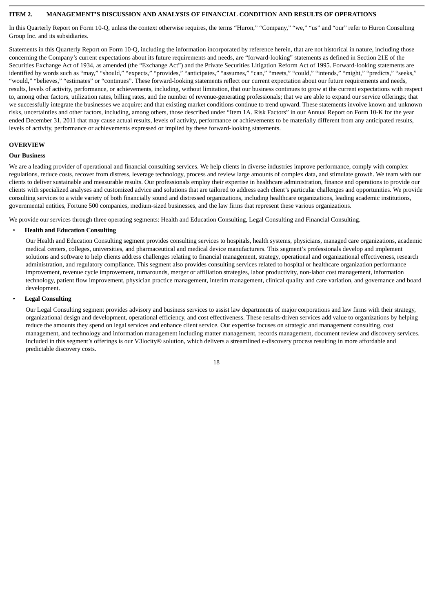# <span id="page-19-0"></span>**ITEM 2. MANAGEMENT'S DISCUSSION AND ANALYSIS OF FINANCIAL CONDITION AND RESULTS OF OPERATIONS**

In this Quarterly Report on Form 10-Q, unless the context otherwise requires, the terms "Huron," "Company," "we," "us" and "our" refer to Huron Consulting Group Inc. and its subsidiaries.

Statements in this Quarterly Report on Form 10-Q, including the information incorporated by reference herein, that are not historical in nature, including those concerning the Company's current expectations about its future requirements and needs, are "forward-looking" statements as defined in Section 21E of the Securities Exchange Act of 1934, as amended (the "Exchange Act") and the Private Securities Litigation Reform Act of 1995. Forward-looking statements are identified by words such as "may," "should," "expects," "provides," "anticipates," "assumes," "can," "meets," "could," "intends," "might," "predicts," "seeks," "would," "believes," "estimates" or "continues". These forward-looking statements reflect our current expectation about our future requirements and needs, results, levels of activity, performance, or achievements, including, without limitation, that our business continues to grow at the current expectations with respect to, among other factors, utilization rates, billing rates, and the number of revenue-generating professionals; that we are able to expand our service offerings; that we successfully integrate the businesses we acquire; and that existing market conditions continue to trend upward. These statements involve known and unknown risks, uncertainties and other factors, including, among others, those described under "Item 1A. Risk Factors" in our Annual Report on Form 10-K for the year ended December 31, 2011 that may cause actual results, levels of activity, performance or achievements to be materially different from any anticipated results, levels of activity, performance or achievements expressed or implied by these forward-looking statements.

#### **OVERVIEW**

#### **Our Business**

We are a leading provider of operational and financial consulting services. We help clients in diverse industries improve performance, comply with complex regulations, reduce costs, recover from distress, leverage technology, process and review large amounts of complex data, and stimulate growth. We team with our clients to deliver sustainable and measurable results. Our professionals employ their expertise in healthcare administration, finance and operations to provide our clients with specialized analyses and customized advice and solutions that are tailored to address each client's particular challenges and opportunities. We provide consulting services to a wide variety of both financially sound and distressed organizations, including healthcare organizations, leading academic institutions, governmental entities, Fortune 500 companies, medium-sized businesses, and the law firms that represent these various organizations.

We provide our services through three operating segments: Health and Education Consulting, Legal Consulting and Financial Consulting.

#### • **Health and Education Consulting**

Our Health and Education Consulting segment provides consulting services to hospitals, health systems, physicians, managed care organizations, academic medical centers, colleges, universities, and pharmaceutical and medical device manufacturers. This segment's professionals develop and implement solutions and software to help clients address challenges relating to financial management, strategy, operational and organizational effectiveness, research administration, and regulatory compliance. This segment also provides consulting services related to hospital or healthcare organization performance improvement, revenue cycle improvement, turnarounds, merger or affiliation strategies, labor productivity, non-labor cost management, information technology, patient flow improvement, physician practice management, interim management, clinical quality and care variation, and governance and board development.

#### • **Legal Consulting**

Our Legal Consulting segment provides advisory and business services to assist law departments of major corporations and law firms with their strategy, organizational design and development, operational efficiency, and cost effectiveness. These results-driven services add value to organizations by helping reduce the amounts they spend on legal services and enhance client service. Our expertise focuses on strategic and management consulting, cost management, and technology and information management including matter management, records management, document review and discovery services. Included in this segment's offerings is our V3locity® solution, which delivers a streamlined e-discovery process resulting in more affordable and predictable discovery costs.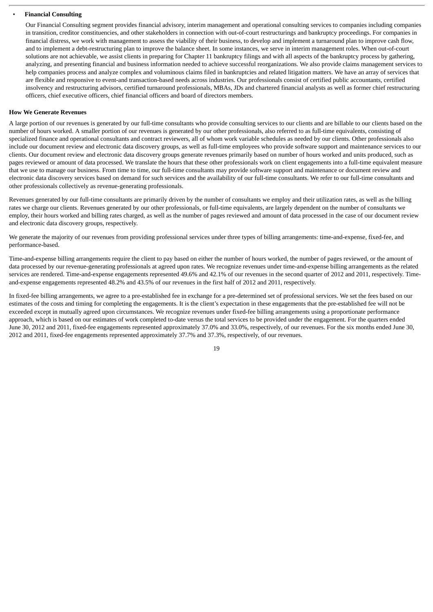#### • **Financial Consulting**

Our Financial Consulting segment provides financial advisory, interim management and operational consulting services to companies including companies in transition, creditor constituencies, and other stakeholders in connection with out-of-court restructurings and bankruptcy proceedings. For companies in financial distress, we work with management to assess the viability of their business, to develop and implement a turnaround plan to improve cash flow, and to implement a debt-restructuring plan to improve the balance sheet. In some instances, we serve in interim management roles. When out-of-court solutions are not achievable, we assist clients in preparing for Chapter 11 bankruptcy filings and with all aspects of the bankruptcy process by gathering, analyzing, and presenting financial and business information needed to achieve successful reorganizations. We also provide claims management services to help companies process and analyze complex and voluminous claims filed in bankruptcies and related litigation matters. We have an array of services that are flexible and responsive to event-and transaction-based needs across industries. Our professionals consist of certified public accountants, certified insolvency and restructuring advisors, certified turnaround professionals, MBAs, JDs and chartered financial analysts as well as former chief restructuring officers, chief executive officers, chief financial officers and board of directors members.

#### **How We Generate Revenues**

A large portion of our revenues is generated by our full-time consultants who provide consulting services to our clients and are billable to our clients based on the number of hours worked. A smaller portion of our revenues is generated by our other professionals, also referred to as full-time equivalents, consisting of specialized finance and operational consultants and contract reviewers, all of whom work variable schedules as needed by our clients. Other professionals also include our document review and electronic data discovery groups, as well as full-time employees who provide software support and maintenance services to our clients. Our document review and electronic data discovery groups generate revenues primarily based on number of hours worked and units produced, such as pages reviewed or amount of data processed. We translate the hours that these other professionals work on client engagements into a full-time equivalent measure that we use to manage our business. From time to time, our full-time consultants may provide software support and maintenance or document review and electronic data discovery services based on demand for such services and the availability of our full-time consultants. We refer to our full-time consultants and other professionals collectively as revenue-generating professionals.

Revenues generated by our full-time consultants are primarily driven by the number of consultants we employ and their utilization rates, as well as the billing rates we charge our clients. Revenues generated by our other professionals, or full-time equivalents, are largely dependent on the number of consultants we employ, their hours worked and billing rates charged, as well as the number of pages reviewed and amount of data processed in the case of our document review and electronic data discovery groups, respectively.

We generate the majority of our revenues from providing professional services under three types of billing arrangements: time-and-expense, fixed-fee, and performance-based.

Time-and-expense billing arrangements require the client to pay based on either the number of hours worked, the number of pages reviewed, or the amount of data processed by our revenue-generating professionals at agreed upon rates. We recognize revenues under time-and-expense billing arrangements as the related services are rendered. Time-and-expense engagements represented 49.6% and 42.1% of our revenues in the second quarter of 2012 and 2011, respectively. Timeand-expense engagements represented 48.2% and 43.5% of our revenues in the first half of 2012 and 2011, respectively.

In fixed-fee billing arrangements, we agree to a pre-established fee in exchange for a pre-determined set of professional services. We set the fees based on our estimates of the costs and timing for completing the engagements. It is the client's expectation in these engagements that the pre-established fee will not be exceeded except in mutually agreed upon circumstances. We recognize revenues under fixed-fee billing arrangements using a proportionate performance approach, which is based on our estimates of work completed to-date versus the total services to be provided under the engagement. For the quarters ended June 30, 2012 and 2011, fixed-fee engagements represented approximately 37.0% and 33.0%, respectively, of our revenues. For the six months ended June 30, 2012 and 2011, fixed-fee engagements represented approximately 37.7% and 37.3%, respectively, of our revenues.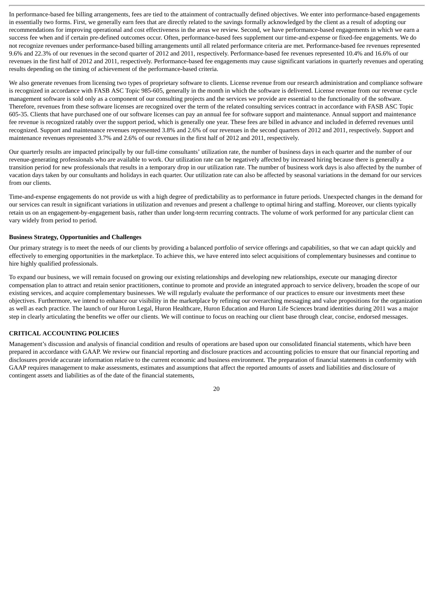In performance-based fee billing arrangements, fees are tied to the attainment of contractually defined objectives. We enter into performance-based engagements in essentially two forms. First, we generally earn fees that are directly related to the savings formally acknowledged by the client as a result of adopting our recommendations for improving operational and cost effectiveness in the areas we review. Second, we have performance-based engagements in which we earn a success fee when and if certain pre-defined outcomes occur. Often, performance-based fees supplement our time-and-expense or fixed-fee engagements. We do not recognize revenues under performance-based billing arrangements until all related performance criteria are met. Performance-based fee revenues represented 9.6% and 22.3% of our revenues in the second quarter of 2012 and 2011, respectively. Performance-based fee revenues represented 10.4% and 16.6% of our revenues in the first half of 2012 and 2011, respectively. Performance-based fee engagements may cause significant variations in quarterly revenues and operating results depending on the timing of achievement of the performance-based criteria.

We also generate revenues from licensing two types of proprietary software to clients. License revenue from our research administration and compliance software is recognized in accordance with FASB ASC Topic 985-605, generally in the month in which the software is delivered. License revenue from our revenue cycle management software is sold only as a component of our consulting projects and the services we provide are essential to the functionality of the software. Therefore, revenues from these software licenses are recognized over the term of the related consulting services contract in accordance with FASB ASC Topic 605-35. Clients that have purchased one of our software licenses can pay an annual fee for software support and maintenance. Annual support and maintenance fee revenue is recognized ratably over the support period, which is generally one year. These fees are billed in advance and included in deferred revenues until recognized. Support and maintenance revenues represented 3.8% and 2.6% of our revenues in the second quarters of 2012 and 2011, respectively. Support and maintenance revenues represented 3.7% and 2.6% of our revenues in the first half of 2012 and 2011, respectively.

Our quarterly results are impacted principally by our full-time consultants' utilization rate, the number of business days in each quarter and the number of our revenue-generating professionals who are available to work. Our utilization rate can be negatively affected by increased hiring because there is generally a transition period for new professionals that results in a temporary drop in our utilization rate. The number of business work days is also affected by the number of vacation days taken by our consultants and holidays in each quarter. Our utilization rate can also be affected by seasonal variations in the demand for our services from our clients.

Time-and-expense engagements do not provide us with a high degree of predictability as to performance in future periods. Unexpected changes in the demand for our services can result in significant variations in utilization and revenues and present a challenge to optimal hiring and staffing. Moreover, our clients typically retain us on an engagement-by-engagement basis, rather than under long-term recurring contracts. The volume of work performed for any particular client can vary widely from period to period.

#### **Business Strategy, Opportunities and Challenges**

Our primary strategy is to meet the needs of our clients by providing a balanced portfolio of service offerings and capabilities, so that we can adapt quickly and effectively to emerging opportunities in the marketplace. To achieve this, we have entered into select acquisitions of complementary businesses and continue to hire highly qualified professionals.

To expand our business, we will remain focused on growing our existing relationships and developing new relationships, execute our managing director compensation plan to attract and retain senior practitioners, continue to promote and provide an integrated approach to service delivery, broaden the scope of our existing services, and acquire complementary businesses. We will regularly evaluate the performance of our practices to ensure our investments meet these objectives. Furthermore, we intend to enhance our visibility in the marketplace by refining our overarching messaging and value propositions for the organization as well as each practice. The launch of our Huron Legal, Huron Healthcare, Huron Education and Huron Life Sciences brand identities during 2011 was a major step in clearly articulating the benefits we offer our clients. We will continue to focus on reaching our client base through clear, concise, endorsed messages.

## **CRITICAL ACCOUNTING POLICIES**

Management's discussion and analysis of financial condition and results of operations are based upon our consolidated financial statements, which have been prepared in accordance with GAAP. We review our financial reporting and disclosure practices and accounting policies to ensure that our financial reporting and disclosures provide accurate information relative to the current economic and business environment. The preparation of financial statements in conformity with GAAP requires management to make assessments, estimates and assumptions that affect the reported amounts of assets and liabilities and disclosure of contingent assets and liabilities as of the date of the financial statements,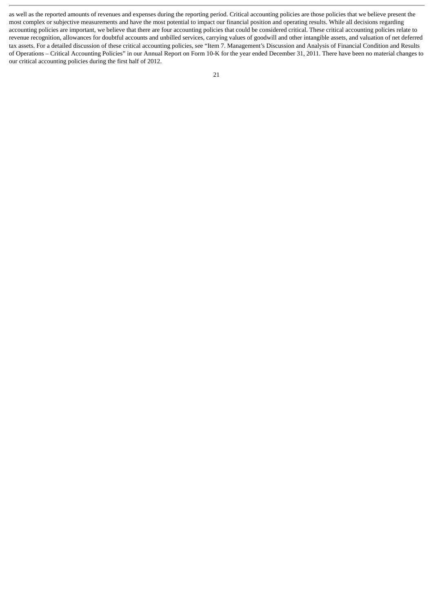as well as the reported amounts of revenues and expenses during the reporting period. Critical accounting policies are those policies that we believe present the most complex or subjective measurements and have the most potential to impact our financial position and operating results. While all decisions regarding accounting policies are important, we believe that there are four accounting policies that could be considered critical. These critical accounting policies relate to revenue recognition, allowances for doubtful accounts and unbilled services, carrying values of goodwill and other intangible assets, and valuation of net deferred tax assets. For a detailed discussion of these critical accounting policies, see "Item 7. Management's Discussion and Analysis of Financial Condition and Results of Operations – Critical Accounting Policies" in our Annual Report on Form 10-K for the year ended December 31, 2011. There have been no material changes to our critical accounting policies during the first half of 2012.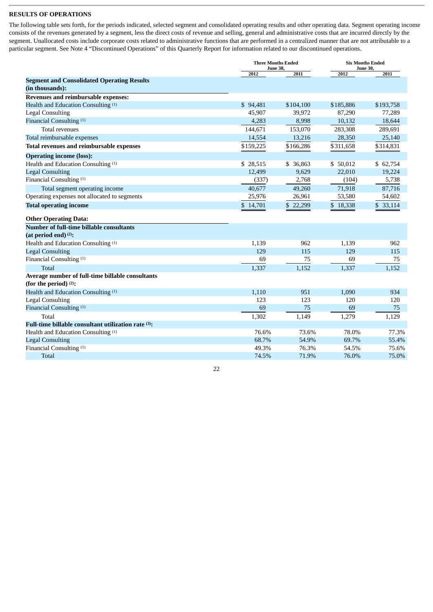# **RESULTS OF OPERATIONS**

The following table sets forth, for the periods indicated, selected segment and consolidated operating results and other operating data. Segment operating income consists of the revenues generated by a segment, less the direct costs of revenue and selling, general and administrative costs that are incurred directly by the segment. Unallocated costs include corporate costs related to administrative functions that are performed in a centralized manner that are not attributable to a particular segment. See Note 4 "Discontinued Operations" of this Quarterly Report for information related to our discontinued operations.

|                                                     |           | <b>Three Months Ended</b><br><b>June 30,</b> |           | <b>Six Months Ended</b><br><b>June 30,</b> |  |
|-----------------------------------------------------|-----------|----------------------------------------------|-----------|--------------------------------------------|--|
|                                                     | 2012      | 2011                                         | 2012      | 2011                                       |  |
| <b>Segment and Consolidated Operating Results</b>   |           |                                              |           |                                            |  |
| (in thousands):                                     |           |                                              |           |                                            |  |
| Revenues and reimbursable expenses:                 |           |                                              |           |                                            |  |
| Health and Education Consulting (1)                 | \$94,481  | \$104,100                                    | \$185,886 | \$193,758                                  |  |
| <b>Legal Consulting</b>                             | 45,907    | 39,972                                       | 87,290    | 77,289                                     |  |
| Financial Consulting (1)                            | 4,283     | 8,998                                        | 10,132    | 18,644                                     |  |
| <b>Total revenues</b>                               | 144,671   | 153,070                                      | 283,308   | 289,691                                    |  |
| Total reimbursable expenses                         | 14,554    | 13,216                                       | 28,350    | 25,140                                     |  |
| Total revenues and reimbursable expenses            | \$159,225 | \$166,286                                    | \$311,658 | \$314,831                                  |  |
| <b>Operating income (loss):</b>                     |           |                                              |           |                                            |  |
| Health and Education Consulting (1)                 | \$ 28,515 | \$ 36,863                                    | \$50,012  | \$62,754                                   |  |
| <b>Legal Consulting</b>                             | 12,499    | 9,629                                        | 22,010    | 19,224                                     |  |
| Financial Consulting <sup>(1)</sup>                 | (337)     | 2,768                                        | (104)     | 5,738                                      |  |
| Total segment operating income                      | 40,677    | 49,260                                       | 71,918    | 87,716                                     |  |
| Operating expenses not allocated to segments        | 25,976    | 26,961                                       | 53,580    | 54,602                                     |  |
| <b>Total operating income</b>                       | \$14,701  | \$22,299                                     | \$18,338  | \$33,114                                   |  |
| <b>Other Operating Data:</b>                        |           |                                              |           |                                            |  |
| Number of full-time billable consultants            |           |                                              |           |                                            |  |
| (at period end) <sup>(2)</sup> :                    |           |                                              |           |                                            |  |
| Health and Education Consulting (1)                 | 1.139     | 962                                          | 1,139     | 962                                        |  |
| <b>Legal Consulting</b>                             | 129       | 115                                          | 129       | 115                                        |  |
| Financial Consulting (1)                            | 69        | 75                                           | 69        | 75                                         |  |
| <b>Total</b>                                        | 1,337     | 1,152                                        | 1,337     | 1,152                                      |  |
| Average number of full-time billable consultants    |           |                                              |           |                                            |  |
| (for the period) $(2)$ :                            |           |                                              |           |                                            |  |
| Health and Education Consulting (1)                 | 1,110     | 951                                          | 1,090     | 934                                        |  |
| <b>Legal Consulting</b>                             | 123       | 123                                          | 120       | 120                                        |  |
| Financial Consulting (1)                            | 69        | 75                                           | 69        | 75                                         |  |
| Total                                               | 1,302     | 1,149                                        | 1,279     | 1,129                                      |  |
| Full-time billable consultant utilization rate (3): |           |                                              |           |                                            |  |
| Health and Education Consulting (1)                 | 76.6%     | 73.6%                                        | 78.0%     | 77.3%                                      |  |
| <b>Legal Consulting</b>                             | 68.7%     | 54.9%                                        | 69.7%     | 55.4%                                      |  |
| Financial Consulting (1)                            | 49.3%     | 76.3%                                        | 54.5%     | 75.6%                                      |  |
| <b>Total</b>                                        | 74.5%     | 71.9%                                        | 76.0%     | 75.0%                                      |  |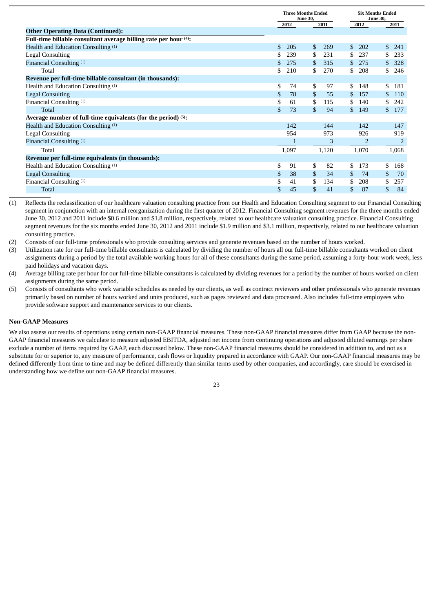|                                                                  |            | <b>Three Months Ended</b><br><b>June 30,</b><br>2011<br>2012 |       |                      | <b>Six Months Ended</b><br><b>June 30,</b><br>2011 |
|------------------------------------------------------------------|------------|--------------------------------------------------------------|-------|----------------------|----------------------------------------------------|
| <b>Other Operating Data (Continued):</b>                         |            |                                                              |       | 2012                 |                                                    |
| Full-time billable consultant average billing rate per hour (4): |            |                                                              |       |                      |                                                    |
| Health and Education Consulting (1)                              | \$.<br>205 | \$                                                           | 269   | $\mathcal{S}$<br>202 | \$<br>241                                          |
| <b>Legal Consulting</b>                                          | 239        | \$                                                           | 231   | 237<br>\$            | \$<br>233                                          |
| Financial Consulting (1)                                         | 275        | \$                                                           | 315   | \$.<br>275           | 328<br>\$                                          |
| Total                                                            | 210        | \$                                                           | 270   | \$<br>208            | \$<br>246                                          |
| Revenue per full-time billable consultant (in thousands):        |            |                                                              |       |                      |                                                    |
| Health and Education Consulting (1)                              | \$         | \$<br>74                                                     | 97    | \$<br>148            | \$<br>181                                          |
| <b>Legal Consulting</b>                                          | \$         | \$<br>78                                                     | 55    | \$<br>157            | \$<br>110                                          |
| Financial Consulting (1)                                         | \$         | \$<br>61                                                     | 115   | \$.<br>140           | \$<br>242                                          |
| Total                                                            | \$         | \$<br>73                                                     | 94    | \$.<br>149           | \$.<br>177                                         |
| Average number of full-time equivalents (for the period) (5):    |            |                                                              |       |                      |                                                    |
| Health and Education Consulting (1)                              | 142        |                                                              | 144   | 142                  | 147                                                |
| <b>Legal Consulting</b>                                          | 954        |                                                              | 973   | 926                  | 919                                                |
| Financial Consulting (1)                                         |            |                                                              | 3     | $\overline{2}$       | $\overline{2}$                                     |
| Total                                                            | 1,097      |                                                              | 1,120 | 1,070                | 1,068                                              |
| Revenue per full-time equivalents (in thousands):                |            |                                                              |       |                      |                                                    |
| Health and Education Consulting (1)                              | \$         | \$<br>91                                                     | 82    | \$<br>173            | \$<br>168                                          |
| <b>Legal Consulting</b>                                          | \$         | \$<br>38                                                     | 34    | 74<br>\$.            | \$<br>70                                           |
| Financial Consulting (1)                                         | \$         | \$<br>41                                                     | 134   | \$.<br>208           | \$<br>257                                          |
| <b>Total</b>                                                     | \$         | \$<br>45                                                     | 41    | \$<br>87             | \$<br>84                                           |

(1) Reflects the reclassification of our healthcare valuation consulting practice from our Health and Education Consulting segment to our Financial Consulting segment in conjunction with an internal reorganization during the first quarter of 2012. Financial Consulting segment revenues for the three months ended June 30, 2012 and 2011 include \$0.6 million and \$1.8 million, respectively, related to our healthcare valuation consulting practice. Financial Consulting segment revenues for the six months ended June 30, 2012 and 2011 include \$1.9 million and \$3.1 million, respectively, related to our healthcare valuation consulting practice.

(2) Consists of our full-time professionals who provide consulting services and generate revenues based on the number of hours worked.

(3) Utilization rate for our full-time billable consultants is calculated by dividing the number of hours all our full-time billable consultants worked on client assignments during a period by the total available working hours for all of these consultants during the same period, assuming a forty-hour work week, less paid holidays and vacation days.

(4) Average billing rate per hour for our full-time billable consultants is calculated by dividing revenues for a period by the number of hours worked on client assignments during the same period.

(5) Consists of consultants who work variable schedules as needed by our clients, as well as contract reviewers and other professionals who generate revenues primarily based on number of hours worked and units produced, such as pages reviewed and data processed. Also includes full-time employees who provide software support and maintenance services to our clients.

#### **Non-GAAP Measures**

We also assess our results of operations using certain non-GAAP financial measures. These non-GAAP financial measures differ from GAAP because the non-GAAP financial measures we calculate to measure adjusted EBITDA, adjusted net income from continuing operations and adjusted diluted earnings per share exclude a number of items required by GAAP, each discussed below. These non-GAAP financial measures should be considered in addition to, and not as a substitute for or superior to, any measure of performance, cash flows or liquidity prepared in accordance with GAAP. Our non-GAAP financial measures may be defined differently from time to time and may be defined differently than similar terms used by other companies, and accordingly, care should be exercised in understanding how we define our non-GAAP financial measures.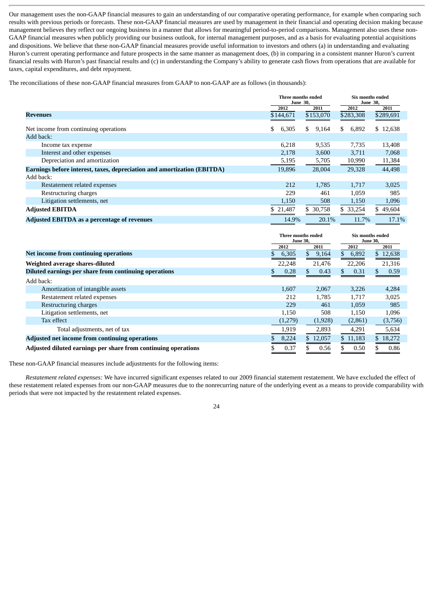Our management uses the non-GAAP financial measures to gain an understanding of our comparative operating performance, for example when comparing such results with previous periods or forecasts. These non-GAAP financial measures are used by management in their financial and operating decision making because management believes they reflect our ongoing business in a manner that allows for meaningful period-to-period comparisons. Management also uses these non-GAAP financial measures when publicly providing our business outlook, for internal management purposes, and as a basis for evaluating potential acquisitions and dispositions. We believe that these non-GAAP financial measures provide useful information to investors and others (a) in understanding and evaluating Huron's current operating performance and future prospects in the same manner as management does, (b) in comparing in a consistent manner Huron's current financial results with Huron's past financial results and (c) in understanding the Company's ability to generate cash flows from operations that are available for taxes, capital expenditures, and debt repayment.

The reconciliations of these non-GAAP financial measures from GAAP to non-GAAP are as follows (in thousands):

|                                                                         | Three months ended<br><b>June 30,</b> |             | Six months ended<br><b>June 30,</b> |           |
|-------------------------------------------------------------------------|---------------------------------------|-------------|-------------------------------------|-----------|
|                                                                         | 2012                                  | 2011        | 2012                                | 2011      |
| <b>Revenues</b>                                                         | \$144,671                             | \$153,070   | \$283,308                           | \$289,691 |
|                                                                         |                                       |             |                                     |           |
| Net income from continuing operations                                   | 6,305<br>\$.                          | 9,164<br>S. | 6,892<br>\$                         | \$12,638  |
| Add back:                                                               |                                       |             |                                     |           |
| Income tax expense                                                      | 6,218                                 | 9,535       | 7,735                               | 13,408    |
| Interest and other expenses                                             | 2,178                                 | 3,600       | 3,711                               | 7,068     |
| Depreciation and amortization                                           | 5,195                                 | 5,705       | 10,990                              | 11,384    |
| Earnings before interest, taxes, depreciation and amortization (EBITDA) | 19,896                                | 28,004      | 29,328                              | 44,498    |
| Add back:                                                               |                                       |             |                                     |           |
| Restatement related expenses                                            | 212                                   | 1,785       | 1,717                               | 3,025     |
| Restructuring charges                                                   | 229                                   | 461         | 1,059                               | 985       |
| Litigation settlements, net                                             | 1,150                                 | 508         | 1,150                               | 1,096     |
| <b>Adjusted EBITDA</b>                                                  | 21,487                                | \$ 30,758   | \$ 33,254                           | \$49,604  |
| Adjusted EBITDA as a percentage of revenues                             | 14.9%                                 | 20.1%       | 11.7%                               | 17.1%     |

|                                                                | Three months ended<br><b>June 30,</b> |             | Six months ended<br><b>June 30,</b> |          |  |
|----------------------------------------------------------------|---------------------------------------|-------------|-------------------------------------|----------|--|
|                                                                | 2012                                  | 2011        | 2012                                | 2011     |  |
| Net income from continuing operations                          | 6,305                                 | 9,164<br>\$ | \$<br>6,892                         | \$12,638 |  |
| Weighted average shares-diluted                                | 22,248                                | 21,476      | 22,206                              | 21,316   |  |
| Diluted earnings per share from continuing operations          | 0.28                                  | 0.43        | 0.31<br>S.                          | 0.59     |  |
| Add back:                                                      |                                       |             |                                     |          |  |
| Amortization of intangible assets                              | 1.607                                 | 2,067       | 3,226                               | 4,284    |  |
| Restatement related expenses                                   | 212                                   | 1.785       | 1.717                               | 3,025    |  |
| Restructuring charges                                          | 229                                   | 461         | 1,059                               | 985      |  |
| Litigation settlements, net                                    | 1,150                                 | 508         | 1,150                               | 1,096    |  |
| Tax effect                                                     | (1,279)                               | (1,928)     | (2,861)                             | (3,756)  |  |
| Total adjustments, net of tax                                  | 1,919                                 | 2,893       | 4,291                               | 5,634    |  |
| Adjusted net income from continuing operations                 | 8,224                                 | \$12,057    | \$11,183                            | \$18,272 |  |
| Adjusted diluted earnings per share from continuing operations | 0.37                                  | 0.56        | 0.50                                | 0.86     |  |

These non-GAAP financial measures include adjustments for the following items:

*Restatement related expenses:* We have incurred significant expenses related to our 2009 financial statement restatement. We have excluded the effect of these restatement related expenses from our non-GAAP measures due to the nonrecurring nature of the underlying event as a means to provide comparability with periods that were not impacted by the restatement related expenses.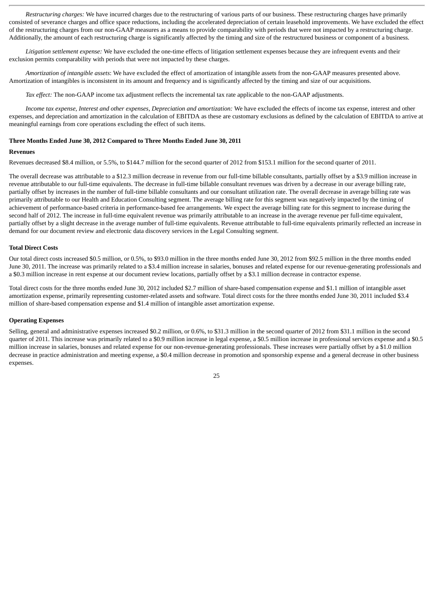*Restructuring charges:* We have incurred charges due to the restructuring of various parts of our business. These restructuring charges have primarily consisted of severance charges and office space reductions, including the accelerated depreciation of certain leasehold improvements. We have excluded the effect of the restructuring charges from our non-GAAP measures as a means to provide comparability with periods that were not impacted by a restructuring charge. Additionally, the amount of each restructuring charge is significantly affected by the timing and size of the restructured business or component of a business.

*Litigation settlement expense:* We have excluded the one-time effects of litigation settlement expenses because they are infrequent events and their exclusion permits comparability with periods that were not impacted by these charges.

*Amortization of intangible assets*: We have excluded the effect of amortization of intangible assets from the non-GAAP measures presented above. Amortization of intangibles is inconsistent in its amount and frequency and is significantly affected by the timing and size of our acquisitions.

*Tax effect:* The non-GAAP income tax adjustment reflects the incremental tax rate applicable to the non-GAAP adjustments.

*Income tax expense, Interest and other expenses, Depreciation and amortization:* We have excluded the effects of income tax expense, interest and other expenses, and depreciation and amortization in the calculation of EBITDA as these are customary exclusions as defined by the calculation of EBITDA to arrive at meaningful earnings from core operations excluding the effect of such items.

#### **Three Months Ended June 30, 2012 Compared to Three Months Ended June 30, 2011**

#### **Revenues**

Revenues decreased \$8.4 million, or 5.5%, to \$144.7 million for the second quarter of 2012 from \$153.1 million for the second quarter of 2011.

The overall decrease was attributable to a \$12.3 million decrease in revenue from our full-time billable consultants, partially offset by a \$3.9 million increase in revenue attributable to our full-time equivalents. The decrease in full-time billable consultant revenues was driven by a decrease in our average billing rate, partially offset by increases in the number of full-time billable consultants and our consultant utilization rate. The overall decrease in average billing rate was primarily attributable to our Health and Education Consulting segment. The average billing rate for this segment was negatively impacted by the timing of achievement of performance-based criteria in performance-based fee arrangements. We expect the average billing rate for this segment to increase during the second half of 2012. The increase in full-time equivalent revenue was primarily attributable to an increase in the average revenue per full-time equivalent, partially offset by a slight decrease in the average number of full-time equivalents. Revenue attributable to full-time equivalents primarily reflected an increase in demand for our document review and electronic data discovery services in the Legal Consulting segment.

#### **Total Direct Costs**

Our total direct costs increased \$0.5 million, or 0.5%, to \$93.0 million in the three months ended June 30, 2012 from \$92.5 million in the three months ended June 30, 2011. The increase was primarily related to a \$3.4 million increase in salaries, bonuses and related expense for our revenue-generating professionals and a \$0.3 million increase in rent expense at our document review locations, partially offset by a \$3.1 million decrease in contractor expense.

Total direct costs for the three months ended June 30, 2012 included \$2.7 million of share-based compensation expense and \$1.1 million of intangible asset amortization expense, primarily representing customer-related assets and software. Total direct costs for the three months ended June 30, 2011 included \$3.4 million of share-based compensation expense and \$1.4 million of intangible asset amortization expense.

#### **Operating Expenses**

Selling, general and administrative expenses increased \$0.2 million, or 0.6%, to \$31.3 million in the second quarter of 2012 from \$31.1 million in the second quarter of 2011. This increase was primarily related to a \$0.9 million increase in legal expense, a \$0.5 million increase in professional services expense and a \$0.5 million increase in salaries, bonuses and related expense for our non-revenue-generating professionals. These increases were partially offset by a \$1.0 million decrease in practice administration and meeting expense, a \$0.4 million decrease in promotion and sponsorship expense and a general decrease in other business expenses.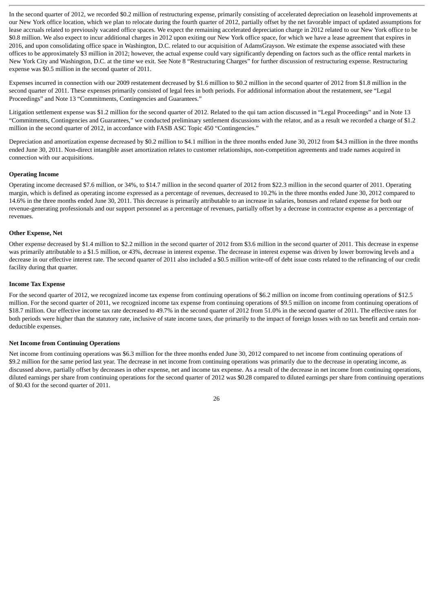In the second quarter of 2012, we recorded \$0.2 million of restructuring expense, primarily consisting of accelerated depreciation on leasehold improvements at our New York office location, which we plan to relocate during the fourth quarter of 2012, partially offset by the net favorable impact of updated assumptions for lease accruals related to previously vacated office spaces. We expect the remaining accelerated depreciation charge in 2012 related to our New York office to be \$0.8 million. We also expect to incur additional charges in 2012 upon exiting our New York office space, for which we have a lease agreement that expires in 2016, and upon consolidating office space in Washington, D.C. related to our acquisition of AdamsGrayson. We estimate the expense associated with these offices to be approximately \$3 million in 2012; however, the actual expense could vary significantly depending on factors such as the office rental markets in New York City and Washington, D.C. at the time we exit. See Note 8 "Restructuring Charges" for further discussion of restructuring expense. Restructuring expense was \$0.5 million in the second quarter of 2011.

Expenses incurred in connection with our 2009 restatement decreased by \$1.6 million to \$0.2 million in the second quarter of 2012 from \$1.8 million in the second quarter of 2011. These expenses primarily consisted of legal fees in both periods. For additional information about the restatement, see "Legal Proceedings" and Note 13 "Commitments, Contingencies and Guarantees."

Litigation settlement expense was \$1.2 million for the second quarter of 2012. Related to the qui tam action discussed in "Legal Proceedings" and in Note 13 "Commitments, Contingencies and Guarantees," we conducted preliminary settlement discussions with the relator, and as a result we recorded a charge of \$1.2 million in the second quarter of 2012, in accordance with FASB ASC Topic 450 "Contingencies."

Depreciation and amortization expense decreased by \$0.2 million to \$4.1 million in the three months ended June 30, 2012 from \$4.3 million in the three months ended June 30, 2011. Non-direct intangible asset amortization relates to customer relationships, non-competition agreements and trade names acquired in connection with our acquisitions.

#### **Operating Income**

Operating income decreased \$7.6 million, or 34%, to \$14.7 million in the second quarter of 2012 from \$22.3 million in the second quarter of 2011. Operating margin, which is defined as operating income expressed as a percentage of revenues, decreased to 10.2% in the three months ended June 30, 2012 compared to 14.6% in the three months ended June 30, 2011. This decrease is primarily attributable to an increase in salaries, bonuses and related expense for both our revenue-generating professionals and our support personnel as a percentage of revenues, partially offset by a decrease in contractor expense as a percentage of revenues.

#### **Other Expense, Net**

Other expense decreased by \$1.4 million to \$2.2 million in the second quarter of 2012 from \$3.6 million in the second quarter of 2011. This decrease in expense was primarily attributable to a \$1.5 million, or 43%, decrease in interest expense. The decrease in interest expense was driven by lower borrowing levels and a decrease in our effective interest rate. The second quarter of 2011 also included a \$0.5 million write-off of debt issue costs related to the refinancing of our credit facility during that quarter.

### **Income Tax Expense**

For the second quarter of 2012, we recognized income tax expense from continuing operations of \$6.2 million on income from continuing operations of \$12.5 million. For the second quarter of 2011, we recognized income tax expense from continuing operations of \$9.5 million on income from continuing operations of \$18.7 million. Our effective income tax rate decreased to 49.7% in the second quarter of 2012 from 51.0% in the second quarter of 2011. The effective rates for both periods were higher than the statutory rate, inclusive of state income taxes, due primarily to the impact of foreign losses with no tax benefit and certain nondeductible expenses.

#### **Net Income from Continuing Operations**

Net income from continuing operations was \$6.3 million for the three months ended June 30, 2012 compared to net income from continuing operations of \$9.2 million for the same period last year. The decrease in net income from continuing operations was primarily due to the decrease in operating income, as discussed above, partially offset by decreases in other expense, net and income tax expense. As a result of the decrease in net income from continuing operations, diluted earnings per share from continuing operations for the second quarter of 2012 was \$0.28 compared to diluted earnings per share from continuing operations of \$0.43 for the second quarter of 2011.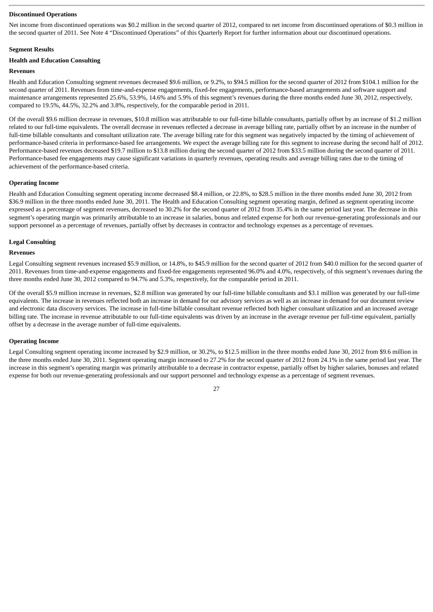#### **Discontinued Operations**

Net income from discontinued operations was \$0.2 million in the second quarter of 2012, compared to net income from discontinued operations of \$0.3 million in the second quarter of 2011. See Note 4 "Discontinued Operations" of this Quarterly Report for further information about our discontinued operations.

#### **Segment Results**

# **Health and Education Consulting**

# **Revenues**

Health and Education Consulting segment revenues decreased \$9.6 million, or 9.2%, to \$94.5 million for the second quarter of 2012 from \$104.1 million for the second quarter of 2011. Revenues from time-and-expense engagements, fixed-fee engagements, performance-based arrangements and software support and maintenance arrangements represented 25.6%, 53.9%, 14.6% and 5.9% of this segment's revenues during the three months ended June 30, 2012, respectively, compared to 19.5%, 44.5%, 32.2% and 3.8%, respectively, for the comparable period in 2011.

Of the overall \$9.6 million decrease in revenues, \$10.8 million was attributable to our full-time billable consultants, partially offset by an increase of \$1.2 million related to our full-time equivalents. The overall decrease in revenues reflected a decrease in average billing rate, partially offset by an increase in the number of full-time billable consultants and consultant utilization rate. The average billing rate for this segment was negatively impacted by the timing of achievement of performance-based criteria in performance-based fee arrangements. We expect the average billing rate for this segment to increase during the second half of 2012. Performance-based revenues decreased \$19.7 million to \$13.8 million during the second quarter of 2012 from \$33.5 million during the second quarter of 2011. Performance-based fee engagements may cause significant variations in quarterly revenues, operating results and average billing rates due to the timing of achievement of the performance-based criteria.

#### **Operating Income**

Health and Education Consulting segment operating income decreased \$8.4 million, or 22.8%, to \$28.5 million in the three months ended June 30, 2012 from \$36.9 million in the three months ended June 30, 2011. The Health and Education Consulting segment operating margin, defined as segment operating income expressed as a percentage of segment revenues, decreased to 30.2% for the second quarter of 2012 from 35.4% in the same period last year. The decrease in this segment's operating margin was primarily attributable to an increase in salaries, bonus and related expense for both our revenue-generating professionals and our support personnel as a percentage of revenues, partially offset by decreases in contractor and technology expenses as a percentage of revenues.

#### **Legal Consulting**

#### **Revenues**

Legal Consulting segment revenues increased \$5.9 million, or 14.8%, to \$45.9 million for the second quarter of 2012 from \$40.0 million for the second quarter of 2011. Revenues from time-and-expense engagements and fixed-fee engagements represented 96.0% and 4.0%, respectively, of this segment's revenues during the three months ended June 30, 2012 compared to 94.7% and 5.3%, respectively, for the comparable period in 2011.

Of the overall \$5.9 million increase in revenues, \$2.8 million was generated by our full-time billable consultants and \$3.1 million was generated by our full-time equivalents. The increase in revenues reflected both an increase in demand for our advisory services as well as an increase in demand for our document review and electronic data discovery services. The increase in full-time billable consultant revenue reflected both higher consultant utilization and an increased average billing rate. The increase in revenue attributable to our full-time equivalents was driven by an increase in the average revenue per full-time equivalent, partially offset by a decrease in the average number of full-time equivalents.

#### **Operating Income**

Legal Consulting segment operating income increased by \$2.9 million, or 30.2%, to \$12.5 million in the three months ended June 30, 2012 from \$9.6 million in the three months ended June 30, 2011. Segment operating margin increased to 27.2% for the second quarter of 2012 from 24.1% in the same period last year. The increase in this segment's operating margin was primarily attributable to a decrease in contractor expense, partially offset by higher salaries, bonuses and related expense for both our revenue-generating professionals and our support personnel and technology expense as a percentage of segment revenues.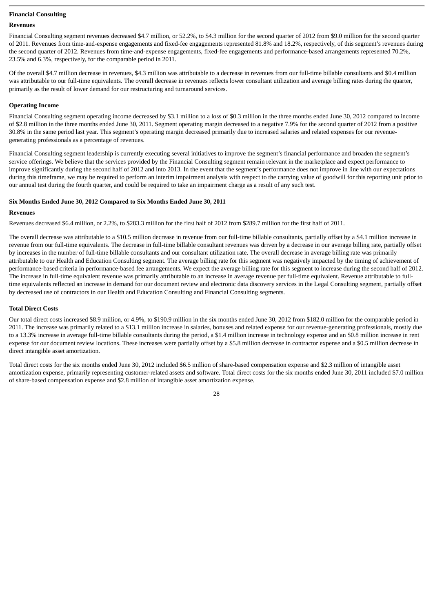# **Financial Consulting**

#### **Revenues**

Financial Consulting segment revenues decreased \$4.7 million, or 52.2%, to \$4.3 million for the second quarter of 2012 from \$9.0 million for the second quarter of 2011. Revenues from time-and-expense engagements and fixed-fee engagements represented 81.8% and 18.2%, respectively, of this segment's revenues during the second quarter of 2012. Revenues from time-and-expense engagements, fixed-fee engagements and performance-based arrangements represented 70.2%, 23.5% and 6.3%, respectively, for the comparable period in 2011.

Of the overall \$4.7 million decrease in revenues, \$4.3 million was attributable to a decrease in revenues from our full-time billable consultants and \$0.4 million was attributable to our full-time equivalents. The overall decrease in revenues reflects lower consultant utilization and average billing rates during the quarter, primarily as the result of lower demand for our restructuring and turnaround services.

#### **Operating Income**

Financial Consulting segment operating income decreased by \$3.1 million to a loss of \$0.3 million in the three months ended June 30, 2012 compared to income of \$2.8 million in the three months ended June 30, 2011. Segment operating margin decreased to a negative 7.9% for the second quarter of 2012 from a positive 30.8% in the same period last year. This segment's operating margin decreased primarily due to increased salaries and related expenses for our revenuegenerating professionals as a percentage of revenues.

Financial Consulting segment leadership is currently executing several initiatives to improve the segment's financial performance and broaden the segment's service offerings. We believe that the services provided by the Financial Consulting segment remain relevant in the marketplace and expect performance to improve significantly during the second half of 2012 and into 2013. In the event that the segment's performance does not improve in line with our expectations during this timeframe, we may be required to perform an interim impairment analysis with respect to the carrying value of goodwill for this reporting unit prior to our annual test during the fourth quarter, and could be required to take an impairment charge as a result of any such test.

# **Six Months Ended June 30, 2012 Compared to Six Months Ended June 30, 2011**

#### **Revenues**

Revenues decreased \$6.4 million, or 2.2%, to \$283.3 million for the first half of 2012 from \$289.7 million for the first half of 2011.

The overall decrease was attributable to a \$10.5 million decrease in revenue from our full-time billable consultants, partially offset by a \$4.1 million increase in revenue from our full-time equivalents. The decrease in full-time billable consultant revenues was driven by a decrease in our average billing rate, partially offset by increases in the number of full-time billable consultants and our consultant utilization rate. The overall decrease in average billing rate was primarily attributable to our Health and Education Consulting segment. The average billing rate for this segment was negatively impacted by the timing of achievement of performance-based criteria in performance-based fee arrangements. We expect the average billing rate for this segment to increase during the second half of 2012. The increase in full-time equivalent revenue was primarily attributable to an increase in average revenue per full-time equivalent. Revenue attributable to fulltime equivalents reflected an increase in demand for our document review and electronic data discovery services in the Legal Consulting segment, partially offset by decreased use of contractors in our Health and Education Consulting and Financial Consulting segments.

# **Total Direct Costs**

Our total direct costs increased \$8.9 million, or 4.9%, to \$190.9 million in the six months ended June 30, 2012 from \$182.0 million for the comparable period in 2011. The increase was primarily related to a \$13.1 million increase in salaries, bonuses and related expense for our revenue-generating professionals, mostly due to a 13.3% increase in average full-time billable consultants during the period, a \$1.4 million increase in technology expense and an \$0.8 million increase in rent expense for our document review locations. These increases were partially offset by a \$5.8 million decrease in contractor expense and a \$0.5 million decrease in direct intangible asset amortization.

Total direct costs for the six months ended June 30, 2012 included \$6.5 million of share-based compensation expense and \$2.3 million of intangible asset amortization expense, primarily representing customer-related assets and software. Total direct costs for the six months ended June 30, 2011 included \$7.0 million of share-based compensation expense and \$2.8 million of intangible asset amortization expense.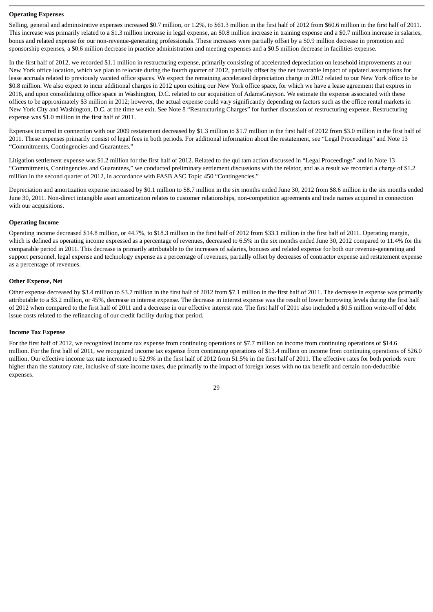# **Operating Expenses**

Selling, general and administrative expenses increased \$0.7 million, or 1.2%, to \$61.3 million in the first half of 2012 from \$60.6 million in the first half of 2011. This increase was primarily related to a \$1.3 million increase in legal expense, an \$0.8 million increase in training expense and a \$0.7 million increase in salaries, bonus and related expense for our non-revenue-generating professionals. These increases were partially offset by a \$0.9 million decrease in promotion and sponsorship expenses, a \$0.6 million decrease in practice administration and meeting expenses and a \$0.5 million decrease in facilities expense.

In the first half of 2012, we recorded \$1.1 million in restructuring expense, primarily consisting of accelerated depreciation on leasehold improvements at our New York office location, which we plan to relocate during the fourth quarter of 2012, partially offset by the net favorable impact of updated assumptions for lease accruals related to previously vacated office spaces. We expect the remaining accelerated depreciation charge in 2012 related to our New York office to be \$0.8 million. We also expect to incur additional charges in 2012 upon exiting our New York office space, for which we have a lease agreement that expires in 2016, and upon consolidating office space in Washington, D.C. related to our acquisition of AdamsGrayson. We estimate the expense associated with these offices to be approximately \$3 million in 2012; however, the actual expense could vary significantly depending on factors such as the office rental markets in New York City and Washington, D.C. at the time we exit. See Note 8 "Restructuring Charges" for further discussion of restructuring expense. Restructuring expense was \$1.0 million in the first half of 2011.

Expenses incurred in connection with our 2009 restatement decreased by \$1.3 million to \$1.7 million in the first half of 2012 from \$3.0 million in the first half of 2011. These expenses primarily consist of legal fees in both periods. For additional information about the restatement, see "Legal Proceedings" and Note 13 "Commitments, Contingencies and Guarantees."

Litigation settlement expense was \$1.2 million for the first half of 2012. Related to the qui tam action discussed in "Legal Proceedings" and in Note 13 "Commitments, Contingencies and Guarantees," we conducted preliminary settlement discussions with the relator, and as a result we recorded a charge of \$1.2 million in the second quarter of 2012, in accordance with FASB ASC Topic 450 "Contingencies."

Depreciation and amortization expense increased by \$0.1 million to \$8.7 million in the six months ended June 30, 2012 from \$8.6 million in the six months ended June 30, 2011. Non-direct intangible asset amortization relates to customer relationships, non-competition agreements and trade names acquired in connection with our acquisitions.

# **Operating Income**

Operating income decreased \$14.8 million, or 44.7%, to \$18.3 million in the first half of 2012 from \$33.1 million in the first half of 2011. Operating margin, which is defined as operating income expressed as a percentage of revenues, decreased to 6.5% in the six months ended June 30, 2012 compared to 11.4% for the comparable period in 2011. This decrease is primarily attributable to the increases of salaries, bonuses and related expense for both our revenue-generating and support personnel, legal expense and technology expense as a percentage of revenues, partially offset by decreases of contractor expense and restatement expense as a percentage of revenues.

# **Other Expense, Net**

Other expense decreased by \$3.4 million to \$3.7 million in the first half of 2012 from \$7.1 million in the first half of 2011. The decrease in expense was primarily attributable to a \$3.2 million, or 45%, decrease in interest expense. The decrease in interest expense was the result of lower borrowing levels during the first half of 2012 when compared to the first half of 2011 and a decrease in our effective interest rate. The first half of 2011 also included a \$0.5 million write-off of debt issue costs related to the refinancing of our credit facility during that period.

# **Income Tax Expense**

For the first half of 2012, we recognized income tax expense from continuing operations of \$7.7 million on income from continuing operations of \$14.6 million. For the first half of 2011, we recognized income tax expense from continuing operations of \$13.4 million on income from continuing operations of \$26.0 million. Our effective income tax rate increased to 52.9% in the first half of 2012 from 51.5% in the first half of 2011. The effective rates for both periods were higher than the statutory rate, inclusive of state income taxes, due primarily to the impact of foreign losses with no tax benefit and certain non-deductible expenses.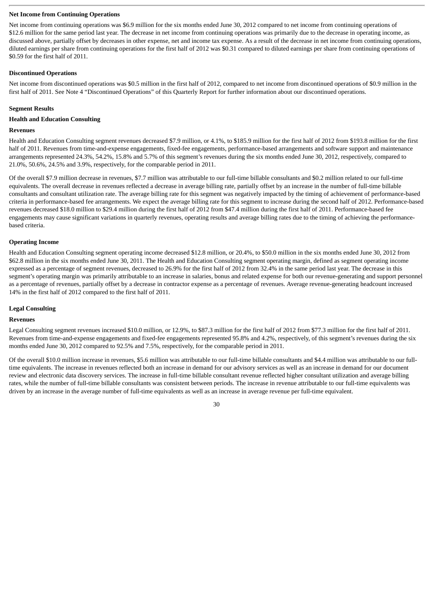#### **Net Income from Continuing Operations**

Net income from continuing operations was \$6.9 million for the six months ended June 30, 2012 compared to net income from continuing operations of \$12.6 million for the same period last year. The decrease in net income from continuing operations was primarily due to the decrease in operating income, as discussed above, partially offset by decreases in other expense, net and income tax expense. As a result of the decrease in net income from continuing operations, diluted earnings per share from continuing operations for the first half of 2012 was \$0.31 compared to diluted earnings per share from continuing operations of \$0.59 for the first half of 2011.

#### **Discontinued Operations**

Net income from discontinued operations was \$0.5 million in the first half of 2012, compared to net income from discontinued operations of \$0.9 million in the first half of 2011. See Note 4 "Discontinued Operations" of this Quarterly Report for further information about our discontinued operations.

#### **Segment Results**

#### **Health and Education Consulting**

#### **Revenues**

Health and Education Consulting segment revenues decreased \$7.9 million, or 4.1%, to \$185.9 million for the first half of 2012 from \$193.8 million for the first half of 2011. Revenues from time-and-expense engagements, fixed-fee engagements, performance-based arrangements and software support and maintenance arrangements represented 24.3%, 54.2%, 15.8% and 5.7% of this segment's revenues during the six months ended June 30, 2012, respectively, compared to 21.0%, 50.6%, 24.5% and 3.9%, respectively, for the comparable period in 2011.

Of the overall \$7.9 million decrease in revenues, \$7.7 million was attributable to our full-time billable consultants and \$0.2 million related to our full-time equivalents. The overall decrease in revenues reflected a decrease in average billing rate, partially offset by an increase in the number of full-time billable consultants and consultant utilization rate. The average billing rate for this segment was negatively impacted by the timing of achievement of performance-based criteria in performance-based fee arrangements. We expect the average billing rate for this segment to increase during the second half of 2012. Performance-based revenues decreased \$18.0 million to \$29.4 million during the first half of 2012 from \$47.4 million during the first half of 2011. Performance-based fee engagements may cause significant variations in quarterly revenues, operating results and average billing rates due to the timing of achieving the performancebased criteria.

#### **Operating Income**

Health and Education Consulting segment operating income decreased \$12.8 million, or 20.4%, to \$50.0 million in the six months ended June 30, 2012 from \$62.8 million in the six months ended June 30, 2011. The Health and Education Consulting segment operating margin, defined as segment operating income expressed as a percentage of segment revenues, decreased to 26.9% for the first half of 2012 from 32.4% in the same period last year. The decrease in this segment's operating margin was primarily attributable to an increase in salaries, bonus and related expense for both our revenue-generating and support personnel as a percentage of revenues, partially offset by a decrease in contractor expense as a percentage of revenues. Average revenue-generating headcount increased 14% in the first half of 2012 compared to the first half of 2011.

# **Legal Consulting**

#### **Revenues**

Legal Consulting segment revenues increased \$10.0 million, or 12.9%, to \$87.3 million for the first half of 2012 from \$77.3 million for the first half of 2011. Revenues from time-and-expense engagements and fixed-fee engagements represented 95.8% and 4.2%, respectively, of this segment's revenues during the six months ended June 30, 2012 compared to 92.5% and 7.5%, respectively, for the comparable period in 2011.

Of the overall \$10.0 million increase in revenues, \$5.6 million was attributable to our full-time billable consultants and \$4.4 million was attributable to our fulltime equivalents. The increase in revenues reflected both an increase in demand for our advisory services as well as an increase in demand for our document review and electronic data discovery services. The increase in full-time billable consultant revenue reflected higher consultant utilization and average billing rates, while the number of full-time billable consultants was consistent between periods. The increase in revenue attributable to our full-time equivalents was driven by an increase in the average number of full-time equivalents as well as an increase in average revenue per full-time equivalent.

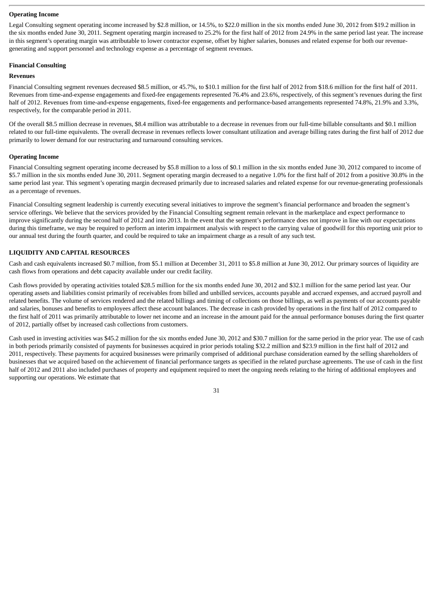#### **Operating Income**

Legal Consulting segment operating income increased by \$2.8 million, or 14.5%, to \$22.0 million in the six months ended June 30, 2012 from \$19.2 million in the six months ended June 30, 2011. Segment operating margin increased to 25.2% for the first half of 2012 from 24.9% in the same period last year. The increase in this segment's operating margin was attributable to lower contractor expense, offset by higher salaries, bonuses and related expense for both our revenuegenerating and support personnel and technology expense as a percentage of segment revenues.

#### **Financial Consulting**

#### **Revenues**

Financial Consulting segment revenues decreased \$8.5 million, or 45.7%, to \$10.1 million for the first half of 2012 from \$18.6 million for the first half of 2011. Revenues from time-and-expense engagements and fixed-fee engagements represented 76.4% and 23.6%, respectively, of this segment's revenues during the first half of 2012. Revenues from time-and-expense engagements, fixed-fee engagements and performance-based arrangements represented 74.8%, 21.9% and 3.3%, respectively, for the comparable period in 2011.

Of the overall \$8.5 million decrease in revenues, \$8.4 million was attributable to a decrease in revenues from our full-time billable consultants and \$0.1 million related to our full-time equivalents. The overall decrease in revenues reflects lower consultant utilization and average billing rates during the first half of 2012 due primarily to lower demand for our restructuring and turnaround consulting services.

# **Operating Income**

Financial Consulting segment operating income decreased by \$5.8 million to a loss of \$0.1 million in the six months ended June 30, 2012 compared to income of \$5.7 million in the six months ended June 30, 2011. Segment operating margin decreased to a negative 1.0% for the first half of 2012 from a positive 30.8% in the same period last year. This segment's operating margin decreased primarily due to increased salaries and related expense for our revenue-generating professionals as a percentage of revenues.

Financial Consulting segment leadership is currently executing several initiatives to improve the segment's financial performance and broaden the segment's service offerings. We believe that the services provided by the Financial Consulting segment remain relevant in the marketplace and expect performance to improve significantly during the second half of 2012 and into 2013. In the event that the segment's performance does not improve in line with our expectations during this timeframe, we may be required to perform an interim impairment analysis with respect to the carrying value of goodwill for this reporting unit prior to our annual test during the fourth quarter, and could be required to take an impairment charge as a result of any such test.

#### **LIQUIDITY AND CAPITAL RESOURCES**

Cash and cash equivalents increased \$0.7 million, from \$5.1 million at December 31, 2011 to \$5.8 million at June 30, 2012. Our primary sources of liquidity are cash flows from operations and debt capacity available under our credit facility.

Cash flows provided by operating activities totaled \$28.5 million for the six months ended June 30, 2012 and \$32.1 million for the same period last year. Our operating assets and liabilities consist primarily of receivables from billed and unbilled services, accounts payable and accrued expenses, and accrued payroll and related benefits. The volume of services rendered and the related billings and timing of collections on those billings, as well as payments of our accounts payable and salaries, bonuses and benefits to employees affect these account balances. The decrease in cash provided by operations in the first half of 2012 compared to the first half of 2011 was primarily attributable to lower net income and an increase in the amount paid for the annual performance bonuses during the first quarter of 2012, partially offset by increased cash collections from customers.

Cash used in investing activities was \$45.2 million for the six months ended June 30, 2012 and \$30.7 million for the same period in the prior year. The use of cash in both periods primarily consisted of payments for businesses acquired in prior periods totaling \$32.2 million and \$23.9 million in the first half of 2012 and 2011, respectively. These payments for acquired businesses were primarily comprised of additional purchase consideration earned by the selling shareholders of businesses that we acquired based on the achievement of financial performance targets as specified in the related purchase agreements. The use of cash in the first half of 2012 and 2011 also included purchases of property and equipment required to meet the ongoing needs relating to the hiring of additional employees and supporting our operations. We estimate that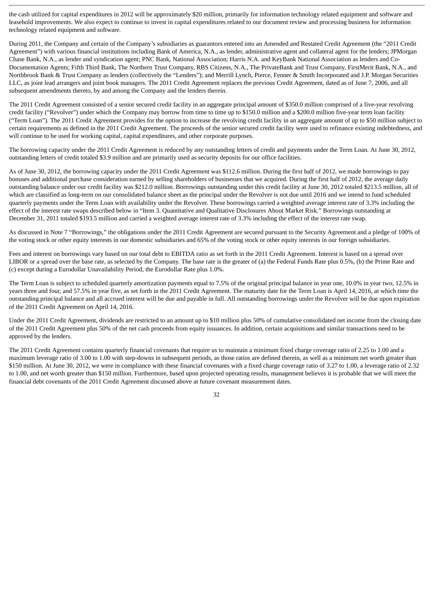the cash utilized for capital expenditures in 2012 will be approximately \$20 million, primarily for information technology related equipment and software and leasehold improvements. We also expect to continue to invest in capital expenditures related to our document review and processing business for information technology related equipment and software.

During 2011, the Company and certain of the Company's subsidiaries as guarantors entered into an Amended and Restated Credit Agreement (the "2011 Credit Agreement") with various financial institutions including Bank of America, N.A., as lender, administrative agent and collateral agent for the lenders; JPMorgan Chase Bank, N.A., as lender and syndication agent; PNC Bank, National Association; Harris N.A. and KeyBank National Association as lenders and Co-Documentation Agents; Fifth Third Bank, The Northern Trust Company, RBS Citizens, N.A., The PrivateBank and Trust Company, FirstMerit Bank, N.A., and Northbrook Bank & Trust Company as lenders (collectively the "Lenders"); and Merrill Lynch, Pierce, Fenner & Smith Incorporated and J.P. Morgan Securities LLC, as joint lead arrangers and joint book managers. The 2011 Credit Agreement replaces the previous Credit Agreement, dated as of June 7, 2006, and all subsequent amendments thereto, by and among the Company and the lenders therein.

The 2011 Credit Agreement consisted of a senior secured credit facility in an aggregate principal amount of \$350.0 million comprised of a five-year revolving credit facility ("Revolver") under which the Company may borrow from time to time up to \$150.0 million and a \$200.0 million five-year term loan facility ("Term Loan"). The 2011 Credit Agreement provides for the option to increase the revolving credit facility in an aggregate amount of up to \$50 million subject to certain requirements as defined in the 2011 Credit Agreement. The proceeds of the senior secured credit facility were used to refinance existing indebtedness, and will continue to be used for working capital, capital expenditures, and other corporate purposes.

The borrowing capacity under the 2011 Credit Agreement is reduced by any outstanding letters of credit and payments under the Term Loan. At June 30, 2012, outstanding letters of credit totaled \$3.9 million and are primarily used as security deposits for our office facilities.

As of June 30, 2012, the borrowing capacity under the 2011 Credit Agreement was \$112.6 million. During the first half of 2012, we made borrowings to pay bonuses and additional purchase consideration earned by selling shareholders of businesses that we acquired. During the first half of 2012, the average daily outstanding balance under our credit facility was \$212.0 million. Borrowings outstanding under this credit facility at June 30, 2012 totaled \$213.5 million, all of which are classified as long-term on our consolidated balance sheet as the principal under the Revolver is not due until 2016 and we intend to fund scheduled quarterly payments under the Term Loan with availability under the Revolver. These borrowings carried a weighted average interest rate of 3.3% including the effect of the interest rate swaps described below in "Item 3. Quantitative and Qualitative Disclosures About Market Risk." Borrowings outstanding at December 31, 2011 totaled \$193.5 million and carried a weighted average interest rate of 3.3% including the effect of the interest rate swap.

As discussed in Note 7 "Borrowings," the obligations under the 2011 Credit Agreement are secured pursuant to the Security Agreement and a pledge of 100% of the voting stock or other equity interests in our domestic subsidiaries and 65% of the voting stock or other equity interests in our foreign subsidiaries.

Fees and interest on borrowings vary based on our total debt to EBITDA ratio as set forth in the 2011 Credit Agreement. Interest is based on a spread over LIBOR or a spread over the base rate, as selected by the Company. The base rate is the greater of (a) the Federal Funds Rate plus 0.5%, (b) the Prime Rate and (c) except during a Eurodollar Unavailability Period, the Eurodollar Rate plus 1.0%.

The Term Loan is subject to scheduled quarterly amortization payments equal to 7.5% of the original principal balance in year one, 10.0% in year two, 12.5% in years three and four, and 57.5% in year five, as set forth in the 2011 Credit Agreement. The maturity date for the Term Loan is April 14, 2016, at which time the outstanding principal balance and all accrued interest will be due and payable in full. All outstanding borrowings under the Revolver will be due upon expiration of the 2011 Credit Agreement on April 14, 2016.

Under the 2011 Credit Agreement, dividends are restricted to an amount up to \$10 million plus 50% of cumulative consolidated net income from the closing date of the 2011 Credit Agreement plus 50% of the net cash proceeds from equity issuances. In addition, certain acquisitions and similar transactions need to be approved by the lenders.

The 2011 Credit Agreement contains quarterly financial covenants that require us to maintain a minimum fixed charge coverage ratio of 2.25 to 1.00 and a maximum leverage ratio of 3.00 to 1.00 with step-downs in subsequent periods, as those ratios are defined therein, as well as a minimum net worth greater than \$150 million. At June 30, 2012, we were in compliance with these financial covenants with a fixed charge coverage ratio of 3.27 to 1.00, a leverage ratio of 2.32 to 1.00, and net worth greater than \$150 million. Furthermore, based upon projected operating results, management believes it is probable that we will meet the financial debt covenants of the 2011 Credit Agreement discussed above at future covenant measurement dates.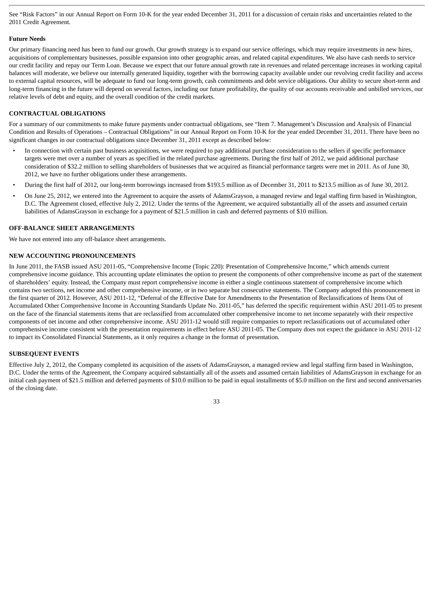See "Risk Factors" in our Annual Report on Form 10-K for the year ended December 31, 2011 for a discussion of certain risks and uncertainties related to the 2011 Credit Agreement.

#### **Future Needs**

Our primary financing need has been to fund our growth. Our growth strategy is to expand our service offerings, which may require investments in new hires, acquisitions of complementary businesses, possible expansion into other geographic areas, and related capital expenditures. We also have cash needs to service our credit facility and repay our Term Loan. Because we expect that our future annual growth rate in revenues and related percentage increases in working capital balances will moderate, we believe our internally generated liquidity, together with the borrowing capacity available under our revolving credit facility and access to external capital resources, will be adequate to fund our long-term growth, cash commitments and debt service obligations. Our ability to secure short-term and long-term financing in the future will depend on several factors, including our future profitability, the quality of our accounts receivable and unbilled services, our relative levels of debt and equity, and the overall condition of the credit markets.

# **CONTRACTUAL OBLIGATIONS**

For a summary of our commitments to make future payments under contractual obligations, see "Item 7. Management's Discussion and Analysis of Financial Condition and Results of Operations – Contractual Obligations" in our Annual Report on Form 10-K for the year ended December 31, 2011. There have been no significant changes in our contractual obligations since December 31, 2011 except as described below:

- In connection with certain past business acquisitions, we were required to pay additional purchase consideration to the sellers if specific performance targets were met over a number of years as specified in the related purchase agreements. During the first half of 2012, we paid additional purchase consideration of \$32.2 million to selling shareholders of businesses that we acquired as financial performance targets were met in 2011. As of June 30, 2012, we have no further obligations under these arrangements.
- During the first half of 2012, our long-term borrowings increased from \$193.5 million as of December 31, 2011 to \$213.5 million as of June 30, 2012.
- On June 25, 2012, we entered into the Agreement to acquire the assets of AdamsGrayson, a managed review and legal staffing firm based in Washington, D.C. The Agreement closed, effective July 2, 2012. Under the terms of the Agreement, we acquired substantially all of the assets and assumed certain liabilities of AdamsGrayson in exchange for a payment of \$21.5 million in cash and deferred payments of \$10 million.

#### **OFF-BALANCE SHEET ARRANGEMENTS**

We have not entered into any off-balance sheet arrangements.

#### **NEW ACCOUNTING PRONOUNCEMENTS**

In June 2011, the FASB issued ASU 2011-05, "Comprehensive Income (Topic 220): Presentation of Comprehensive Income," which amends current comprehensive income guidance. This accounting update eliminates the option to present the components of other comprehensive income as part of the statement of shareholders' equity. Instead, the Company must report comprehensive income in either a single continuous statement of comprehensive income which contains two sections, net income and other comprehensive income, or in two separate but consecutive statements. The Company adopted this pronouncement in the first quarter of 2012. However, ASU 2011-12, "Deferral of the Effective Date for Amendments to the Presentation of Reclassifications of Items Out of Accumulated Other Comprehensive Income in Accounting Standards Update No. 2011-05," has deferred the specific requirement within ASU 2011-05 to present on the face of the financial statements items that are reclassified from accumulated other comprehensive income to net income separately with their respective components of net income and other comprehensive income. ASU 2011-12 would still require companies to report reclassifications out of accumulated other comprehensive income consistent with the presentation requirements in effect before ASU 2011-05. The Company does not expect the guidance in ASU 2011-12 to impact its Consolidated Financial Statements, as it only requires a change in the format of presentation.

# **SUBSEQUENT EVENTS**

Effective July 2, 2012, the Company completed its acquisition of the assets of AdamsGrayson, a managed review and legal staffing firm based in Washington, D.C. Under the terms of the Agreement, the Company acquired substantially all of the assets and assumed certain liabilities of AdamsGrayson in exchange for an initial cash payment of \$21.5 million and deferred payments of \$10.0 million to be paid in equal installments of \$5.0 million on the first and second anniversaries of the closing date.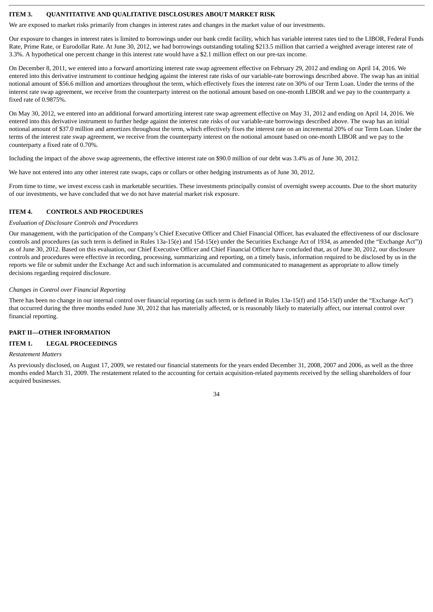# <span id="page-35-0"></span>**ITEM 3. QUANTITATIVE AND QUALITATIVE DISCLOSURES ABOUT MARKET RISK**

We are exposed to market risks primarily from changes in interest rates and changes in the market value of our investments.

Our exposure to changes in interest rates is limited to borrowings under our bank credit facility, which has variable interest rates tied to the LIBOR, Federal Funds Rate, Prime Rate, or Eurodollar Rate. At June 30, 2012, we had borrowings outstanding totaling \$213.5 million that carried a weighted average interest rate of 3.3%. A hypothetical one percent change in this interest rate would have a \$2.1 million effect on our pre-tax income.

On December 8, 2011, we entered into a forward amortizing interest rate swap agreement effective on February 29, 2012 and ending on April 14, 2016. We entered into this derivative instrument to continue hedging against the interest rate risks of our variable-rate borrowings described above. The swap has an initial notional amount of \$56.6 million and amortizes throughout the term, which effectively fixes the interest rate on 30% of our Term Loan. Under the terms of the interest rate swap agreement, we receive from the counterparty interest on the notional amount based on one-month LIBOR and we pay to the counterparty a fixed rate of 0.9875%.

On May 30, 2012, we entered into an additional forward amortizing interest rate swap agreement effective on May 31, 2012 and ending on April 14, 2016. We entered into this derivative instrument to further hedge against the interest rate risks of our variable-rate borrowings described above. The swap has an initial notional amount of \$37.0 million and amortizes throughout the term, which effectively fixes the interest rate on an incremental 20% of our Term Loan. Under the terms of the interest rate swap agreement, we receive from the counterparty interest on the notional amount based on one-month LIBOR and we pay to the counterparty a fixed rate of 0.70%.

Including the impact of the above swap agreements, the effective interest rate on \$90.0 million of our debt was 3.4% as of June 30, 2012.

We have not entered into any other interest rate swaps, caps or collars or other hedging instruments as of June 30, 2012.

From time to time, we invest excess cash in marketable securities. These investments principally consist of overnight sweep accounts. Due to the short maturity of our investments, we have concluded that we do not have material market risk exposure.

# <span id="page-35-1"></span>**ITEM 4. CONTROLS AND PROCEDURES**

#### *Evaluation of Disclosure Controls and Procedures*

Our management, with the participation of the Company's Chief Executive Officer and Chief Financial Officer, has evaluated the effectiveness of our disclosure controls and procedures (as such term is defined in Rules 13a-15(e) and 15d-15(e) under the Securities Exchange Act of 1934, as amended (the "Exchange Act")) as of June 30, 2012. Based on this evaluation, our Chief Executive Officer and Chief Financial Officer have concluded that, as of June 30, 2012, our disclosure controls and procedures were effective in recording, processing, summarizing and reporting, on a timely basis, information required to be disclosed by us in the reports we file or submit under the Exchange Act and such information is accumulated and communicated to management as appropriate to allow timely decisions regarding required disclosure.

#### *Changes in Control over Financial Reporting*

There has been no change in our internal control over financial reporting (as such term is defined in Rules 13a-15(f) and 15d-15(f) under the "Exchange Act") that occurred during the three months ended June 30, 2012 that has materially affected, or is reasonably likely to materially affect, our internal control over financial reporting.

# <span id="page-35-2"></span>**PART II—OTHER INFORMATION**

#### <span id="page-35-3"></span>**ITEM 1. LEGAL PROCEEDINGS**

#### *Restatement Matters*

As previously disclosed, on August 17, 2009, we restated our financial statements for the years ended December 31, 2008, 2007 and 2006, as well as the three months ended March 31, 2009. The restatement related to the accounting for certain acquisition-related payments received by the selling shareholders of four acquired businesses.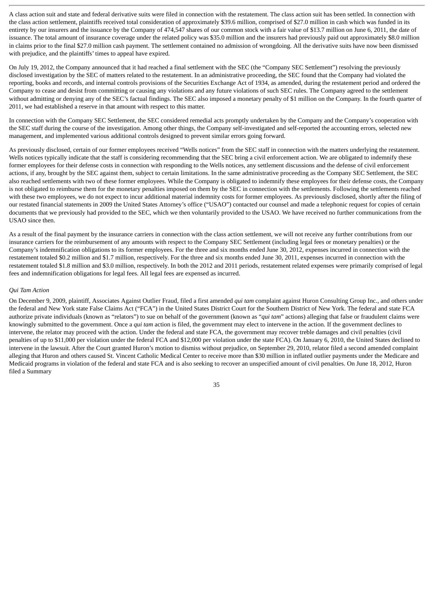A class action suit and state and federal derivative suits were filed in connection with the restatement. The class action suit has been settled. In connection with the class action settlement, plaintiffs received total consideration of approximately \$39.6 million, comprised of \$27.0 million in cash which was funded in its entirety by our insurers and the issuance by the Company of 474,547 shares of our common stock with a fair value of \$13.7 million on June 6, 2011, the date of issuance. The total amount of insurance coverage under the related policy was \$35.0 million and the insurers had previously paid out approximately \$8.0 million in claims prior to the final \$27.0 million cash payment. The settlement contained no admission of wrongdoing. All the derivative suits have now been dismissed with prejudice, and the plaintiffs' times to appeal have expired.

On July 19, 2012, the Company announced that it had reached a final settlement with the SEC (the "Company SEC Settlement") resolving the previously disclosed investigation by the SEC of matters related to the restatement. In an administrative proceeding, the SEC found that the Company had violated the reporting, books and records, and internal controls provisions of the Securities Exchange Act of 1934, as amended, during the restatement period and ordered the Company to cease and desist from committing or causing any violations and any future violations of such SEC rules. The Company agreed to the settlement without admitting or denying any of the SEC's factual findings. The SEC also imposed a monetary penalty of \$1 million on the Company. In the fourth quarter of 2011, we had established a reserve in that amount with respect to this matter.

In connection with the Company SEC Settlement, the SEC considered remedial acts promptly undertaken by the Company and the Company's cooperation with the SEC staff during the course of the investigation. Among other things, the Company self-investigated and self-reported the accounting errors, selected new management, and implemented various additional controls designed to prevent similar errors going forward.

As previously disclosed, certain of our former employees received "Wells notices" from the SEC staff in connection with the matters underlying the restatement. Wells notices typically indicate that the staff is considering recommending that the SEC bring a civil enforcement action. We are obligated to indemnify these former employees for their defense costs in connection with responding to the Wells notices, any settlement discussions and the defense of civil enforcement actions, if any, brought by the SEC against them, subject to certain limitations. In the same administrative proceeding as the Company SEC Settlement, the SEC also reached settlements with two of these former employees. While the Company is obligated to indemnify these employees for their defense costs, the Company is not obligated to reimburse them for the monetary penalties imposed on them by the SEC in connection with the settlements. Following the settlements reached with these two employees, we do not expect to incur additional material indemnity costs for former employees. As previously disclosed, shortly after the filing of our restated financial statements in 2009 the United States Attorney's office ("USAO") contacted our counsel and made a telephonic request for copies of certain documents that we previously had provided to the SEC, which we then voluntarily provided to the USAO. We have received no further communications from the USAO since then.

As a result of the final payment by the insurance carriers in connection with the class action settlement, we will not receive any further contributions from our insurance carriers for the reimbursement of any amounts with respect to the Company SEC Settlement (including legal fees or monetary penalties) or the Company's indemnification obligations to its former employees. For the three and six months ended June 30, 2012, expenses incurred in connection with the restatement totaled \$0.2 million and \$1.7 million, respectively. For the three and six months ended June 30, 2011, expenses incurred in connection with the restatement totaled \$1.8 million and \$3.0 million, respectively. In both the 2012 and 2011 periods, restatement related expenses were primarily comprised of legal fees and indemnification obligations for legal fees. All legal fees are expensed as incurred.

## *Qui Tam Action*

On December 9, 2009, plaintiff, Associates Against Outlier Fraud, filed a first amended *qui tam* complaint against Huron Consulting Group Inc., and others under the federal and New York state False Claims Act ("FCA") in the United States District Court for the Southern District of New York. The federal and state FCA authorize private individuals (known as "relators") to sue on behalf of the government (known as "*qui tam*" actions) alleging that false or fraudulent claims were knowingly submitted to the government. Once a *qui tam* action is filed, the government may elect to intervene in the action. If the government declines to intervene, the relator may proceed with the action. Under the federal and state FCA, the government may recover treble damages and civil penalties (civil penalties of up to \$11,000 per violation under the federal FCA and \$12,000 per violation under the state FCA). On January 6, 2010, the United States declined to intervene in the lawsuit. After the Court granted Huron's motion to dismiss without prejudice, on September 29, 2010, relator filed a second amended complaint alleging that Huron and others caused St. Vincent Catholic Medical Center to receive more than \$30 million in inflated outlier payments under the Medicare and Medicaid programs in violation of the federal and state FCA and is also seeking to recover an unspecified amount of civil penalties. On June 18, 2012, Huron filed a Summary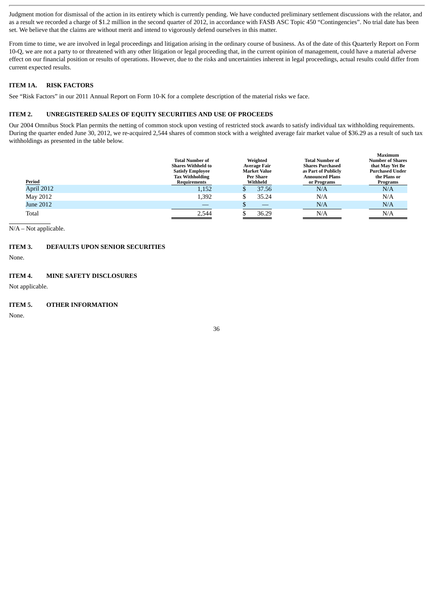Judgment motion for dismissal of the action in its entirety which is currently pending. We have conducted preliminary settlement discussions with the relator, and as a result we recorded a charge of \$1.2 million in the second quarter of 2012, in accordance with FASB ASC Topic 450 "Contingencies". No trial date has been set. We believe that the claims are without merit and intend to vigorously defend ourselves in this matter.

From time to time, we are involved in legal proceedings and litigation arising in the ordinary course of business. As of the date of this Quarterly Report on Form 10-Q, we are not a party to or threatened with any other litigation or legal proceeding that, in the current opinion of management, could have a material adverse effect on our financial position or results of operations. However, due to the risks and uncertainties inherent in legal proceedings, actual results could differ from current expected results.

# **ITEM 1A. RISK FACTORS**

See "Risk Factors" in our 2011 Annual Report on Form 10-K for a complete description of the material risks we face.

# **ITEM 2. UNREGISTERED SALES OF EQUITY SECURITIES AND USE OF PROCEEDS**

Our 2004 Omnibus Stock Plan permits the netting of common stock upon vesting of restricted stock awards to satisfy individual tax withholding requirements. During the quarter ended June 30, 2012, we re-acquired 2,544 shares of common stock with a weighted average fair market value of \$36.29 as a result of such tax withholdings as presented in the table below.

| Period     | <b>Total Number of</b><br><b>Shares Withheld to</b><br><b>Satisfy Employee</b><br><b>Tax Withholding</b><br>Requirements | Weighted<br><b>Average Fair</b><br><b>Market Value</b><br><b>Per Share</b><br>Withheld | <b>Total Number of</b><br><b>Shares Purchased</b><br>as Part of Publicly<br><b>Announced Plans</b><br>or Programs | Maximum<br><b>Number of Shares</b><br>that May Yet Be<br><b>Purchased Under</b><br>the Plans or<br>Programs |
|------------|--------------------------------------------------------------------------------------------------------------------------|----------------------------------------------------------------------------------------|-------------------------------------------------------------------------------------------------------------------|-------------------------------------------------------------------------------------------------------------|
| April 2012 | 1,152                                                                                                                    | 37.56                                                                                  | N/A                                                                                                               | N/A                                                                                                         |
| May 2012   | 1,392                                                                                                                    | 35.24                                                                                  | N/A                                                                                                               | N/A                                                                                                         |
| June 2012  |                                                                                                                          |                                                                                        | N/A                                                                                                               | N/A                                                                                                         |
| Total      | 2.544                                                                                                                    | 36.29                                                                                  | N/A                                                                                                               | N/A                                                                                                         |

N/A – Not applicable.

# **ITEM 3. DEFAULTS UPON SENIOR SECURITIES**

None.

# **ITEM 4. MINE SAFETY DISCLOSURES**

Not applicable.

# **ITEM 5. OTHER INFORMATION**

None.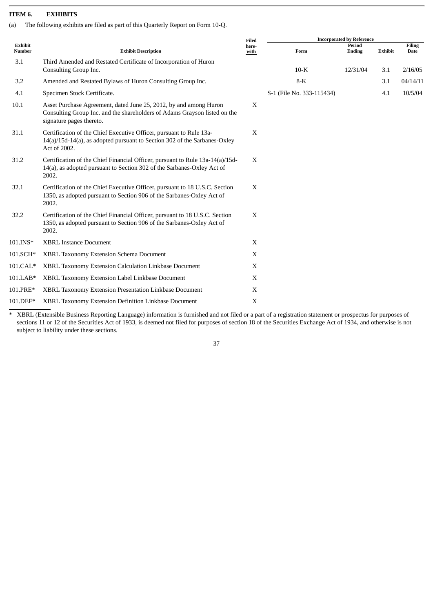# **ITEM 6. EXHIBITS**

(a) The following exhibits are filed as part of this Quarterly Report on Form 10-Q.

|                   |                                                                                                                                                                            | Filed         |                           | <b>Incorporated by Reference</b> |         |                       |
|-------------------|----------------------------------------------------------------------------------------------------------------------------------------------------------------------------|---------------|---------------------------|----------------------------------|---------|-----------------------|
| Exhibit<br>Number | <b>Exhibit Description</b>                                                                                                                                                 | here-<br>with | Form                      | Period<br><b>Ending</b>          | Exhibit | <b>Filing</b><br>Date |
| 3.1               | Third Amended and Restated Certificate of Incorporation of Huron<br>Consulting Group Inc.                                                                                  |               | $10-K$                    | 12/31/04                         | 3.1     | 2/16/05               |
| 3.2               | Amended and Restated Bylaws of Huron Consulting Group Inc.                                                                                                                 |               | $8-K$                     |                                  | 3.1     | 04/14/11              |
| 4.1               | Specimen Stock Certificate.                                                                                                                                                |               | S-1 (File No. 333-115434) |                                  | 4.1     | 10/5/04               |
| 10.1              | Asset Purchase Agreement, dated June 25, 2012, by and among Huron<br>Consulting Group Inc. and the shareholders of Adams Grayson listed on the<br>signature pages thereto. | X             |                           |                                  |         |                       |
| 31.1              | Certification of the Chief Executive Officer, pursuant to Rule 13a-<br>14(a)/15d-14(a), as adopted pursuant to Section 302 of the Sarbanes-Oxley<br>Act of 2002.           | X             |                           |                                  |         |                       |
| 31.2              | Certification of the Chief Financial Officer, pursuant to Rule 13a-14(a)/15d-<br>14(a), as adopted pursuant to Section 302 of the Sarbanes-Oxley Act of<br>2002.           | X             |                           |                                  |         |                       |
| 32.1              | Certification of the Chief Executive Officer, pursuant to 18 U.S.C. Section<br>1350, as adopted pursuant to Section 906 of the Sarbanes-Oxley Act of<br>2002.              | X             |                           |                                  |         |                       |
| 32.2              | Certification of the Chief Financial Officer, pursuant to 18 U.S.C. Section<br>1350, as adopted pursuant to Section 906 of the Sarbanes-Oxley Act of<br>2002.              | X             |                           |                                  |         |                       |
| 101.INS*          | <b>XBRL Instance Document</b>                                                                                                                                              | X             |                           |                                  |         |                       |
| 101.SCH*          | XBRL Taxonomy Extension Schema Document                                                                                                                                    | $\mathbf X$   |                           |                                  |         |                       |
| 101.CAL*          | XBRL Taxonomy Extension Calculation Linkbase Document                                                                                                                      | X             |                           |                                  |         |                       |
| 101.LAB*          | XBRL Taxonomy Extension Label Linkbase Document                                                                                                                            | X             |                           |                                  |         |                       |
| 101.PRE*          | XBRL Taxonomy Extension Presentation Linkbase Document                                                                                                                     | X             |                           |                                  |         |                       |
| 101.DEF*          | XBRL Taxonomy Extension Definition Linkbase Document                                                                                                                       | X             |                           |                                  |         |                       |
|                   |                                                                                                                                                                            |               |                           |                                  |         |                       |

\* XBRL (Extensible Business Reporting Language) information is furnished and not filed or a part of a registration statement or prospectus for purposes of sections 11 or 12 of the Securities Act of 1933, is deemed not filed for purposes of section 18 of the Securities Exchange Act of 1934, and otherwise is not subject to liability under these sections.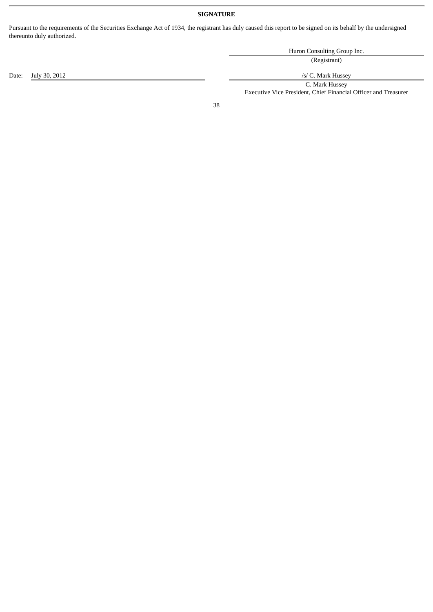# **SIGNATURE**

Pursuant to the requirements of the Securities Exchange Act of 1934, the registrant has duly caused this report to be signed on its behalf by the undersigned thereunto duly authorized.

|                     | Huron Consulting Group Inc. |
|---------------------|-----------------------------|
|                     | (Registrant)                |
| Date: July 30, 2012 | /s/ C. Mark Hussey          |
|                     | C. Mark Hussey              |

38

Executive Vice President, Chief Financial Officer and Treasurer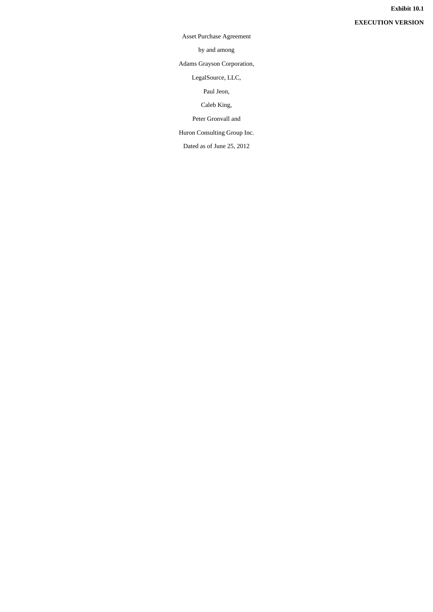Asset Purchase Agreement

by and among

Adams Grayson Corporation,

LegalSource, LLC,

Paul Jeon,

Caleb King,

Peter Gronvall and

Huron Consulting Group Inc.

Dated as of June 25, 2012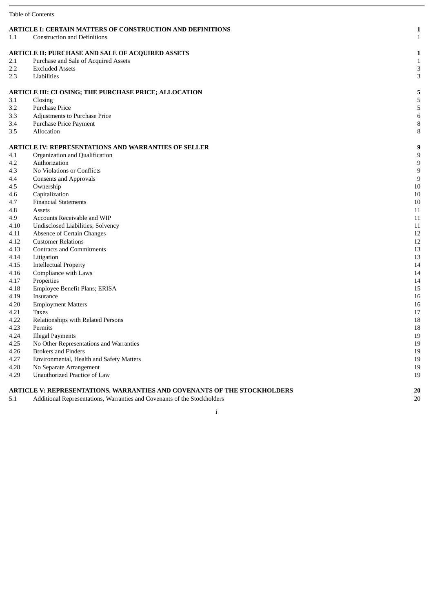|            | <b>Table of Contents</b>                                                 |              |
|------------|--------------------------------------------------------------------------|--------------|
|            | <b>ARTICLE I: CERTAIN MATTERS OF CONSTRUCTION AND DEFINITIONS</b>        | $\mathbf{1}$ |
| 1.1        | <b>Construction and Definitions</b>                                      | $\mathbf{1}$ |
|            |                                                                          |              |
|            | <b>ARTICLE II: PURCHASE AND SALE OF ACQUIRED ASSETS</b>                  | $\mathbf{1}$ |
| 2.1<br>2.2 | Purchase and Sale of Acquired Assets<br><b>Excluded Assets</b>           | $\mathbf{1}$ |
| 2.3        | Liabilities                                                              | 3<br>3       |
|            |                                                                          |              |
|            | ARTICLE III: CLOSING; THE PURCHASE PRICE; ALLOCATION                     | 5            |
| 3.1        | Closing                                                                  | 5            |
| 3.2        | <b>Purchase Price</b>                                                    | 5            |
| 3.3        | Adjustments to Purchase Price                                            | 6            |
| 3.4        | Purchase Price Payment                                                   | $\, 8$       |
| 3.5        | Allocation                                                               | 8            |
|            | <b>ARTICLE IV: REPRESENTATIONS AND WARRANTIES OF SELLER</b>              | 9            |
| 4.1        | Organization and Qualification                                           | 9            |
| 4.2        | Authorization                                                            | 9            |
| 4.3        | No Violations or Conflicts                                               | 9            |
| 4.4        | <b>Consents and Approvals</b>                                            | 9            |
| 4.5        | Ownership                                                                | 10           |
| 4.6        | Capitalization                                                           | 10           |
| 4.7        | <b>Financial Statements</b>                                              | 10           |
| 4.8        | Assets                                                                   | 11           |
| 4.9        | Accounts Receivable and WIP                                              | 11           |
| 4.10       | Undisclosed Liabilities; Solvency                                        | 11           |
| 4.11       | Absence of Certain Changes                                               | 12           |
| 4.12       | <b>Customer Relations</b>                                                | 12           |
| 4.13       | <b>Contracts and Commitments</b>                                         | 13           |
| 4.14       | Litigation                                                               | 13           |
| 4.15       | <b>Intellectual Property</b>                                             | 14           |
| 4.16       | Compliance with Laws                                                     | 14           |
| 4.17       | Properties                                                               | 14           |
| 4.18       | Employee Benefit Plans; ERISA                                            | 15           |
| 4.19       | Insurance                                                                | 16           |
| 4.20       | <b>Employment Matters</b>                                                | 16           |
| 4.21       | <b>Taxes</b>                                                             | 17           |
| 4.22       | Relationships with Related Persons                                       | 18           |
| 4.23       | Permits                                                                  | 18           |
| 4.24       | <b>Illegal Payments</b>                                                  | $19\,$       |
| 4.25       | No Other Representations and Warranties                                  | 19           |
| 4.26       | <b>Brokers and Finders</b>                                               | 19           |
| 4.27       | Environmental, Health and Safety Matters                                 | 19           |
| 4.28       | No Separate Arrangement                                                  | 19           |
| 4.29       | Unauthorized Practice of Law                                             | 19           |
|            | ARTICLE V: REPRESENTATIONS, WARRANTIES AND COVENANTS OF THE STOCKHOLDERS | 20           |
|            |                                                                          |              |

5.1 Additional Representations, Warranties and Covenants of the Stockholders 20

# i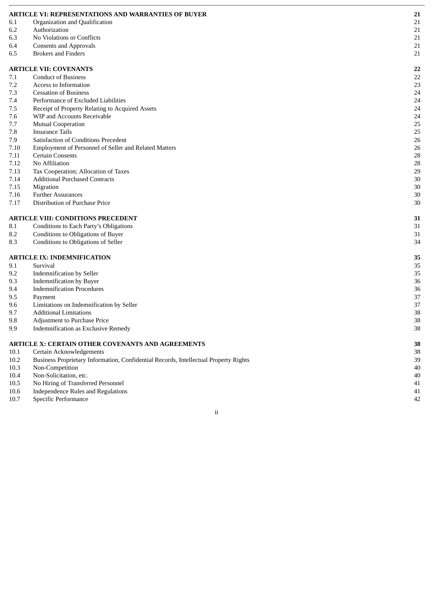|              | <b>ARTICLE VI: REPRESENTATIONS AND WARRANTIES OF BUYER</b>                           | 21       |
|--------------|--------------------------------------------------------------------------------------|----------|
| 6.1          | Organization and Qualification                                                       | 21       |
| 6.2          | Authorization                                                                        | 21       |
| 6.3          | No Violations or Conflicts                                                           | 21       |
| 6.4          | <b>Consents and Approvals</b>                                                        | 21       |
| 6.5          | <b>Brokers and Finders</b>                                                           | 21       |
|              |                                                                                      |          |
|              | <b>ARTICLE VII: COVENANTS</b>                                                        | 22       |
| 7.1          | <b>Conduct of Business</b>                                                           | 22       |
| 7.2          | Access to Information                                                                | 23       |
| 7.3          | <b>Cessation of Business</b>                                                         | 24       |
| 7.4          | Performance of Excluded Liabilities                                                  | 24       |
| 7.5          | Receipt of Property Relating to Acquired Assets                                      | 24       |
| 7.6          | WIP and Accounts Receivable                                                          | 24       |
| 7.7          | Mutual Cooperation                                                                   | 25       |
| 7.8          | <b>Insurance Tails</b>                                                               | 25       |
| 7.9          | <b>Satisfaction of Conditions Precedent</b>                                          | 26       |
| 7.10         | Employment of Personnel of Seller and Related Matters                                | 26       |
| 7.11         | <b>Certain Consents</b>                                                              | 28       |
| 7.12         | No Affiliation                                                                       | 28       |
| 7.13         | Tax Cooperation; Allocation of Taxes                                                 | 29       |
| 7.14         | <b>Additional Purchased Contracts</b>                                                | 30       |
| 7.15         | Migration                                                                            | 30       |
| 7.16         | <b>Further Assurances</b>                                                            | 30       |
| 7.17         | Distribution of Purchase Price                                                       | 30       |
|              | <b>ARTICLE VIII: CONDITIONS PRECEDENT</b>                                            | 31       |
| 8.1          | Conditions to Each Party's Obligations                                               | 31       |
| 8.2          | Conditions to Obligations of Buyer                                                   | 31       |
| 8.3          | Conditions to Obligations of Seller                                                  | 34       |
|              |                                                                                      |          |
|              | <b>ARTICLE IX: INDEMNIFICATION</b>                                                   | 35       |
| 9.1          | Survival                                                                             | 35       |
| 9.2          | <b>Indemnification by Seller</b>                                                     | 35       |
| 9.3          | <b>Indemnification by Buyer</b>                                                      | 36       |
| 9.4          | <b>Indemnification Procedures</b>                                                    | 36       |
| 9.5          | Payment                                                                              | 37       |
| 9.6          | Limitations on Indemnification by Seller                                             | 37       |
| 9.7          | <b>Additional Limitations</b>                                                        | 38       |
| 9.8          | Adjustment to Purchase Price                                                         | 38       |
| 9.9          | Indemnification as Exclusive Remedy                                                  | 38       |
|              | ARTICLE X: CERTAIN OTHER COVENANTS AND AGREEMENTS                                    | 38       |
| 10.1         | Certain Acknowledgements                                                             | 38       |
| 10.2         | Business Proprietary Information, Confidential Records, Intellectual Property Rights | 39       |
|              |                                                                                      |          |
|              |                                                                                      |          |
| 10.3         | Non-Competition                                                                      | 40       |
| 10.4         | Non-Solicitation, etc.                                                               | 40       |
| 10.5<br>10.6 | No Hiring of Transferred Personnel<br><b>Independence Rules and Regulations</b>      | 41<br>41 |

ii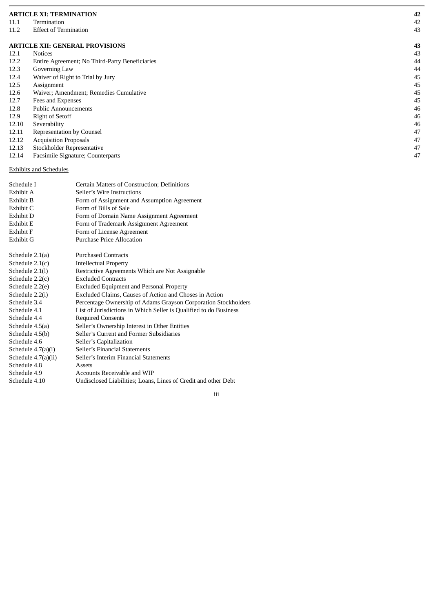|       | <b>ARTICLE XI: TERMINATION</b>                 | 42 |
|-------|------------------------------------------------|----|
| 11.1  | Termination                                    | 42 |
| 11.2  | <b>Effect of Termination</b>                   | 43 |
|       | <b>ARTICLE XII: GENERAL PROVISIONS</b>         | 43 |
| 12.1  | <b>Notices</b>                                 | 43 |
| 12.2  | Entire Agreement; No Third-Party Beneficiaries | 44 |
| 12.3  | Governing Law                                  | 44 |
| 12.4  | Waiver of Right to Trial by Jury               | 45 |
| 12.5  | Assignment                                     | 45 |
| 12.6  | Waiver; Amendment; Remedies Cumulative         | 45 |
| 12.7  | Fees and Expenses                              | 45 |
| 12.8  | <b>Public Announcements</b>                    | 46 |
| 12.9  | Right of Setoff                                | 46 |
| 12.10 | Severability                                   | 46 |
| 12.11 | <b>Representation by Counsel</b>               | 47 |
| 12.12 | <b>Acquisition Proposals</b>                   | 47 |
| 12.13 | Stockholder Representative                     | 47 |
| 12.14 | Facsimile Signature; Counterparts              | 47 |

# Exhibits and Schedules

| Schedule I            | Certain Matters of Construction; Definitions                      |
|-----------------------|-------------------------------------------------------------------|
| Exhibit A             | Seller's Wire Instructions                                        |
| Exhibit B             | Form of Assignment and Assumption Agreement                       |
| Exhibit C             | Form of Bills of Sale                                             |
| Exhibit D             | Form of Domain Name Assignment Agreement                          |
| Exhibit E             | Form of Trademark Assignment Agreement                            |
| Exhibit F             | Form of License Agreement                                         |
| Exhibit G             | Purchase Price Allocation                                         |
|                       |                                                                   |
| Schedule $2.1(a)$     | <b>Purchased Contracts</b>                                        |
| Schedule $2.1(c)$     | <b>Intellectual Property</b>                                      |
| Schedule 2.1(l)       | Restrictive Agreements Which are Not Assignable                   |
| Schedule $2.2(c)$     | <b>Excluded Contracts</b>                                         |
| Schedule 2.2(e)       | <b>Excluded Equipment and Personal Property</b>                   |
| Schedule 2.2(i)       | Excluded Claims, Causes of Action and Choses in Action            |
| Schedule 3.4          | Percentage Ownership of Adams Grayson Corporation Stockholders    |
| Schedule 4.1          | List of Jurisdictions in Which Seller is Qualified to do Business |
| Schedule 4.4          | <b>Required Consents</b>                                          |
| Schedule 4.5(a)       | Seller's Ownership Interest in Other Entities                     |
| Schedule 4.5(b)       | Seller's Current and Former Subsidiaries                          |
| Schedule 4.6          | Seller's Capitalization                                           |
| Schedule $4.7(a)(i)$  | Seller's Financial Statements                                     |
| Schedule $4.7(a)(ii)$ | Seller's Interim Financial Statements                             |
| Schedule 4.8          | Assets                                                            |
| Schedule 4.9          | Accounts Receivable and WIP                                       |
| Schedule 4.10         | Undisclosed Liabilities; Loans, Lines of Credit and other Debt    |
|                       |                                                                   |

iii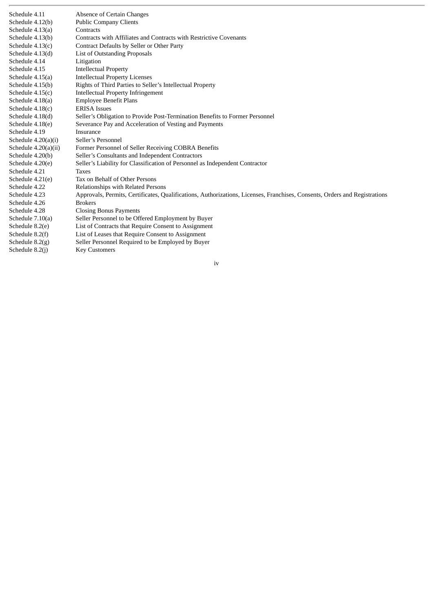| Schedule 4.11          | Absence of Certain Changes                                                                                                 |
|------------------------|----------------------------------------------------------------------------------------------------------------------------|
| Schedule 4.12(b)       | <b>Public Company Clients</b>                                                                                              |
| Schedule 4.13(a)       | Contracts                                                                                                                  |
| Schedule 4.13(b)       | Contracts with Affiliates and Contracts with Restrictive Covenants                                                         |
| Schedule $4.13(c)$     | Contract Defaults by Seller or Other Party                                                                                 |
| Schedule 4.13(d)       | List of Outstanding Proposals                                                                                              |
| Schedule 4.14          | Litigation                                                                                                                 |
| Schedule 4.15          | <b>Intellectual Property</b>                                                                                               |
| Schedule 4.15(a)       | <b>Intellectual Property Licenses</b>                                                                                      |
| Schedule 4.15(b)       | Rights of Third Parties to Seller's Intellectual Property                                                                  |
| Schedule $4.15(c)$     | <b>Intellectual Property Infringement</b>                                                                                  |
| Schedule 4.18(a)       | <b>Employee Benefit Plans</b>                                                                                              |
| Schedule 4.18(c)       | <b>ERISA</b> Issues                                                                                                        |
| Schedule 4.18(d)       | Seller's Obligation to Provide Post-Termination Benefits to Former Personnel                                               |
| Schedule 4.18(e)       | Severance Pay and Acceleration of Vesting and Payments                                                                     |
| Schedule 4.19          | Insurance                                                                                                                  |
| Schedule $4.20(a)(i)$  | Seller's Personnel                                                                                                         |
| Schedule $4.20(a)(ii)$ | Former Personnel of Seller Receiving COBRA Benefits                                                                        |
| Schedule 4.20(b)       | Seller's Consultants and Independent Contractors                                                                           |
| Schedule 4.20(e)       | Seller's Liability for Classification of Personnel as Independent Contractor                                               |
| Schedule 4.21          | <b>Taxes</b>                                                                                                               |
| Schedule 4.21(e)       | Tax on Behalf of Other Persons                                                                                             |
| Schedule 4.22          | <b>Relationships with Related Persons</b>                                                                                  |
| Schedule 4.23          | Approvals, Permits, Certificates, Qualifications, Authorizations, Licenses, Franchises, Consents, Orders and Registrations |
| Schedule 4.26          | <b>Brokers</b>                                                                                                             |
| Schedule 4.28          | <b>Closing Bonus Payments</b>                                                                                              |
| Schedule $7.10(a)$     | Seller Personnel to be Offered Employment by Buyer                                                                         |
| Schedule 8.2(e)        | List of Contracts that Require Consent to Assignment                                                                       |
| Schedule 8.2(f)        | List of Leases that Require Consent to Assignment                                                                          |
| Schedule $8.2(g)$      | Seller Personnel Required to be Employed by Buyer                                                                          |
| Schedule 8.2(j)        | <b>Key Customers</b>                                                                                                       |

iv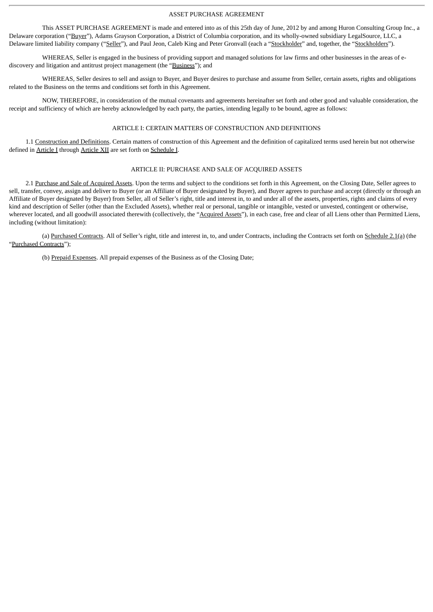## ASSET PURCHASE AGREEMENT

This ASSET PURCHASE AGREEMENT is made and entered into as of this 25th day of June, 2012 by and among Huron Consulting Group Inc., a Delaware corporation ("Buyer"), Adams Grayson Corporation, a District of Columbia corporation, and its wholly-owned subsidiary LegalSource, LLC, a Delaware limited liability company ("Seller"), and Paul Jeon, Caleb King and Peter Gronvall (each a "Stockholder" and, together, the "Stockholders").

WHEREAS, Seller is engaged in the business of providing support and managed solutions for law firms and other businesses in the areas of ediscovery and litigation and antitrust project management (the "Business"); and

WHEREAS, Seller desires to sell and assign to Buyer, and Buyer desires to purchase and assume from Seller, certain assets, rights and obligations related to the Business on the terms and conditions set forth in this Agreement.

NOW, THEREFORE, in consideration of the mutual covenants and agreements hereinafter set forth and other good and valuable consideration, the receipt and sufficiency of which are hereby acknowledged by each party, the parties, intending legally to be bound, agree as follows:

# ARTICLE I: CERTAIN MATTERS OF CONSTRUCTION AND DEFINITIONS

1.1 Construction and Definitions. Certain matters of construction of this Agreement and the definition of capitalized terms used herein but not otherwise defined in **Article I** through **Article XII** are set forth on **Schedule I**.

# ARTICLE II: PURCHASE AND SALE OF ACQUIRED ASSETS

2.1 Purchase and Sale of Acquired Assets. Upon the terms and subject to the conditions set forth in this Agreement, on the Closing Date, Seller agrees to sell, transfer, convey, assign and deliver to Buyer (or an Affiliate of Buyer designated by Buyer), and Buyer agrees to purchase and accept (directly or through an Affiliate of Buyer designated by Buyer) from Seller, all of Seller's right, title and interest in, to and under all of the assets, properties, rights and claims of every kind and description of Seller (other than the Excluded Assets), whether real or personal, tangible or intangible, vested or unvested, contingent or otherwise, wherever located, and all goodwill associated therewith (collectively, the "Acquired Assets"), in each case, free and clear of all Liens other than Permitted Liens, including (without limitation):

(a) Purchased Contracts. All of Seller's right, title and interest in, to, and under Contracts, including the Contracts set forth on Schedule 2.1(a) (the "Purchased Contracts");

(b) Prepaid Expenses. All prepaid expenses of the Business as of the Closing Date;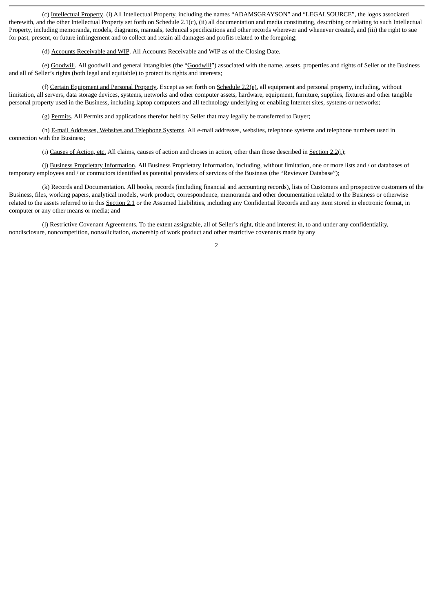(c) Intellectual Property. (i) All Intellectual Property, including the names "ADAMSGRAYSON" and "LEGALSOURCE", the logos associated therewith, and the other Intellectual Property set forth on Schedule 2.1(c), (ii) all documentation and media constituting, describing or relating to such Intellectual Property, including memoranda, models, diagrams, manuals, technical specifications and other records wherever and whenever created, and (iii) the right to sue for past, present, or future infringement and to collect and retain all damages and profits related to the foregoing;

(d) Accounts Receivable and WIP. All Accounts Receivable and WIP as of the Closing Date.

(e) Goodwill. All goodwill and general intangibles (the "Goodwill") associated with the name, assets, properties and rights of Seller or the Business and all of Seller's rights (both legal and equitable) to protect its rights and interests;

(f) Certain Equipment and Personal Property. Except as set forth on Schedule 2.2(e), all equipment and personal property, including, without limitation, all servers, data storage devices, systems, networks and other computer assets, hardware, equipment, furniture, supplies, fixtures and other tangible personal property used in the Business, including laptop computers and all technology underlying or enabling Internet sites, systems or networks;

(g) Permits. All Permits and applications therefor held by Seller that may legally be transferred to Buyer;

(h) E-mail Addresses, Websites and Telephone Systems. All e-mail addresses, websites, telephone systems and telephone numbers used in connection with the Business;

(i) Causes of Action, etc. All claims, causes of action and choses in action, other than those described in Section 2.2(i);

(j) Business Proprietary Information. All Business Proprietary Information, including, without limitation, one or more lists and / or databases of temporary employees and / or contractors identified as potential providers of services of the Business (the "Reviewer Database");

(k) Records and Documentation. All books, records (including financial and accounting records), lists of Customers and prospective customers of the Business, files, working papers, analytical models, work product, correspondence, memoranda and other documentation related to the Business or otherwise related to the assets referred to in this Section 2.1 or the Assumed Liabilities, including any Confidential Records and any item stored in electronic format, in computer or any other means or media; and

(l) Restrictive Covenant Agreements. To the extent assignable, all of Seller's right, title and interest in, to and under any confidentiality, nondisclosure, noncompetition, nonsolicitation, ownership of work product and other restrictive covenants made by any

 $\overline{2}$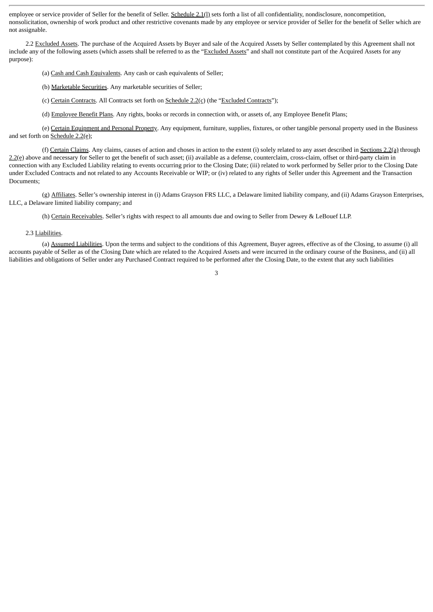employee or service provider of Seller for the benefit of Seller. Schedule 2.1(l) sets forth a list of all confidentiality, nondisclosure, noncompetition, nonsolicitation, ownership of work product and other restrictive covenants made by any employee or service provider of Seller for the benefit of Seller which are not assignable.

2.2 Excluded Assets. The purchase of the Acquired Assets by Buyer and sale of the Acquired Assets by Seller contemplated by this Agreement shall not include any of the following assets (which assets shall be referred to as the "Excluded Assets" and shall not constitute part of the Acquired Assets for any purpose):

(a) Cash and Cash Equivalents. Any cash or cash equivalents of Seller;

(b) Marketable Securities. Any marketable securities of Seller;

(c) Certain Contracts. All Contracts set forth on  $S$ chedule  $2.2$ (c) (the "Excluded Contracts");

(d) Employee Benefit Plans. Any rights, books or records in connection with, or assets of, any Employee Benefit Plans;

(e) Certain Equipment and Personal Property. Any equipment, furniture, supplies, fixtures, or other tangible personal property used in the Business and set forth on Schedule 2.2(e);

(f) Certain Claims. Any claims, causes of action and choses in action to the extent (i) solely related to any asset described in Sections 2.2(a) through 2.2(e) above and necessary for Seller to get the benefit of such asset; (ii) available as a defense, counterclaim, cross-claim, offset or third-party claim in connection with any Excluded Liability relating to events occurring prior to the Closing Date; (iii) related to work performed by Seller prior to the Closing Date under Excluded Contracts and not related to any Accounts Receivable or WIP; or (iv) related to any rights of Seller under this Agreement and the Transaction Documents;

(g) Affiliates. Seller's ownership interest in (i) Adams Grayson FRS LLC, a Delaware limited liability company, and (ii) Adams Grayson Enterprises, LLC, a Delaware limited liability company; and

(h) Certain Receivables. Seller's rights with respect to all amounts due and owing to Seller from Dewey & LeBouef LLP.

### 2.3 Liabilities.

(a) Assumed Liabilities. Upon the terms and subject to the conditions of this Agreement, Buyer agrees, effective as of the Closing, to assume (i) all accounts payable of Seller as of the Closing Date which are related to the Acquired Assets and were incurred in the ordinary course of the Business, and (ii) all liabilities and obligations of Seller under any Purchased Contract required to be performed after the Closing Date, to the extent that any such liabilities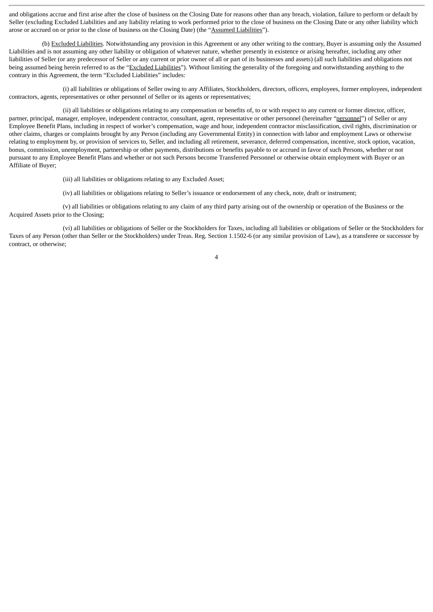and obligations accrue and first arise after the close of business on the Closing Date for reasons other than any breach, violation, failure to perform or default by Seller (excluding Excluded Liabilities and any liability relating to work performed prior to the close of business on the Closing Date or any other liability which arose or accrued on or prior to the close of business on the Closing Date) (the "Assumed Liabilities").

(b) Excluded Liabilities. Notwithstanding any provision in this Agreement or any other writing to the contrary, Buyer is assuming only the Assumed Liabilities and is not assuming any other liability or obligation of whatever nature, whether presently in existence or arising hereafter, including any other liabilities of Seller (or any predecessor of Seller or any current or prior owner of all or part of its businesses and assets) (all such liabilities and obligations not being assumed being herein referred to as the "Excluded Liabilities"). Without limiting the generality of the foregoing and notwithstanding anything to the contrary in this Agreement, the term "Excluded Liabilities" includes:

(i) all liabilities or obligations of Seller owing to any Affiliates, Stockholders, directors, officers, employees, former employees, independent contractors, agents, representatives or other personnel of Seller or its agents or representatives;

(ii) all liabilities or obligations relating to any compensation or benefits of, to or with respect to any current or former director, officer, partner, principal, manager, employee, independent contractor, consultant, agent, representative or other personnel (hereinafter "personnel") of Seller or any Employee Benefit Plans, including in respect of worker's compensation, wage and hour, independent contractor misclassification, civil rights, discrimination or other claims, charges or complaints brought by any Person (including any Governmental Entity) in connection with labor and employment Laws or otherwise relating to employment by, or provision of services to, Seller, and including all retirement, severance, deferred compensation, incentive, stock option, vacation, bonus, commission, unemployment, partnership or other payments, distributions or benefits payable to or accrued in favor of such Persons, whether or not pursuant to any Employee Benefit Plans and whether or not such Persons become Transferred Personnel or otherwise obtain employment with Buyer or an Affiliate of Buyer;

(iii) all liabilities or obligations relating to any Excluded Asset;

(iv) all liabilities or obligations relating to Seller's issuance or endorsement of any check, note, draft or instrument;

(v) all liabilities or obligations relating to any claim of any third party arising out of the ownership or operation of the Business or the Acquired Assets prior to the Closing;

(vi) all liabilities or obligations of Seller or the Stockholders for Taxes, including all liabilities or obligations of Seller or the Stockholders for Taxes of any Person (other than Seller or the Stockholders) under Treas. Reg. Section 1.1502-6 (or any similar provision of Law), as a transferee or successor by contract, or otherwise;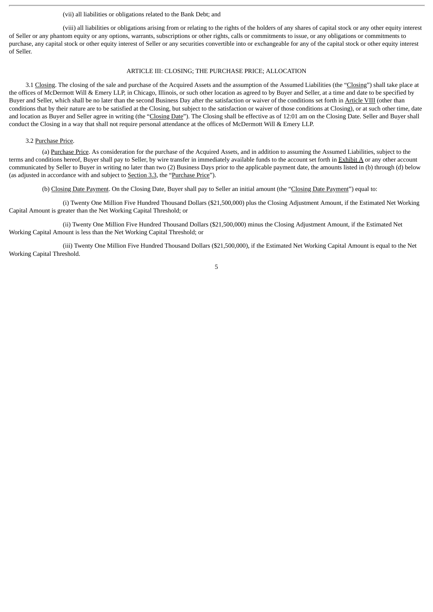#### (vii) all liabilities or obligations related to the Bank Debt; and

(viii) all liabilities or obligations arising from or relating to the rights of the holders of any shares of capital stock or any other equity interest of Seller or any phantom equity or any options, warrants, subscriptions or other rights, calls or commitments to issue, or any obligations or commitments to purchase, any capital stock or other equity interest of Seller or any securities convertible into or exchangeable for any of the capital stock or other equity interest of Seller.

#### ARTICLE III: CLOSING; THE PURCHASE PRICE; ALLOCATION

3.1 Closing. The closing of the sale and purchase of the Acquired Assets and the assumption of the Assumed Liabilities (the "Closing") shall take place at the offices of McDermott Will & Emery LLP, in Chicago, Illinois, or such other location as agreed to by Buyer and Seller, at a time and date to be specified by Buyer and Seller, which shall be no later than the second Business Day after the satisfaction or waiver of the conditions set forth in Article VIII (other than conditions that by their nature are to be satisfied at the Closing, but subject to the satisfaction or waiver of those conditions at Closing), or at such other time, date and location as Buyer and Seller agree in writing (the "Closing Date"). The Closing shall be effective as of 12:01 am on the Closing Date. Seller and Buyer shall conduct the Closing in a way that shall not require personal attendance at the offices of McDermott Will & Emery LLP.

## 3.2 Purchase Price.

(a) Purchase Price. As consideration for the purchase of the Acquired Assets, and in addition to assuming the Assumed Liabilities, subject to the terms and conditions hereof, Buyer shall pay to Seller, by wire transfer in immediately available funds to the account set forth in Exhibit A or any other account communicated by Seller to Buyer in writing no later than two (2) Business Days prior to the applicable payment date, the amounts listed in (b) through (d) below (as adjusted in accordance with and subject to Section 3.3, the "Purchase Price").

(b) Closing Date Payment. On the Closing Date, Buyer shall pay to Seller an initial amount (the "Closing Date Payment") equal to:

(i) Twenty One Million Five Hundred Thousand Dollars (\$21,500,000) plus the Closing Adjustment Amount, if the Estimated Net Working Capital Amount is greater than the Net Working Capital Threshold; or

(ii) Twenty One Million Five Hundred Thousand Dollars (\$21,500,000) minus the Closing Adjustment Amount, if the Estimated Net Working Capital Amount is less than the Net Working Capital Threshold; or

(iii) Twenty One Million Five Hundred Thousand Dollars (\$21,500,000), if the Estimated Net Working Capital Amount is equal to the Net Working Capital Threshold.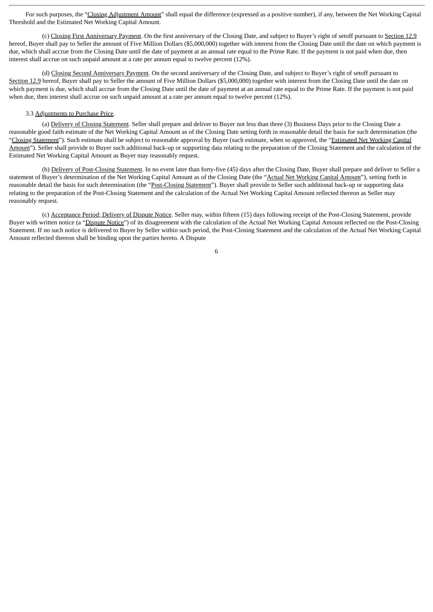For such purposes, the "Closing Adjustment Amount" shall equal the difference (expressed as a positive number), if any, between the Net Working Capital Threshold and the Estimated Net Working Capital Amount.

(c) Closing First Anniversary Payment. On the first anniversary of the Closing Date, and subject to Buyer's right of setoff pursuant to Section 12.9 hereof, Buyer shall pay to Seller the amount of Five Million Dollars (\$5,000,000) together with interest from the Closing Date until the date on which payment is due, which shall accrue from the Closing Date until the date of payment at an annual rate equal to the Prime Rate. If the payment is not paid when due, then interest shall accrue on such unpaid amount at a rate per annum equal to twelve percent (12%).

(d) Closing Second Anniversary Payment. On the second anniversary of the Closing Date, and subject to Buyer's right of setoff pursuant to Section 12.9 hereof, Buyer shall pay to Seller the amount of Five Million Dollars (\$5,000,000) together with interest from the Closing Date until the date on which payment is due, which shall accrue from the Closing Date until the date of payment at an annual rate equal to the Prime Rate. If the payment is not paid when due, then interest shall accrue on such unpaid amount at a rate per annum equal to twelve percent (12%).

#### 3.3 Adjustments to Purchase Price.

(a) Delivery of Closing Statement. Seller shall prepare and deliver to Buyer not less than three (3) Business Days prior to the Closing Date a reasonable good faith estimate of the Net Working Capital Amount as of the Closing Date setting forth in reasonable detail the basis for such determination (the "Closing Statement"). Such estimate shall be subject to reasonable approval by Buyer (such estimate, when so approved, the "Estimated Net Working Capital Amount"). Seller shall provide to Buyer such additional back-up or supporting data relating to the preparation of the Closing Statement and the calculation of the Estimated Net Working Capital Amount as Buyer may reasonably request.

(b) Delivery of Post-Closing Statement. In no event later than forty-five (45) days after the Closing Date, Buyer shall prepare and deliver to Seller a statement of Buyer's determination of the Net Working Capital Amount as of the Closing Date (the "Actual Net Working Capital Amount"), setting forth in reasonable detail the basis for such determination (the "Post-Closing Statement"). Buyer shall provide to Seller such additional back-up or supporting data relating to the preparation of the Post-Closing Statement and the calculation of the Actual Net Working Capital Amount reflected thereon as Seller may reasonably request.

(c) Acceptance Period; Delivery of Dispute Notice. Seller may, within fifteen (15) days following receipt of the Post-Closing Statement, provide Buyer with written notice (a "Dispute Notice") of its disagreement with the calculation of the Actual Net Working Capital Amount reflected on the Post-Closing Statement. If no such notice is delivered to Buyer by Seller within such period, the Post-Closing Statement and the calculation of the Actual Net Working Capital Amount reflected thereon shall be binding upon the parties hereto. A Dispute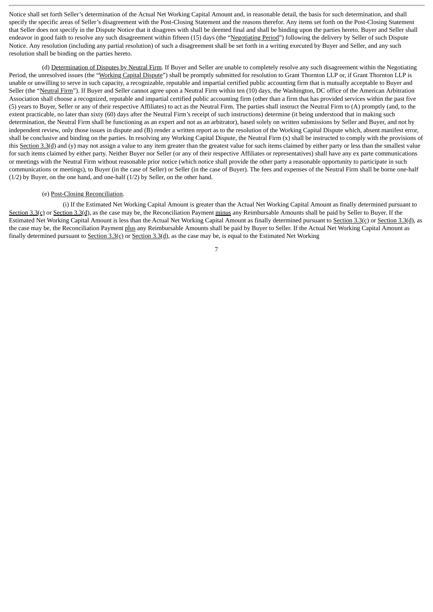Notice shall set forth Seller's determination of the Actual Net Working Capital Amount and, in reasonable detail, the basis for such determination, and shall specify the specific areas of Seller's disagreement with the Post-Closing Statement and the reasons therefor. Any items set forth on the Post-Closing Statement that Seller does not specify in the Dispute Notice that it disagrees with shall be deemed final and shall be binding upon the parties hereto. Buyer and Seller shall endeavor in good faith to resolve any such disagreement within fifteen (15) days (the "Negotiating Period") following the delivery by Seller of such Dispute Notice. Any resolution (including any partial resolution) of such a disagreement shall be set forth in a writing executed by Buyer and Seller, and any such resolution shall be binding on the parties hereto.

(d) Determination of Disputes by Neutral Firm. If Buyer and Seller are unable to completely resolve any such disagreement within the Negotiating Period, the unresolved issues (the "Working Capital Dispute") shall be promptly submitted for resolution to Grant Thornton LLP or, if Grant Thornton LLP is unable or unwilling to serve in such capacity, a recognizable, reputable and impartial certified public accounting firm that is mutually acceptable to Buyer and Seller (the "Neutral Firm"). If Buyer and Seller cannot agree upon a Neutral Firm within ten (10) days, the Washington, DC office of the American Arbitration Association shall choose a recognized, reputable and impartial certified public accounting firm (other than a firm that has provided services within the past five (5) years to Buyer, Seller or any of their respective Affiliates) to act as the Neutral Firm. The parties shall instruct the Neutral Firm to (A) promptly (and, to the extent practicable, no later than sixty (60) days after the Neutral Firm's receipt of such instructions) determine (it being understood that in making such determination, the Neutral Firm shall be functioning as an expert and not as an arbitrator), based solely on written submissions by Seller and Buyer, and not by independent review, only those issues in dispute and (B) render a written report as to the resolution of the Working Capital Dispute which, absent manifest error, shall be conclusive and binding on the parties. In resolving any Working Capital Dispute, the Neutral Firm (x) shall be instructed to comply with the provisions of this Section 3.3(d) and (y) may not assign a value to any item greater than the greatest value for such items claimed by either party or less than the smallest value for such items claimed by either party. Neither Buyer nor Seller (or any of their respective Affiliates or representatives) shall have any ex parte communications or meetings with the Neutral Firm without reasonable prior notice (which notice shall provide the other party a reasonable opportunity to participate in such communications or meetings), to Buyer (in the case of Seller) or Seller (in the case of Buyer). The fees and expenses of the Neutral Firm shall be borne one-half (1/2) by Buyer, on the one hand, and one-half (1/2) by Seller, on the other hand.

# (e) Post-Closing Reconciliation.

(i) If the Estimated Net Working Capital Amount is greater than the Actual Net Working Capital Amount as finally determined pursuant to Section 3.3(c) or Section 3.3(d), as the case may be, the Reconciliation Payment minus any Reimbursable Amounts shall be paid by Seller to Buyer. If the Estimated Net Working Capital Amount is less than the Actual Net Working Capital Amount as finally determined pursuant to Section 3.3(c) or Section 3.3(d), as the case may be, the Reconciliation Payment plus any Reimbursable Amounts shall be paid by Buyer to Seller. If the Actual Net Working Capital Amount as finally determined pursuant to Section 3.3(c) or Section 3.3(d), as the case may be, is equal to the Estimated Net Working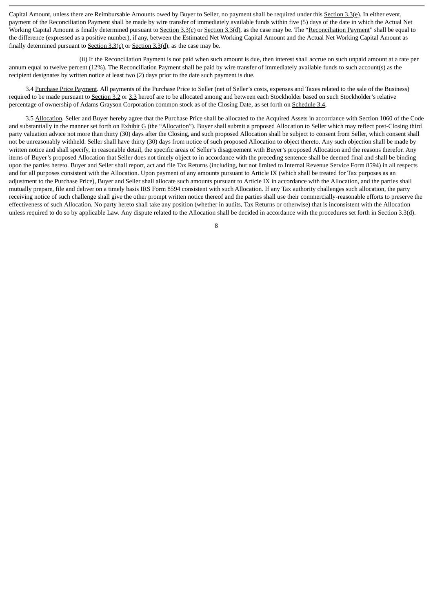Capital Amount, unless there are Reimbursable Amounts owed by Buyer to Seller, no payment shall be required under this Section 3.3(e). In either event, payment of the Reconciliation Payment shall be made by wire transfer of immediately available funds within five (5) days of the date in which the Actual Net Working Capital Amount is finally determined pursuant to Section  $3.3(q)$ , or Section  $3.3(q)$ , as the case may be. The "Reconciliation Payment" shall be equal to the difference (expressed as a positive number), if any, between the Estimated Net Working Capital Amount and the Actual Net Working Capital Amount as finally determined pursuant to  $Section 3.3(c)$  or  $Section 3.3(d)$ , as the case may be.

(ii) If the Reconciliation Payment is not paid when such amount is due, then interest shall accrue on such unpaid amount at a rate per annum equal to twelve percent (12%). The Reconciliation Payment shall be paid by wire transfer of immediately available funds to such account(s) as the recipient designates by written notice at least two (2) days prior to the date such payment is due.

3.4 Purchase Price Payment. All payments of the Purchase Price to Seller (net of Seller's costs, expenses and Taxes related to the sale of the Business) required to be made pursuant to Section 3.2 or 3.3 hereof are to be allocated among and between each Stockholder based on such Stockholder's relative percentage of ownership of Adams Grayson Corporation common stock as of the Closing Date, as set forth on Schedule 3.4,

3.5 Allocation. Seller and Buyer hereby agree that the Purchase Price shall be allocated to the Acquired Assets in accordance with Section 1060 of the Code and substantially in the manner set forth on Exhibit G (the "Allocation"). Buyer shall submit a proposed Allocation to Seller which may reflect post-Closing third party valuation advice not more than thirty (30) days after the Closing, and such proposed Allocation shall be subject to consent from Seller, which consent shall not be unreasonably withheld. Seller shall have thirty (30) days from notice of such proposed Allocation to object thereto. Any such objection shall be made by written notice and shall specify, in reasonable detail, the specific areas of Seller's disagreement with Buyer's proposed Allocation and the reasons therefor. Any items of Buyer's proposed Allocation that Seller does not timely object to in accordance with the preceding sentence shall be deemed final and shall be binding upon the parties hereto. Buyer and Seller shall report, act and file Tax Returns (including, but not limited to Internal Revenue Service Form 8594) in all respects and for all purposes consistent with the Allocation. Upon payment of any amounts pursuant to Article IX (which shall be treated for Tax purposes as an adjustment to the Purchase Price), Buyer and Seller shall allocate such amounts pursuant to Article IX in accordance with the Allocation, and the parties shall mutually prepare, file and deliver on a timely basis IRS Form 8594 consistent with such Allocation. If any Tax authority challenges such allocation, the party receiving notice of such challenge shall give the other prompt written notice thereof and the parties shall use their commercially-reasonable efforts to preserve the effectiveness of such Allocation. No party hereto shall take any position (whether in audits, Tax Returns or otherwise) that is inconsistent with the Allocation unless required to do so by applicable Law. Any dispute related to the Allocation shall be decided in accordance with the procedures set forth in Section 3.3(d).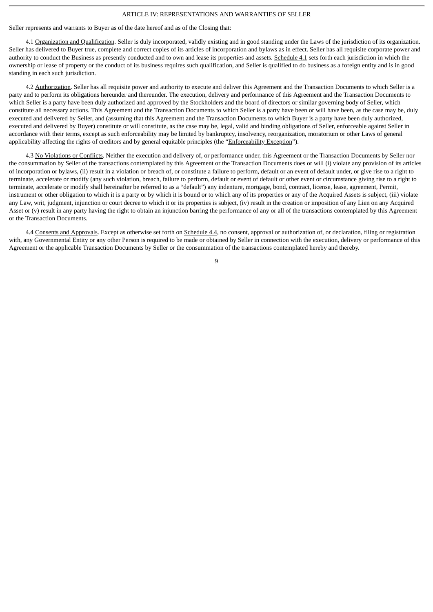#### ARTICLE IV: REPRESENTATIONS AND WARRANTIES OF SELLER

Seller represents and warrants to Buyer as of the date hereof and as of the Closing that:

4.1 Organization and Qualification. Seller is duly incorporated, validly existing and in good standing under the Laws of the jurisdiction of its organization. Seller has delivered to Buyer true, complete and correct copies of its articles of incorporation and bylaws as in effect. Seller has all requisite corporate power and authority to conduct the Business as presently conducted and to own and lease its properties and assets. Schedule 4.1 sets forth each jurisdiction in which the ownership or lease of property or the conduct of its business requires such qualification, and Seller is qualified to do business as a foreign entity and is in good standing in each such jurisdiction.

4.2 Authorization. Seller has all requisite power and authority to execute and deliver this Agreement and the Transaction Documents to which Seller is a party and to perform its obligations hereunder and thereunder. The execution, delivery and performance of this Agreement and the Transaction Documents to which Seller is a party have been duly authorized and approved by the Stockholders and the board of directors or similar governing body of Seller, which constitute all necessary actions. This Agreement and the Transaction Documents to which Seller is a party have been or will have been, as the case may be, duly executed and delivered by Seller, and (assuming that this Agreement and the Transaction Documents to which Buyer is a party have been duly authorized, executed and delivered by Buyer) constitute or will constitute, as the case may be, legal, valid and binding obligations of Seller, enforceable against Seller in accordance with their terms, except as such enforceability may be limited by bankruptcy, insolvency, reorganization, moratorium or other Laws of general applicability affecting the rights of creditors and by general equitable principles (the "Enforceability Exception").

4.3 No Violations or Conflicts. Neither the execution and delivery of, or performance under, this Agreement or the Transaction Documents by Seller nor the consummation by Seller of the transactions contemplated by this Agreement or the Transaction Documents does or will (i) violate any provision of its articles of incorporation or bylaws, (ii) result in a violation or breach of, or constitute a failure to perform, default or an event of default under, or give rise to a right to terminate, accelerate or modify (any such violation, breach, failure to perform, default or event of default or other event or circumstance giving rise to a right to terminate, accelerate or modify shall hereinafter be referred to as a "default") any indenture, mortgage, bond, contract, license, lease, agreement, Permit, instrument or other obligation to which it is a party or by which it is bound or to which any of its properties or any of the Acquired Assets is subject, (iii) violate any Law, writ, judgment, injunction or court decree to which it or its properties is subject, (iv) result in the creation or imposition of any Lien on any Acquired Asset or (v) result in any party having the right to obtain an injunction barring the performance of any or all of the transactions contemplated by this Agreement or the Transaction Documents.

4.4 Consents and Approvals. Except as otherwise set forth on Schedule 4.4, no consent, approval or authorization of, or declaration, filing or registration with, any Governmental Entity or any other Person is required to be made or obtained by Seller in connection with the execution, delivery or performance of this Agreement or the applicable Transaction Documents by Seller or the consummation of the transactions contemplated hereby and thereby.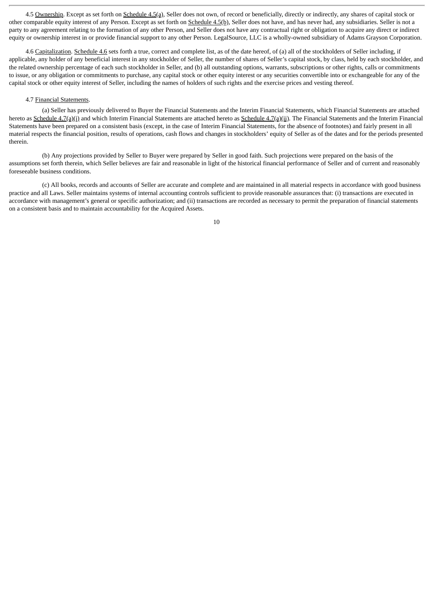4.5 Ownership. Except as set forth on Schedule 4.5(a), Seller does not own, of record or beneficially, directly or indirectly, any shares of capital stock or other comparable equity interest of any Person. Except as set forth on Schedule 4.5(b), Seller does not have, and has never had, any subsidiaries. Seller is not a party to any agreement relating to the formation of any other Person, and Seller does not have any contractual right or obligation to acquire any direct or indirect equity or ownership interest in or provide financial support to any other Person. LegalSource, LLC is a wholly-owned subsidiary of Adams Grayson Corporation.

4.6 Capitalization. Schedule 4.6 sets forth a true, correct and complete list, as of the date hereof, of (a) all of the stockholders of Seller including, if applicable, any holder of any beneficial interest in any stockholder of Seller, the number of shares of Seller's capital stock, by class, held by each stockholder, and the related ownership percentage of each such stockholder in Seller, and (b) all outstanding options, warrants, subscriptions or other rights, calls or commitments to issue, or any obligation or commitments to purchase, any capital stock or other equity interest or any securities convertible into or exchangeable for any of the capital stock or other equity interest of Seller, including the names of holders of such rights and the exercise prices and vesting thereof.

# 4.7 Financial Statements.

(a) Seller has previously delivered to Buyer the Financial Statements and the Interim Financial Statements, which Financial Statements are attached hereto as Schedule 4.7(a)(i) and which Interim Financial Statements are attached hereto as Schedule 4.7(a)(ii). The Financial Statements and the Interim Financial Statements have been prepared on a consistent basis (except, in the case of Interim Financial Statements, for the absence of footnotes) and fairly present in all material respects the financial position, results of operations, cash flows and changes in stockholders' equity of Seller as of the dates and for the periods presented therein.

(b) Any projections provided by Seller to Buyer were prepared by Seller in good faith. Such projections were prepared on the basis of the assumptions set forth therein, which Seller believes are fair and reasonable in light of the historical financial performance of Seller and of current and reasonably foreseeable business conditions.

(c) All books, records and accounts of Seller are accurate and complete and are maintained in all material respects in accordance with good business practice and all Laws. Seller maintains systems of internal accounting controls sufficient to provide reasonable assurances that: (i) transactions are executed in accordance with management's general or specific authorization; and (ii) transactions are recorded as necessary to permit the preparation of financial statements on a consistent basis and to maintain accountability for the Acquired Assets.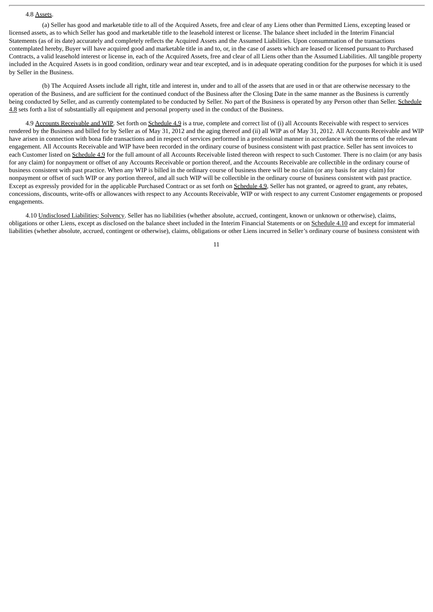#### 4.8 Assets.

(a) Seller has good and marketable title to all of the Acquired Assets, free and clear of any Liens other than Permitted Liens, excepting leased or licensed assets, as to which Seller has good and marketable title to the leasehold interest or license. The balance sheet included in the Interim Financial Statements (as of its date) accurately and completely reflects the Acquired Assets and the Assumed Liabilities. Upon consummation of the transactions contemplated hereby, Buyer will have acquired good and marketable title in and to, or, in the case of assets which are leased or licensed pursuant to Purchased Contracts, a valid leasehold interest or license in, each of the Acquired Assets, free and clear of all Liens other than the Assumed Liabilities. All tangible property included in the Acquired Assets is in good condition, ordinary wear and tear excepted, and is in adequate operating condition for the purposes for which it is used by Seller in the Business.

(b) The Acquired Assets include all right, title and interest in, under and to all of the assets that are used in or that are otherwise necessary to the operation of the Business, and are sufficient for the continued conduct of the Business after the Closing Date in the same manner as the Business is currently being conducted by Seller, and as currently contemplated to be conducted by Seller. No part of the Business is operated by any Person other than Seller. Schedule 4.8 sets forth a list of substantially all equipment and personal property used in the conduct of the Business.

4.9 Accounts Receivable and WIP. Set forth on Schedule 4.9 is a true, complete and correct list of (i) all Accounts Receivable with respect to services rendered by the Business and billed for by Seller as of May 31, 2012 and the aging thereof and (ii) all WIP as of May 31, 2012. All Accounts Receivable and WIP have arisen in connection with bona fide transactions and in respect of services performed in a professional manner in accordance with the terms of the relevant engagement. All Accounts Receivable and WIP have been recorded in the ordinary course of business consistent with past practice. Seller has sent invoices to each Customer listed on Schedule 4.9 for the full amount of all Accounts Receivable listed thereon with respect to such Customer. There is no claim (or any basis for any claim) for nonpayment or offset of any Accounts Receivable or portion thereof, and the Accounts Receivable are collectible in the ordinary course of business consistent with past practice. When any WIP is billed in the ordinary course of business there will be no claim (or any basis for any claim) for nonpayment or offset of such WIP or any portion thereof, and all such WIP will be collectible in the ordinary course of business consistent with past practice. Except as expressly provided for in the applicable Purchased Contract or as set forth on Schedule 4.9, Seller has not granted, or agreed to grant, any rebates, concessions, discounts, write-offs or allowances with respect to any Accounts Receivable, WIP or with respect to any current Customer engagements or proposed engagements.

4.10 Undisclosed Liabilities; Solvency. Seller has no liabilities (whether absolute, accrued, contingent, known or unknown or otherwise), claims, obligations or other Liens, except as disclosed on the balance sheet included in the Interim Financial Statements or on Schedule 4.10 and except for immaterial liabilities (whether absolute, accrued, contingent or otherwise), claims, obligations or other Liens incurred in Seller's ordinary course of business consistent with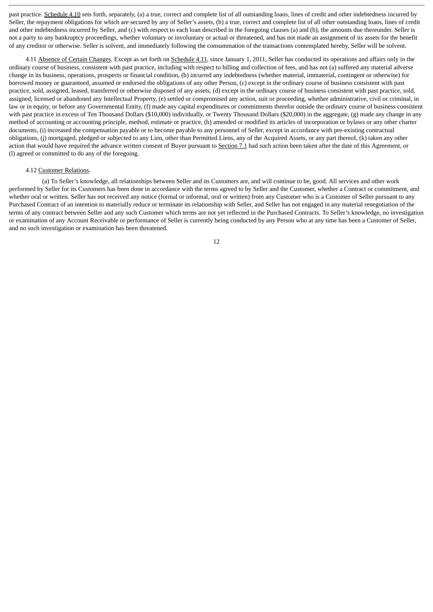past practice. Schedule 4.10 sets forth, separately, (a) a true, correct and complete list of all outstanding loans, lines of credit and other indebtedness incurred by Seller, the repayment obligations for which are secured by any of Seller's assets, (b) a true, correct and complete list of all other outstanding loans, lines of credit and other indebtedness incurred by Seller, and (c) with respect to each loan described in the foregoing clauses (a) and (b), the amounts due thereunder. Seller is not a party to any bankruptcy proceedings, whether voluntary or involuntary or actual or threatened, and has not made an assignment of its assets for the benefit of any creditor or otherwise. Seller is solvent, and immediately following the consummation of the transactions contemplated hereby, Seller will be solvent.

4.11 Absence of Certain Changes. Except as set forth on Schedule 4.11, since January 1, 2011, Seller has conducted its operations and affairs only in the ordinary course of business, consistent with past practice, including with respect to billing and collection of fees, and has not (a) suffered any material adverse change in its business, operations, prospects or financial condition, (b) incurred any indebtedness (whether material, immaterial, contingent or otherwise) for borrowed money or guaranteed, assumed or endorsed the obligations of any other Person, (c) except in the ordinary course of business consistent with past practice, sold, assigned, leased, transferred or otherwise disposed of any assets, (d) except in the ordinary course of business consistent with past practice, sold, assigned, licensed or abandoned any Intellectual Property, (e) settled or compromised any action, suit or proceeding, whether administrative, civil or criminal, in law or in equity, or before any Governmental Entity, (f) made any capital expenditures or commitments therefor outside the ordinary course of business consistent with past practice in excess of Ten Thousand Dollars (\$10,000) individually, or Twenty Thousand Dollars (\$20,000) in the aggregate, (g) made any change in any method of accounting or accounting principle, method, estimate or practice, (h) amended or modified its articles of incorporation or bylaws or any other charter documents, (i) increased the compensation payable or to become payable to any personnel of Seller, except in accordance with pre-existing contractual obligations, (j) mortgaged, pledged or subjected to any Lien, other than Permitted Liens, any of the Acquired Assets, or any part thereof, (k) taken any other action that would have required the advance written consent of Buyer pursuant to Section 7.1 had such action been taken after the date of this Agreement, or (l) agreed or committed to do any of the foregoing.

#### 4.12 Customer Relations.

(a) To Seller's knowledge, all relationships between Seller and its Customers are, and will continue to be, good. All services and other work performed by Seller for its Customers has been done in accordance with the terms agreed to by Seller and the Customer, whether a Contract or commitment, and whether oral or written. Seller has not received any notice (formal or informal, oral or written) from any Customer who is a Customer of Seller pursuant to any Purchased Contract of an intention to materially reduce or terminate its relationship with Seller, and Seller has not engaged in any material renegotiation of the terms of any contract between Seller and any such Customer which terms are not yet reflected in the Purchased Contracts. To Seller's knowledge, no investigation or examination of any Account Receivable or performance of Seller is currently being conducted by any Person who at any time has been a Customer of Seller, and no such investigation or examination has been threatened.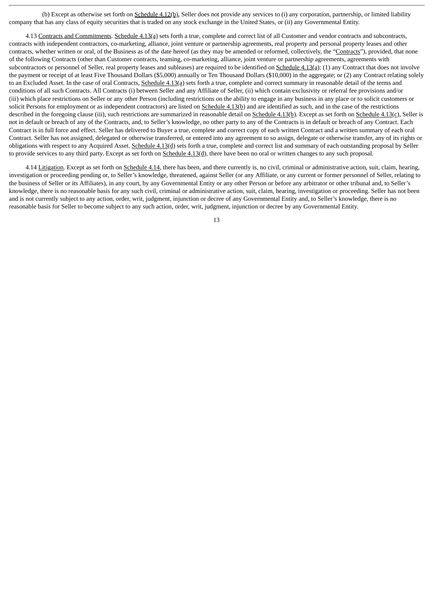(b) Except as otherwise set forth on Schedule 4.12(b), Seller does not provide any services to (i) any corporation, partnership, or limited liability company that has any class of equity securities that is traded on any stock exchange in the United States, or (ii) any Governmental Entity.

4.13 Contracts and Commitments. Schedule 4.13(a) sets forth a true, complete and correct list of all Customer and vendor contracts and subcontracts, contracts with independent contractors, co-marketing, alliance, joint venture or partnership agreements, real property and personal property leases and other contracts, whether written or oral, of the Business as of the date hereof (as they may be amended or reformed, collectively, the "Contracts"), provided, that none of the following Contracts (other than Customer contracts, teaming, co-marketing, alliance, joint venture or partnership agreements, agreements with subcontractors or personnel of Seller, real property leases and subleases) are required to be identified on Schedule 4.13(a): (1) any Contract that does not involve the payment or receipt of at least Five Thousand Dollars (\$5,000) annually or Ten Thousand Dollars (\$10,000) in the aggregate; or (2) any Contract relating solely to an Excluded Asset. In the case of oral Contracts, Schedule 4.13(a) sets forth a true, complete and correct summary in reasonable detail of the terms and conditions of all such Contracts. All Contracts (i) between Seller and any Affiliate of Seller, (ii) which contain exclusivity or referral fee provisions and/or (iii) which place restrictions on Seller or any other Person (including restrictions on the ability to engage in any business in any place or to solicit customers or solicit Persons for employment or as independent contractors) are listed on Schedule 4.13(b) and are identified as such, and in the case of the restrictions described in the foregoing clause (iii), such restrictions are summarized in reasonable detail on Schedule 4.13(b). Except as set forth on Schedule 4.13(c), Seller is not in default or breach of any of the Contracts, and, to Seller's knowledge, no other party to any of the Contracts is in default or breach of any Contract. Each Contract is in full force and effect. Seller has delivered to Buyer a true, complete and correct copy of each written Contract and a written summary of each oral Contract. Seller has not assigned, delegated or otherwise transferred, or entered into any agreement to so assign, delegate or otherwise transfer, any of its rights or obligations with respect to any Acquired Asset. Schedule 4.13(d) sets forth a true, complete and correct list and summary of each outstanding proposal by Seller to provide services to any third party. Except as set forth on Schedule 4.13(d), there have been no oral or written changes to any such proposal.

4.14 Litigation. Except as set forth on Schedule 4.14, there has been, and there currently is, no civil, criminal or administrative action, suit, claim, hearing, investigation or proceeding pending or, to Seller's knowledge, threatened, against Seller (or any Affiliate, or any current or former personnel of Seller, relating to the business of Seller or its Affiliates), in any court, by any Governmental Entity or any other Person or before any arbitrator or other tribunal and, to Seller's knowledge, there is no reasonable basis for any such civil, criminal or administrative action, suit, claim, hearing, investigation or proceeding. Seller has not been and is not currently subject to any action, order, writ, judgment, injunction or decree of any Governmental Entity and, to Seller's knowledge, there is no reasonable basis for Seller to become subject to any such action, order, writ, judgment, injunction or decree by any Governmental Entity.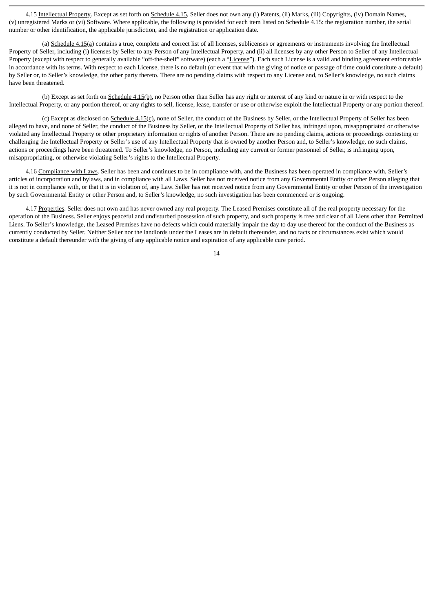4.15 Intellectual Property. Except as set forth on Schedule 4.15, Seller does not own any (i) Patents, (ii) Marks, (iii) Copyrights, (iv) Domain Names, (v) unregistered Marks or (vi) Software. Where applicable, the following is provided for each item listed on Schedule 4.15: the registration number, the serial number or other identification, the applicable jurisdiction, and the registration or application date.

(a)  $Schedule 4.15(a)$  contains a true, complete and correct list of all licenses, sublicenses or agreements or instruments involving the Intellectual Property of Seller, including (i) licenses by Seller to any Person of any Intellectual Property, and (ii) all licenses by any other Person to Seller of any Intellectual Property (except with respect to generally available "off-the-shelf" software) (each a "License"). Each such License is a valid and binding agreement enforceable in accordance with its terms. With respect to each License, there is no default (or event that with the giving of notice or passage of time could constitute a default) by Seller or, to Seller's knowledge, the other party thereto. There are no pending claims with respect to any License and, to Seller's knowledge, no such claims have been threatened.

(b) Except as set forth on Schedule 4.15(b), no Person other than Seller has any right or interest of any kind or nature in or with respect to the Intellectual Property, or any portion thereof, or any rights to sell, license, lease, transfer or use or otherwise exploit the Intellectual Property or any portion thereof.

(c) Except as disclosed on Schedule 4.15(c), none of Seller, the conduct of the Business by Seller, or the Intellectual Property of Seller has been alleged to have, and none of Seller, the conduct of the Business by Seller, or the Intellectual Property of Seller has, infringed upon, misappropriated or otherwise violated any Intellectual Property or other proprietary information or rights of another Person. There are no pending claims, actions or proceedings contesting or challenging the Intellectual Property or Seller's use of any Intellectual Property that is owned by another Person and, to Seller's knowledge, no such claims, actions or proceedings have been threatened. To Seller's knowledge, no Person, including any current or former personnel of Seller, is infringing upon, misappropriating, or otherwise violating Seller's rights to the Intellectual Property.

4.16 Compliance with Laws. Seller has been and continues to be in compliance with, and the Business has been operated in compliance with, Seller's articles of incorporation and bylaws, and in compliance with all Laws. Seller has not received notice from any Governmental Entity or other Person alleging that it is not in compliance with, or that it is in violation of, any Law. Seller has not received notice from any Governmental Entity or other Person of the investigation by such Governmental Entity or other Person and, to Seller's knowledge, no such investigation has been commenced or is ongoing.

4.17 Properties. Seller does not own and has never owned any real property. The Leased Premises constitute all of the real property necessary for the operation of the Business. Seller enjoys peaceful and undisturbed possession of such property, and such property is free and clear of all Liens other than Permitted Liens. To Seller's knowledge, the Leased Premises have no defects which could materially impair the day to day use thereof for the conduct of the Business as currently conducted by Seller. Neither Seller nor the landlords under the Leases are in default thereunder, and no facts or circumstances exist which would constitute a default thereunder with the giving of any applicable notice and expiration of any applicable cure period.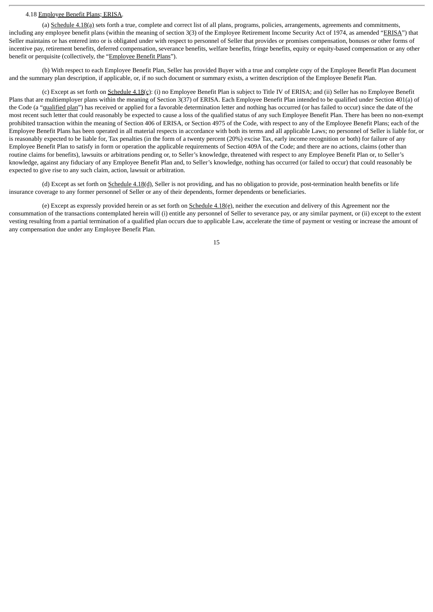#### 4.18 Employee Benefit Plans; ERISA.

(a) Schedule 4.18(a) sets forth a true, complete and correct list of all plans, programs, policies, arrangements, agreements and commitments, including any employee benefit plans (within the meaning of section 3(3) of the Employee Retirement Income Security Act of 1974, as amended "ERISA") that Seller maintains or has entered into or is obligated under with respect to personnel of Seller that provides or promises compensation, bonuses or other forms of incentive pay, retirement benefits, deferred compensation, severance benefits, welfare benefits, fringe benefits, equity or equity-based compensation or any other benefit or perquisite (collectively, the "Employee Benefit Plans").

(b) With respect to each Employee Benefit Plan, Seller has provided Buyer with a true and complete copy of the Employee Benefit Plan document and the summary plan description, if applicable, or, if no such document or summary exists, a written description of the Employee Benefit Plan.

(c) Except as set forth on Schedule 4.18(c): (i) no Employee Benefit Plan is subject to Title IV of ERISA; and (ii) Seller has no Employee Benefit Plans that are multiemployer plans within the meaning of Section 3(37) of ERISA. Each Employee Benefit Plan intended to be qualified under Section 401(a) of the Code (a "qualified plan") has received or applied for a favorable determination letter and nothing has occurred (or has failed to occur) since the date of the most recent such letter that could reasonably be expected to cause a loss of the qualified status of any such Employee Benefit Plan. There has been no non-exempt prohibited transaction within the meaning of Section 406 of ERISA, or Section 4975 of the Code, with respect to any of the Employee Benefit Plans; each of the Employee Benefit Plans has been operated in all material respects in accordance with both its terms and all applicable Laws; no personnel of Seller is liable for, or is reasonably expected to be liable for, Tax penalties (in the form of a twenty percent (20%) excise Tax, early income recognition or both) for failure of any Employee Benefit Plan to satisfy in form or operation the applicable requirements of Section 409A of the Code; and there are no actions, claims (other than routine claims for benefits), lawsuits or arbitrations pending or, to Seller's knowledge, threatened with respect to any Employee Benefit Plan or, to Seller's knowledge, against any fiduciary of any Employee Benefit Plan and, to Seller's knowledge, nothing has occurred (or failed to occur) that could reasonably be expected to give rise to any such claim, action, lawsuit or arbitration.

(d) Except as set forth on Schedule 4.18(d), Seller is not providing, and has no obligation to provide, post-termination health benefits or life insurance coverage to any former personnel of Seller or any of their dependents, former dependents or beneficiaries.

(e) Except as expressly provided herein or as set forth on  $S$ chedule  $4.18$ (e), neither the execution and delivery of this Agreement nor the consummation of the transactions contemplated herein will (i) entitle any personnel of Seller to severance pay, or any similar payment, or (ii) except to the extent vesting resulting from a partial termination of a qualified plan occurs due to applicable Law, accelerate the time of payment or vesting or increase the amount of any compensation due under any Employee Benefit Plan.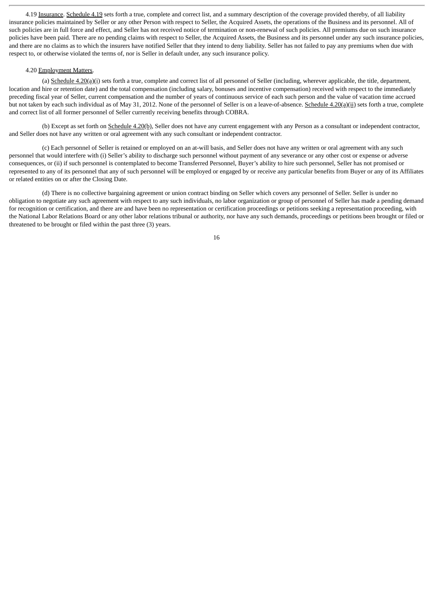4.19 Insurance. Schedule 4.19 sets forth a true, complete and correct list, and a summary description of the coverage provided thereby, of all liability insurance policies maintained by Seller or any other Person with respect to Seller, the Acquired Assets, the operations of the Business and its personnel. All of such policies are in full force and effect, and Seller has not received notice of termination or non-renewal of such policies. All premiums due on such insurance policies have been paid. There are no pending claims with respect to Seller, the Acquired Assets, the Business and its personnel under any such insurance policies, and there are no claims as to which the insurers have notified Seller that they intend to deny liability. Seller has not failed to pay any premiums when due with respect to, or otherwise violated the terms of, nor is Seller in default under, any such insurance policy.

#### 4.20 Employment Matters.

(a) Schedule  $4.20(a)(i)$  sets forth a true, complete and correct list of all personnel of Seller (including, wherever applicable, the title, department, location and hire or retention date) and the total compensation (including salary, bonuses and incentive compensation) received with respect to the immediately preceding fiscal year of Seller, current compensation and the number of years of continuous service of each such person and the value of vacation time accrued but not taken by each such individual as of May 31, 2012. None of the personnel of Seller is on a leave-of-absence. Schedule 4.20(a)(ii) sets forth a true, complete and correct list of all former personnel of Seller currently receiving benefits through COBRA.

(b) Except as set forth on Schedule 4.20(b), Seller does not have any current engagement with any Person as a consultant or independent contractor, and Seller does not have any written or oral agreement with any such consultant or independent contractor.

(c) Each personnel of Seller is retained or employed on an at-will basis, and Seller does not have any written or oral agreement with any such personnel that would interfere with (i) Seller's ability to discharge such personnel without payment of any severance or any other cost or expense or adverse consequences, or (ii) if such personnel is contemplated to become Transferred Personnel, Buyer's ability to hire such personnel, Seller has not promised or represented to any of its personnel that any of such personnel will be employed or engaged by or receive any particular benefits from Buyer or any of its Affiliates or related entities on or after the Closing Date.

(d) There is no collective bargaining agreement or union contract binding on Seller which covers any personnel of Seller. Seller is under no obligation to negotiate any such agreement with respect to any such individuals, no labor organization or group of personnel of Seller has made a pending demand for recognition or certification, and there are and have been no representation or certification proceedings or petitions seeking a representation proceeding, with the National Labor Relations Board or any other labor relations tribunal or authority, nor have any such demands, proceedings or petitions been brought or filed or threatened to be brought or filed within the past three (3) years.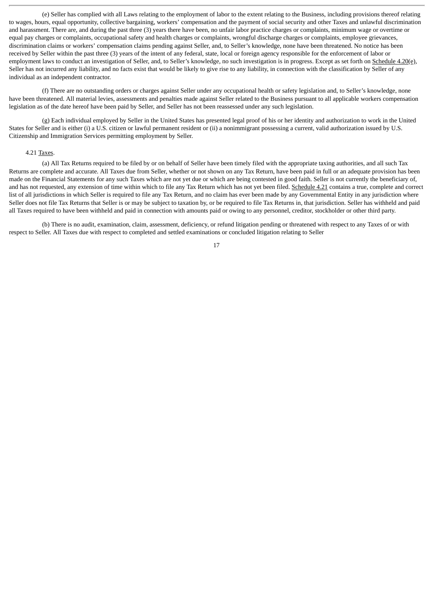(e) Seller has complied with all Laws relating to the employment of labor to the extent relating to the Business, including provisions thereof relating to wages, hours, equal opportunity, collective bargaining, workers' compensation and the payment of social security and other Taxes and unlawful discrimination and harassment. There are, and during the past three (3) years there have been, no unfair labor practice charges or complaints, minimum wage or overtime or equal pay charges or complaints, occupational safety and health charges or complaints, wrongful discharge charges or complaints, employee grievances, discrimination claims or workers' compensation claims pending against Seller, and, to Seller's knowledge, none have been threatened. No notice has been received by Seller within the past three (3) years of the intent of any federal, state, local or foreign agency responsible for the enforcement of labor or employment laws to conduct an investigation of Seller, and, to Seller's knowledge, no such investigation is in progress. Except as set forth on Schedule 4.20(e), Seller has not incurred any liability, and no facts exist that would be likely to give rise to any liability, in connection with the classification by Seller of any individual as an independent contractor.

(f) There are no outstanding orders or charges against Seller under any occupational health or safety legislation and, to Seller's knowledge, none have been threatened. All material levies, assessments and penalties made against Seller related to the Business pursuant to all applicable workers compensation legislation as of the date hereof have been paid by Seller, and Seller has not been reassessed under any such legislation.

(g) Each individual employed by Seller in the United States has presented legal proof of his or her identity and authorization to work in the United States for Seller and is either (i) a U.S. citizen or lawful permanent resident or (ii) a nonimmigrant possessing a current, valid authorization issued by U.S. Citizenship and Immigration Services permitting employment by Seller.

#### 4.21 Taxes.

(a) All Tax Returns required to be filed by or on behalf of Seller have been timely filed with the appropriate taxing authorities, and all such Tax Returns are complete and accurate. All Taxes due from Seller, whether or not shown on any Tax Return, have been paid in full or an adequate provision has been made on the Financial Statements for any such Taxes which are not yet due or which are being contested in good faith. Seller is not currently the beneficiary of, and has not requested, any extension of time within which to file any Tax Return which has not yet been filed. Schedule 4.21 contains a true, complete and correct list of all jurisdictions in which Seller is required to file any Tax Return, and no claim has ever been made by any Governmental Entity in any jurisdiction where Seller does not file Tax Returns that Seller is or may be subject to taxation by, or be required to file Tax Returns in, that jurisdiction. Seller has withheld and paid all Taxes required to have been withheld and paid in connection with amounts paid or owing to any personnel, creditor, stockholder or other third party.

(b) There is no audit, examination, claim, assessment, deficiency, or refund litigation pending or threatened with respect to any Taxes of or with respect to Seller. All Taxes due with respect to completed and settled examinations or concluded litigation relating to Seller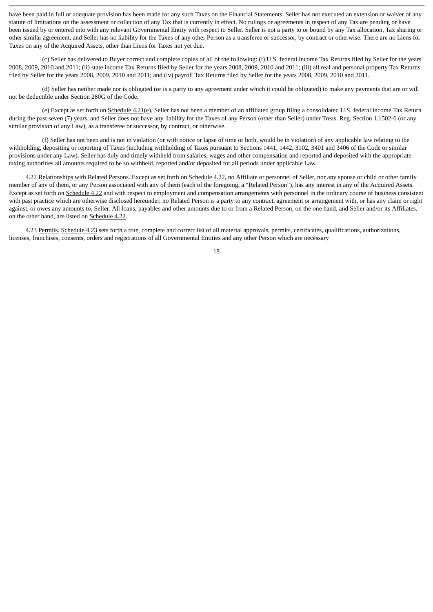have been paid in full or adequate provision has been made for any such Taxes on the Financial Statements. Seller has not executed an extension or waiver of any statute of limitations on the assessment or collection of any Tax that is currently in effect. No rulings or agreements in respect of any Tax are pending or have been issued by or entered into with any relevant Governmental Entity with respect to Seller. Seller is not a party to or bound by any Tax allocation, Tax sharing or other similar agreement, and Seller has no liability for the Taxes of any other Person as a transferee or successor, by contract or otherwise. There are no Liens for Taxes on any of the Acquired Assets, other than Liens for Taxes not yet due.

(c) Seller has delivered to Buyer correct and complete copies of all of the following: (i) U.S. federal income Tax Returns filed by Seller for the years 2008, 2009, 2010 and 2011; (ii) state income Tax Returns filed by Seller for the years 2008, 2009, 2010 and 2011; (iii) all real and personal property Tax Returns filed by Seller for the years 2008, 2009, 2010 and 2011; and (iv) payroll Tax Returns filed by Seller for the years 2008, 2009, 2010 and 2011.

(d) Seller has neither made nor is obligated (or is a party to any agreement under which it could be obligated) to make any payments that are or will not be deductible under Section 280G of the Code.

(e) Except as set forth on Schedule 4.21(e), Seller has not been a member of an affiliated group filing a consolidated U.S. federal income Tax Return during the past seven (7) years, and Seller does not have any liability for the Taxes of any Person (other than Seller) under Treas. Reg. Section 1.1502-6 (or any similar provision of any Law), as a transferee or successor, by contract, or otherwise.

(f) Seller has not been and is not in violation (or with notice or lapse of time or both, would be in violation) of any applicable law relating to the withholding, depositing or reporting of Taxes (including withholding of Taxes pursuant to Sections 1441, 1442, 3102, 3401 and 3406 of the Code or similar provisions under any Law). Seller has duly and timely withheld from salaries, wages and other compensation and reported and deposited with the appropriate taxing authorities all amounts required to be so withheld, reported and/or deposited for all periods under applicable Law.

4.22 Relationships with Related Persons. Except as set forth on Schedule 4.22, no Affiliate or personnel of Seller, nor any spouse or child or other family member of any of them, or any Person associated with any of them (each of the foregoing, a "Related Person"), has any interest in any of the Acquired Assets. Except as set forth on Schedule 4.22 and with respect to employment and compensation arrangements with personnel in the ordinary course of business consistent with past practice which are otherwise disclosed hereunder, no Related Person is a party to any contract, agreement or arrangement with, or has any claim or right against, or owes any amounts to, Seller. All loans, payables and other amounts due to or from a Related Person, on the one hand, and Seller and/or its Affiliates, on the other hand, are listed on Schedule 4.22.

4.23 Permits. Schedule 4.23 sets forth a true, complete and correct list of all material approvals, permits, certificates, qualifications, authorizations, licenses, franchises, consents, orders and registrations of all Governmental Entities and any other Person which are necessary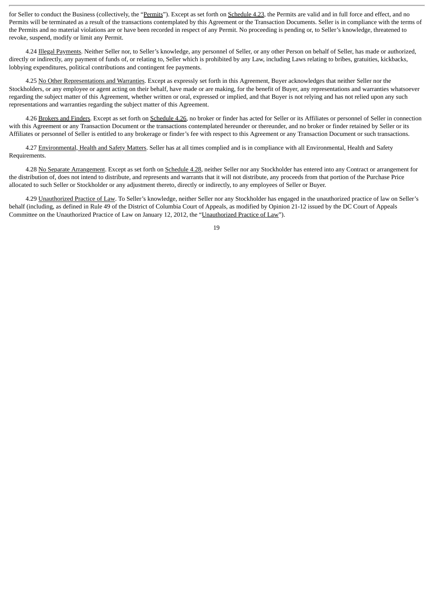for Seller to conduct the Business (collectively, the "Permits"). Except as set forth on Schedule 4.23, the Permits are valid and in full force and effect, and no Permits will be terminated as a result of the transactions contemplated by this Agreement or the Transaction Documents. Seller is in compliance with the terms of the Permits and no material violations are or have been recorded in respect of any Permit. No proceeding is pending or, to Seller's knowledge, threatened to revoke, suspend, modify or limit any Permit.

4.24 Illegal Payments. Neither Seller nor, to Seller's knowledge, any personnel of Seller, or any other Person on behalf of Seller, has made or authorized, directly or indirectly, any payment of funds of, or relating to, Seller which is prohibited by any Law, including Laws relating to bribes, gratuities, kickbacks, lobbying expenditures, political contributions and contingent fee payments.

4.25 No Other Representations and Warranties. Except as expressly set forth in this Agreement, Buyer acknowledges that neither Seller nor the Stockholders, or any employee or agent acting on their behalf, have made or are making, for the benefit of Buyer, any representations and warranties whatsoever regarding the subject matter of this Agreement, whether written or oral, expressed or implied, and that Buyer is not relying and has not relied upon any such representations and warranties regarding the subject matter of this Agreement.

4.26 Brokers and Finders. Except as set forth on Schedule 4.26, no broker or finder has acted for Seller or its Affiliates or personnel of Seller in connection with this Agreement or any Transaction Document or the transactions contemplated hereunder or thereunder, and no broker or finder retained by Seller or its Affiliates or personnel of Seller is entitled to any brokerage or finder's fee with respect to this Agreement or any Transaction Document or such transactions.

4.27 Environmental, Health and Safety Matters. Seller has at all times complied and is in compliance with all Environmental, Health and Safety Requirements.

4.28 No Separate Arrangement. Except as set forth on Schedule 4.28, neither Seller nor any Stockholder has entered into any Contract or arrangement for the distribution of, does not intend to distribute, and represents and warrants that it will not distribute, any proceeds from that portion of the Purchase Price allocated to such Seller or Stockholder or any adjustment thereto, directly or indirectly, to any employees of Seller or Buyer.

4.29 Unauthorized Practice of Law. To Seller's knowledge, neither Seller nor any Stockholder has engaged in the unauthorized practice of law on Seller's behalf (including, as defined in Rule 49 of the District of Columbia Court of Appeals, as modified by Opinion 21-12 issued by the DC Court of Appeals Committee on the Unauthorized Practice of Law on January 12, 2012, the "Unauthorized Practice of Law").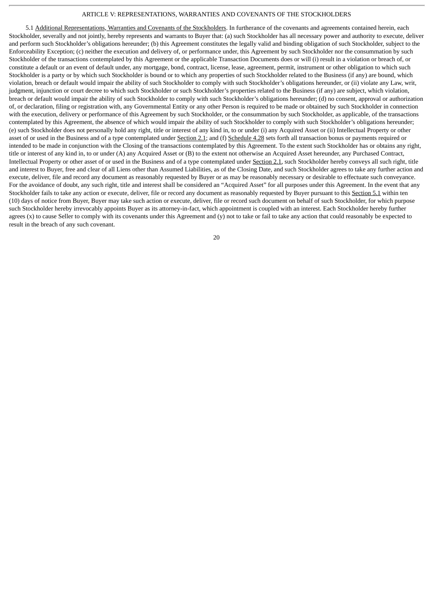## ARTICLE V: REPRESENTATIONS, WARRANTIES AND COVENANTS OF THE STOCKHOLDERS

5.1 Additional Representations, Warranties and Covenants of the Stockholders. In furtherance of the covenants and agreements contained herein, each Stockholder, severally and not jointly, hereby represents and warrants to Buyer that: (a) such Stockholder has all necessary power and authority to execute, deliver and perform such Stockholder's obligations hereunder; (b) this Agreement constitutes the legally valid and binding obligation of such Stockholder, subject to the Enforceability Exception; (c) neither the execution and delivery of, or performance under, this Agreement by such Stockholder nor the consummation by such Stockholder of the transactions contemplated by this Agreement or the applicable Transaction Documents does or will (i) result in a violation or breach of, or constitute a default or an event of default under, any mortgage, bond, contract, license, lease, agreement, permit, instrument or other obligation to which such Stockholder is a party or by which such Stockholder is bound or to which any properties of such Stockholder related to the Business (if any) are bound, which violation, breach or default would impair the ability of such Stockholder to comply with such Stockholder's obligations hereunder, or (ii) violate any Law, writ, judgment, injunction or court decree to which such Stockholder or such Stockholder's properties related to the Business (if any) are subject, which violation, breach or default would impair the ability of such Stockholder to comply with such Stockholder's obligations hereunder; (d) no consent, approval or authorization of, or declaration, filing or registration with, any Governmental Entity or any other Person is required to be made or obtained by such Stockholder in connection with the execution, delivery or performance of this Agreement by such Stockholder, or the consummation by such Stockholder, as applicable, of the transactions contemplated by this Agreement, the absence of which would impair the ability of such Stockholder to comply with such Stockholder's obligations hereunder; (e) such Stockholder does not personally hold any right, title or interest of any kind in, to or under (i) any Acquired Asset or (ii) Intellectual Property or other asset of or used in the Business and of a type contemplated under Section 2.1; and (f) Schedule 4.28 sets forth all transaction bonus or payments required or intended to be made in conjunction with the Closing of the transactions contemplated by this Agreement. To the extent such Stockholder has or obtains any right, title or interest of any kind in, to or under (A) any Acquired Asset or (B) to the extent not otherwise an Acquired Asset hereunder, any Purchased Contract, Intellectual Property or other asset of or used in the Business and of a type contemplated under Section 2.1, such Stockholder hereby conveys all such right, title and interest to Buyer, free and clear of all Liens other than Assumed Liabilities, as of the Closing Date, and such Stockholder agrees to take any further action and execute, deliver, file and record any document as reasonably requested by Buyer or as may be reasonably necessary or desirable to effectuate such conveyance. For the avoidance of doubt, any such right, title and interest shall be considered an "Acquired Asset" for all purposes under this Agreement. In the event that any Stockholder fails to take any action or execute, deliver, file or record any document as reasonably requested by Buyer pursuant to this Section 5.1 within ten (10) days of notice from Buyer, Buyer may take such action or execute, deliver, file or record such document on behalf of such Stockholder, for which purpose such Stockholder hereby irrevocably appoints Buyer as its attorney-in-fact, which appointment is coupled with an interest. Each Stockholder hereby further agrees  $(x)$  to cause Seller to comply with its covenants under this Agreement and  $(y)$  not to take or fail to take any action that could reasonably be expected to result in the breach of any such covenant.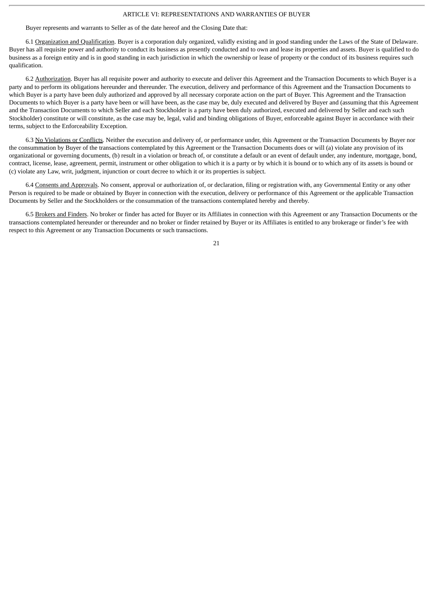#### ARTICLE VI: REPRESENTATIONS AND WARRANTIES OF BUYER

Buyer represents and warrants to Seller as of the date hereof and the Closing Date that:

6.1 Organization and Qualification. Buyer is a corporation duly organized, validly existing and in good standing under the Laws of the State of Delaware. Buyer has all requisite power and authority to conduct its business as presently conducted and to own and lease its properties and assets. Buyer is qualified to do business as a foreign entity and is in good standing in each jurisdiction in which the ownership or lease of property or the conduct of its business requires such qualification.

6.2 Authorization. Buyer has all requisite power and authority to execute and deliver this Agreement and the Transaction Documents to which Buyer is a party and to perform its obligations hereunder and thereunder. The execution, delivery and performance of this Agreement and the Transaction Documents to which Buyer is a party have been duly authorized and approved by all necessary corporate action on the part of Buyer. This Agreement and the Transaction Documents to which Buyer is a party have been or will have been, as the case may be, duly executed and delivered by Buyer and (assuming that this Agreement and the Transaction Documents to which Seller and each Stockholder is a party have been duly authorized, executed and delivered by Seller and each such Stockholder) constitute or will constitute, as the case may be, legal, valid and binding obligations of Buyer, enforceable against Buyer in accordance with their terms, subject to the Enforceability Exception.

6.3 No Violations or Conflicts. Neither the execution and delivery of, or performance under, this Agreement or the Transaction Documents by Buyer nor the consummation by Buyer of the transactions contemplated by this Agreement or the Transaction Documents does or will (a) violate any provision of its organizational or governing documents, (b) result in a violation or breach of, or constitute a default or an event of default under, any indenture, mortgage, bond, contract, license, lease, agreement, permit, instrument or other obligation to which it is a party or by which it is bound or to which any of its assets is bound or (c) violate any Law, writ, judgment, injunction or court decree to which it or its properties is subject.

6.4 Consents and Approvals. No consent, approval or authorization of, or declaration, filing or registration with, any Governmental Entity or any other Person is required to be made or obtained by Buyer in connection with the execution, delivery or performance of this Agreement or the applicable Transaction Documents by Seller and the Stockholders or the consummation of the transactions contemplated hereby and thereby.

6.5 Brokers and Finders. No broker or finder has acted for Buyer or its Affiliates in connection with this Agreement or any Transaction Documents or the transactions contemplated hereunder or thereunder and no broker or finder retained by Buyer or its Affiliates is entitled to any brokerage or finder's fee with respect to this Agreement or any Transaction Documents or such transactions.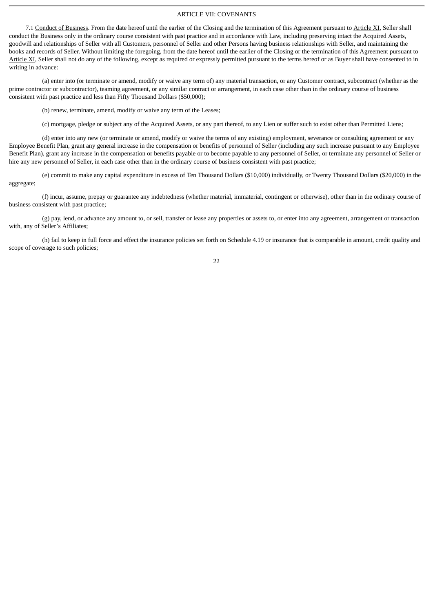## ARTICLE VII: COVENANTS

7.1 Conduct of Business. From the date hereof until the earlier of the Closing and the termination of this Agreement pursuant to Article XI, Seller shall conduct the Business only in the ordinary course consistent with past practice and in accordance with Law, including preserving intact the Acquired Assets, goodwill and relationships of Seller with all Customers, personnel of Seller and other Persons having business relationships with Seller, and maintaining the books and records of Seller. Without limiting the foregoing, from the date hereof until the earlier of the Closing or the termination of this Agreement pursuant to Article XI, Seller shall not do any of the following, except as required or expressly permitted pursuant to the terms hereof or as Buyer shall have consented to in writing in advance:

(a) enter into (or terminate or amend, modify or waive any term of) any material transaction, or any Customer contract, subcontract (whether as the prime contractor or subcontractor), teaming agreement, or any similar contract or arrangement, in each case other than in the ordinary course of business consistent with past practice and less than Fifty Thousand Dollars (\$50,000);

(b) renew, terminate, amend, modify or waive any term of the Leases;

(c) mortgage, pledge or subject any of the Acquired Assets, or any part thereof, to any Lien or suffer such to exist other than Permitted Liens;

(d) enter into any new (or terminate or amend, modify or waive the terms of any existing) employment, severance or consulting agreement or any Employee Benefit Plan, grant any general increase in the compensation or benefits of personnel of Seller (including any such increase pursuant to any Employee Benefit Plan), grant any increase in the compensation or benefits payable or to become payable to any personnel of Seller, or terminate any personnel of Seller or hire any new personnel of Seller, in each case other than in the ordinary course of business consistent with past practice;

(e) commit to make any capital expenditure in excess of Ten Thousand Dollars (\$10,000) individually, or Twenty Thousand Dollars (\$20,000) in the aggregate;

(f) incur, assume, prepay or guarantee any indebtedness (whether material, immaterial, contingent or otherwise), other than in the ordinary course of business consistent with past practice;

(g) pay, lend, or advance any amount to, or sell, transfer or lease any properties or assets to, or enter into any agreement, arrangement or transaction with, any of Seller's Affiliates;

(h) fail to keep in full force and effect the insurance policies set forth on Schedule 4.19 or insurance that is comparable in amount, credit quality and scope of coverage to such policies;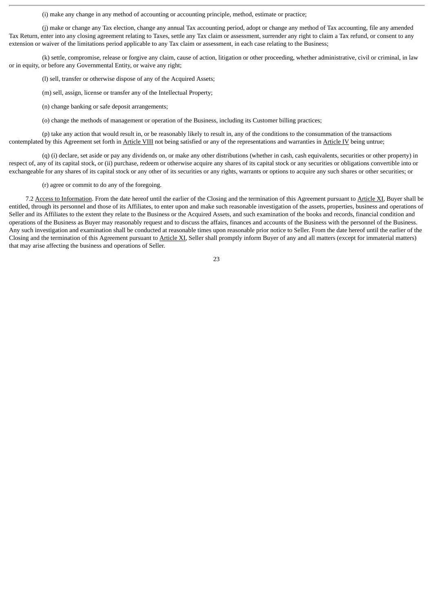(i) make any change in any method of accounting or accounting principle, method, estimate or practice;

(j) make or change any Tax election, change any annual Tax accounting period, adopt or change any method of Tax accounting, file any amended Tax Return, enter into any closing agreement relating to Taxes, settle any Tax claim or assessment, surrender any right to claim a Tax refund, or consent to any extension or waiver of the limitations period applicable to any Tax claim or assessment, in each case relating to the Business;

(k) settle, compromise, release or forgive any claim, cause of action, litigation or other proceeding, whether administrative, civil or criminal, in law or in equity, or before any Governmental Entity, or waive any right;

(l) sell, transfer or otherwise dispose of any of the Acquired Assets;

(m) sell, assign, license or transfer any of the Intellectual Property;

(n) change banking or safe deposit arrangements;

(o) change the methods of management or operation of the Business, including its Customer billing practices;

(p) take any action that would result in, or be reasonably likely to result in, any of the conditions to the consummation of the transactions contemplated by this Agreement set forth in Article VIII not being satisfied or any of the representations and warranties in Article IV being untrue;

(q) (i) declare, set aside or pay any dividends on, or make any other distributions (whether in cash, cash equivalents, securities or other property) in respect of, any of its capital stock, or (ii) purchase, redeem or otherwise acquire any shares of its capital stock or any securities or obligations convertible into or exchangeable for any shares of its capital stock or any other of its securities or any rights, warrants or options to acquire any such shares or other securities; or

(r) agree or commit to do any of the foregoing.

7.2 Access to Information. From the date hereof until the earlier of the Closing and the termination of this Agreement pursuant to Article XI, Buyer shall be entitled, through its personnel and those of its Affiliates, to enter upon and make such reasonable investigation of the assets, properties, business and operations of Seller and its Affiliates to the extent they relate to the Business or the Acquired Assets, and such examination of the books and records, financial condition and operations of the Business as Buyer may reasonably request and to discuss the affairs, finances and accounts of the Business with the personnel of the Business. Any such investigation and examination shall be conducted at reasonable times upon reasonable prior notice to Seller. From the date hereof until the earlier of the Closing and the termination of this Agreement pursuant to Article XI, Seller shall promptly inform Buyer of any and all matters (except for immaterial matters) that may arise affecting the business and operations of Seller.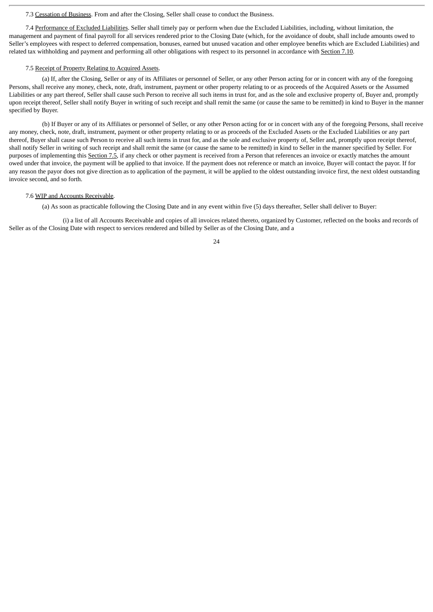#### 7.3 Cessation of Business. From and after the Closing, Seller shall cease to conduct the Business.

7.4 Performance of Excluded Liabilities. Seller shall timely pay or perform when due the Excluded Liabilities, including, without limitation, the management and payment of final payroll for all services rendered prior to the Closing Date (which, for the avoidance of doubt, shall include amounts owed to Seller's employees with respect to deferred compensation, bonuses, earned but unused vacation and other employee benefits which are Excluded Liabilities) and related tax withholding and payment and performing all other obligations with respect to its personnel in accordance with Section 7.10.

#### 7.5 Receipt of Property Relating to Acquired Assets.

(a) If, after the Closing, Seller or any of its Affiliates or personnel of Seller, or any other Person acting for or in concert with any of the foregoing Persons, shall receive any money, check, note, draft, instrument, payment or other property relating to or as proceeds of the Acquired Assets or the Assumed Liabilities or any part thereof, Seller shall cause such Person to receive all such items in trust for, and as the sole and exclusive property of, Buyer and, promptly upon receipt thereof, Seller shall notify Buyer in writing of such receipt and shall remit the same (or cause the same to be remitted) in kind to Buyer in the manner specified by Buyer.

(b) If Buyer or any of its Affiliates or personnel of Seller, or any other Person acting for or in concert with any of the foregoing Persons, shall receive any money, check, note, draft, instrument, payment or other property relating to or as proceeds of the Excluded Assets or the Excluded Liabilities or any part thereof, Buyer shall cause such Person to receive all such items in trust for, and as the sole and exclusive property of, Seller and, promptly upon receipt thereof, shall notify Seller in writing of such receipt and shall remit the same (or cause the same to be remitted) in kind to Seller in the manner specified by Seller. For purposes of implementing this Section 7.5, if any check or other payment is received from a Person that references an invoice or exactly matches the amount owed under that invoice, the payment will be applied to that invoice. If the payment does not reference or match an invoice, Buyer will contact the payor. If for any reason the payor does not give direction as to application of the payment, it will be applied to the oldest outstanding invoice first, the next oldest outstanding invoice second, and so forth.

#### 7.6 WIP and Accounts Receivable.

(a) As soon as practicable following the Closing Date and in any event within five (5) days thereafter, Seller shall deliver to Buyer:

(i) a list of all Accounts Receivable and copies of all invoices related thereto, organized by Customer, reflected on the books and records of Seller as of the Closing Date with respect to services rendered and billed by Seller as of the Closing Date, and a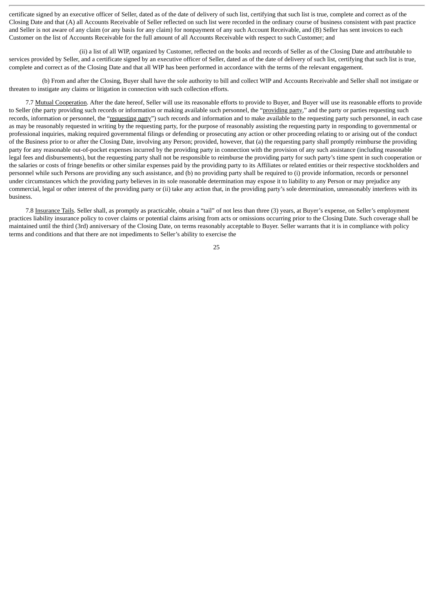certificate signed by an executive officer of Seller, dated as of the date of delivery of such list, certifying that such list is true, complete and correct as of the Closing Date and that (A) all Accounts Receivable of Seller reflected on such list were recorded in the ordinary course of business consistent with past practice and Seller is not aware of any claim (or any basis for any claim) for nonpayment of any such Account Receivable, and (B) Seller has sent invoices to each Customer on the list of Accounts Receivable for the full amount of all Accounts Receivable with respect to such Customer; and

(ii) a list of all WIP, organized by Customer, reflected on the books and records of Seller as of the Closing Date and attributable to services provided by Seller, and a certificate signed by an executive officer of Seller, dated as of the date of delivery of such list, certifying that such list is true, complete and correct as of the Closing Date and that all WIP has been performed in accordance with the terms of the relevant engagement.

(b) From and after the Closing, Buyer shall have the sole authority to bill and collect WIP and Accounts Receivable and Seller shall not instigate or threaten to instigate any claims or litigation in connection with such collection efforts.

7.7 Mutual Cooperation. After the date hereof, Seller will use its reasonable efforts to provide to Buyer, and Buyer will use its reasonable efforts to provide to Seller (the party providing such records or information or making available such personnel, the "providing party," and the party or parties requesting such records, information or personnel, the "requesting party") such records and information and to make available to the requesting party such personnel, in each case as may be reasonably requested in writing by the requesting party, for the purpose of reasonably assisting the requesting party in responding to governmental or professional inquiries, making required governmental filings or defending or prosecuting any action or other proceeding relating to or arising out of the conduct of the Business prior to or after the Closing Date, involving any Person; provided, however, that (a) the requesting party shall promptly reimburse the providing party for any reasonable out-of-pocket expenses incurred by the providing party in connection with the provision of any such assistance (including reasonable legal fees and disbursements), but the requesting party shall not be responsible to reimburse the providing party for such party's time spent in such cooperation or the salaries or costs of fringe benefits or other similar expenses paid by the providing party to its Affiliates or related entities or their respective stockholders and personnel while such Persons are providing any such assistance, and (b) no providing party shall be required to (i) provide information, records or personnel under circumstances which the providing party believes in its sole reasonable determination may expose it to liability to any Person or may prejudice any commercial, legal or other interest of the providing party or (ii) take any action that, in the providing party's sole determination, unreasonably interferes with its business.

7.8 Insurance Tails. Seller shall, as promptly as practicable, obtain a "tail" of not less than three (3) years, at Buyer's expense, on Seller's employment practices liability insurance policy to cover claims or potential claims arising from acts or omissions occurring prior to the Closing Date. Such coverage shall be maintained until the third (3rd) anniversary of the Closing Date, on terms reasonably acceptable to Buyer. Seller warrants that it is in compliance with policy terms and conditions and that there are not impediments to Seller's ability to exercise the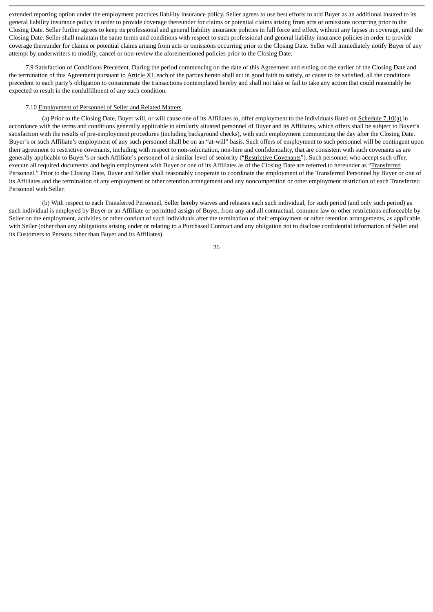extended reporting option under the employment practices liability insurance policy. Seller agrees to use best efforts to add Buyer as an additional insured to its general liability insurance policy in order to provide coverage thereunder for claims or potential claims arising from acts or omissions occurring prior to the Closing Date. Seller further agrees to keep its professional and general liability insurance policies in full force and effect, without any lapses in coverage, until the Closing Date. Seller shall maintain the same terms and conditions with respect to such professional and general liability insurance policies in order to provide coverage thereunder for claims or potential claims arising from acts or omissions occurring prior to the Closing Date. Seller will immediately notify Buyer of any attempt by underwriters to modify, cancel or non-review the aforementioned policies prior to the Closing Date.

7.9 Satisfaction of Conditions Precedent. During the period commencing on the date of this Agreement and ending on the earlier of the Closing Date and the termination of this Agreement pursuant to Article XI, each of the parties hereto shall act in good faith to satisfy, or cause to be satisfied, all the conditions precedent to each party's obligation to consummate the transactions contemplated hereby and shall not take or fail to take any action that could reasonably be expected to result in the nonfulfillment of any such condition.

#### 7.10 Employment of Personnel of Seller and Related Matters.

(a) Prior to the Closing Date, Buyer will, or will cause one of its Affiliates to, offer employment to the individuals listed on Schedule 7.10(a) in accordance with the terms and conditions generally applicable to similarly situated personnel of Buyer and its Affiliates, which offers shall be subject to Buyer's satisfaction with the results of pre-employment procedures (including background checks), with such employment commencing the day after the Closing Date. Buyer's or such Affiliate's employment of any such personnel shall be on an "at-will" basis. Such offers of employment to such personnel will be contingent upon their agreement to restrictive covenants, including with respect to non-solicitation, non-hire and confidentiality, that are consistent with such covenants as are generally applicable to Buyer's or such Affiliate's personnel of a similar level of seniority ("Restrictive Covenants"). Such personnel who accept such offer, execute all required documents and begin employment with Buyer or one of its Affiliates as of the Closing Date are referred to hereunder as "Transferred Personnel." Prior to the Closing Date, Buyer and Seller shall reasonably cooperate to coordinate the employment of the Transferred Personnel by Buyer or one of its Affiliates and the termination of any employment or other retention arrangement and any noncompetition or other employment restriction of each Transferred Personnel with Seller.

(b) With respect to each Transferred Personnel, Seller hereby waives and releases each such individual, for such period (and only such period) as such individual is employed by Buyer or an Affiliate or permitted assign of Buyer, from any and all contractual, common law or other restrictions enforceable by Seller on the employment, activities or other conduct of such individuals after the termination of their employment or other retention arrangements, as applicable, with Seller (other than any obligations arising under or relating to a Purchased Contract and any obligation not to disclose confidential information of Seller and its Customers to Persons other than Buyer and its Affiliates).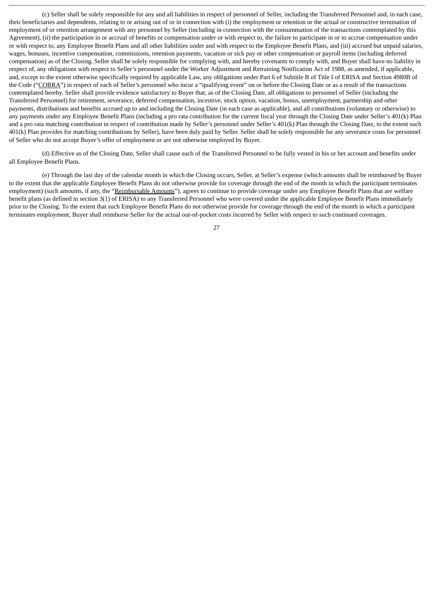(c) Seller shall be solely responsible for any and all liabilities in respect of personnel of Seller, including the Transferred Personnel and, in each case, their beneficiaries and dependents, relating to or arising out of or in connection with (i) the employment or retention or the actual or constructive termination of employment of or retention arrangement with any personnel by Seller (including in connection with the consummation of the transactions contemplated by this Agreement), (ii) the participation in or accrual of benefits or compensation under or with respect to, the failure to participate in or to accrue compensation under or with respect to, any Employee Benefit Plans and all other liabilities under and with respect to the Employee Benefit Plans, and (iii) accrued but unpaid salaries, wages, bonuses, incentive compensation, commissions, retention payments, vacation or sick pay or other compensation or payroll items (including deferred compensation) as of the Closing. Seller shall be solely responsible for complying with, and hereby covenants to comply with, and Buyer shall have no liability in respect of, any obligations with respect to Seller's personnel under the Worker Adjustment and Retraining Notification Act of 1988, as amended, if applicable, and, except to the extent otherwise specifically required by applicable Law, any obligations under Part 6 of Subtitle B of Title I of ERISA and Section 4980B of the Code ("COBRA") in respect of each of Seller's personnel who incur a "qualifying event" on or before the Closing Date or as a result of the transactions contemplated hereby. Seller shall provide evidence satisfactory to Buyer that, as of the Closing Date, all obligations to personnel of Seller (including the Transferred Personnel) for retirement, severance, deferred compensation, incentive, stock option, vacation, bonus, unemployment, partnership and other payments, distributions and benefits accrued up to and including the Closing Date (in each case as applicable), and all contributions (voluntary or otherwise) to any payments under any Employee Benefit Plans (including a pro rata contribution for the current fiscal year through the Closing Date under Seller's 401(k) Plan and a pro rata matching contribution in respect of contribution made by Seller's personnel under Seller's 401(k) Plan through the Closing Date, to the extent such 401(k) Plan provides for matching contributions by Seller), have been duly paid by Seller. Seller shall be solely responsible for any severance costs for personnel of Seller who do not accept Buyer's offer of employment or are not otherwise employed by Buyer.

(d) Effective as of the Closing Date, Seller shall cause each of the Transferred Personnel to be fully vested in his or her account and benefits under all Employee Benefit Plans.

(e) Through the last day of the calendar month in which the Closing occurs, Seller, at Seller's expense (which amounts shall be reimbursed by Buyer to the extent that the applicable Employee Benefit Plans do not otherwise provide for coverage through the end of the month in which the participant terminates employment) (such amounts, if any, the "Reimbursable Amounts"), agrees to continue to provide coverage under any Employee Benefit Plans that are welfare benefit plans (as defined in section 3(1) of ERISA) to any Transferred Personnel who were covered under the applicable Employee Benefit Plans immediately prior to the Closing. To the extent that such Employee Benefit Plans do not otherwise provide for coverage through the end of the month in which a participant terminates employment, Buyer shall reimburse Seller for the actual out-of-pocket costs incurred by Seller with respect to such continued coverages.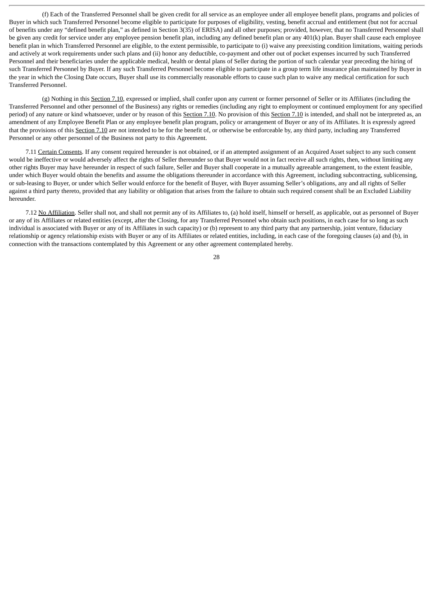(f) Each of the Transferred Personnel shall be given credit for all service as an employee under all employee benefit plans, programs and policies of Buyer in which such Transferred Personnel become eligible to participate for purposes of eligibility, vesting, benefit accrual and entitlement (but not for accrual of benefits under any "defined benefit plan," as defined in Section 3(35) of ERISA) and all other purposes; provided, however, that no Transferred Personnel shall be given any credit for service under any employee pension benefit plan, including any defined benefit plan or any 401(k) plan. Buyer shall cause each employee benefit plan in which Transferred Personnel are eligible, to the extent permissible, to participate to (i) waive any preexisting condition limitations, waiting periods and actively at work requirements under such plans and (ii) honor any deductible, co-payment and other out of pocket expenses incurred by such Transferred Personnel and their beneficiaries under the applicable medical, health or dental plans of Seller during the portion of such calendar year preceding the hiring of such Transferred Personnel by Buyer. If any such Transferred Personnel become eligible to participate in a group term life insurance plan maintained by Buyer in the year in which the Closing Date occurs, Buyer shall use its commercially reasonable efforts to cause such plan to waive any medical certification for such Transferred Personnel.

(g) Nothing in this Section 7.10, expressed or implied, shall confer upon any current or former personnel of Seller or its Affiliates (including the Transferred Personnel and other personnel of the Business) any rights or remedies (including any right to employment or continued employment for any specified period) of any nature or kind whatsoever, under or by reason of this Section 7.10. No provision of this Section 7.10 is intended, and shall not be interpreted as, an amendment of any Employee Benefit Plan or any employee benefit plan program, policy or arrangement of Buyer or any of its Affiliates. It is expressly agreed that the provisions of this Section 7.10 are not intended to be for the benefit of, or otherwise be enforceable by, any third party, including any Transferred Personnel or any other personnel of the Business not party to this Agreement.

7.11 Certain Consents. If any consent required hereunder is not obtained, or if an attempted assignment of an Acquired Asset subject to any such consent would be ineffective or would adversely affect the rights of Seller thereunder so that Buyer would not in fact receive all such rights, then, without limiting any other rights Buyer may have hereunder in respect of such failure, Seller and Buyer shall cooperate in a mutually agreeable arrangement, to the extent feasible, under which Buyer would obtain the benefits and assume the obligations thereunder in accordance with this Agreement, including subcontracting, sublicensing, or sub-leasing to Buyer, or under which Seller would enforce for the benefit of Buyer, with Buyer assuming Seller's obligations, any and all rights of Seller against a third party thereto, provided that any liability or obligation that arises from the failure to obtain such required consent shall be an Excluded Liability hereunder.

7.12 No Affiliation. Seller shall not, and shall not permit any of its Affiliates to, (a) hold itself, himself or herself, as applicable, out as personnel of Buyer or any of its Affiliates or related entities (except, after the Closing, for any Transferred Personnel who obtain such positions, in each case for so long as such individual is associated with Buyer or any of its Affiliates in such capacity) or (b) represent to any third party that any partnership, joint venture, fiduciary relationship or agency relationship exists with Buyer or any of its Affiliates or related entities, including, in each case of the foregoing clauses (a) and (b), in connection with the transactions contemplated by this Agreement or any other agreement contemplated hereby.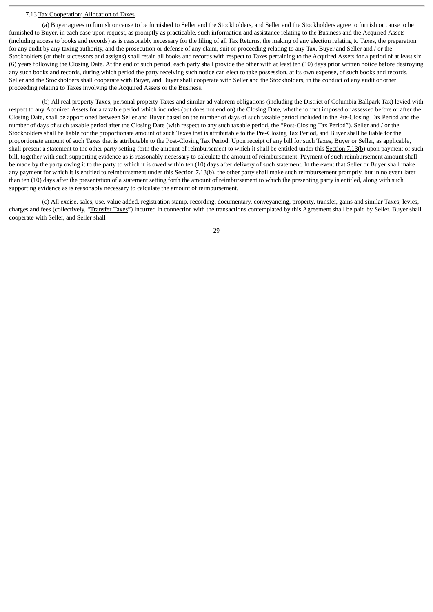### 7.13 Tax Cooperation; Allocation of Taxes.

(a) Buyer agrees to furnish or cause to be furnished to Seller and the Stockholders, and Seller and the Stockholders agree to furnish or cause to be furnished to Buyer, in each case upon request, as promptly as practicable, such information and assistance relating to the Business and the Acquired Assets (including access to books and records) as is reasonably necessary for the filing of all Tax Returns, the making of any election relating to Taxes, the preparation for any audit by any taxing authority, and the prosecution or defense of any claim, suit or proceeding relating to any Tax. Buyer and Seller and / or the Stockholders (or their successors and assigns) shall retain all books and records with respect to Taxes pertaining to the Acquired Assets for a period of at least six (6) years following the Closing Date. At the end of such period, each party shall provide the other with at least ten (10) days prior written notice before destroying any such books and records, during which period the party receiving such notice can elect to take possession, at its own expense, of such books and records. Seller and the Stockholders shall cooperate with Buyer, and Buyer shall cooperate with Seller and the Stockholders, in the conduct of any audit or other proceeding relating to Taxes involving the Acquired Assets or the Business.

(b) All real property Taxes, personal property Taxes and similar ad valorem obligations (including the District of Columbia Ballpark Tax) levied with respect to any Acquired Assets for a taxable period which includes (but does not end on) the Closing Date, whether or not imposed or assessed before or after the Closing Date, shall be apportioned between Seller and Buyer based on the number of days of such taxable period included in the Pre-Closing Tax Period and the number of days of such taxable period after the Closing Date (with respect to any such taxable period, the "Post-Closing Tax Period"). Seller and / or the Stockholders shall be liable for the proportionate amount of such Taxes that is attributable to the Pre-Closing Tax Period, and Buyer shall be liable for the proportionate amount of such Taxes that is attributable to the Post-Closing Tax Period. Upon receipt of any bill for such Taxes, Buyer or Seller, as applicable, shall present a statement to the other party setting forth the amount of reimbursement to which it shall be entitled under this Section 7.13(b) upon payment of such bill, together with such supporting evidence as is reasonably necessary to calculate the amount of reimbursement. Payment of such reimbursement amount shall be made by the party owing it to the party to which it is owed within ten (10) days after delivery of such statement. In the event that Seller or Buyer shall make any payment for which it is entitled to reimbursement under this Section 7.13(b), the other party shall make such reimbursement promptly, but in no event later than ten (10) days after the presentation of a statement setting forth the amount of reimbursement to which the presenting party is entitled, along with such supporting evidence as is reasonably necessary to calculate the amount of reimbursement.

(c) All excise, sales, use, value added, registration stamp, recording, documentary, conveyancing, property, transfer, gains and similar Taxes, levies, charges and fees (collectively, "Transfer Taxes") incurred in connection with the transactions contemplated by this Agreement shall be paid by Seller. Buyer shall cooperate with Seller, and Seller shall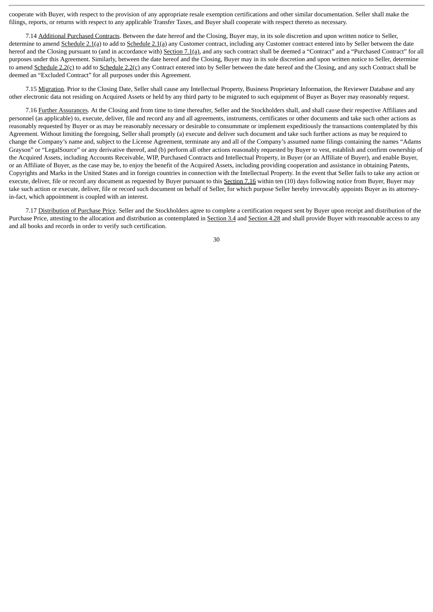cooperate with Buyer, with respect to the provision of any appropriate resale exemption certifications and other similar documentation. Seller shall make the filings, reports, or returns with respect to any applicable Transfer Taxes, and Buyer shall cooperate with respect thereto as necessary.

7.14 Additional Purchased Contracts. Between the date hereof and the Closing, Buyer may, in its sole discretion and upon written notice to Seller, determine to amend Schedule 2.1(a) to add to Schedule 2.1(a) any Customer contract, including any Customer contract entered into by Seller between the date hereof and the Closing pursuant to (and in accordance with) Section 7.1(a), and any such contract shall be deemed a "Contract" and a "Purchased Contract" for all purposes under this Agreement. Similarly, between the date hereof and the Closing, Buyer may in its sole discretion and upon written notice to Seller, determine to amend Schedule 2.2(c) to add to Schedule 2.2(c) any Contract entered into by Seller between the date hereof and the Closing, and any such Contract shall be deemed an "Excluded Contract" for all purposes under this Agreement.

7.15 Migration. Prior to the Closing Date, Seller shall cause any Intellectual Property, Business Proprietary Information, the Reviewer Database and any other electronic data not residing on Acquired Assets or held by any third party to be migrated to such equipment of Buyer as Buyer may reasonably request.

7.16 Further Assurances. At the Closing and from time to time thereafter, Seller and the Stockholders shall, and shall cause their respective Affiliates and personnel (as applicable) to, execute, deliver, file and record any and all agreements, instruments, certificates or other documents and take such other actions as reasonably requested by Buyer or as may be reasonably necessary or desirable to consummate or implement expeditiously the transactions contemplated by this Agreement. Without limiting the foregoing, Seller shall promptly (a) execute and deliver such document and take such further actions as may be required to change the Company's name and, subject to the License Agreement, terminate any and all of the Company's assumed name filings containing the names "Adams Grayson" or "LegalSource" or any derivative thereof, and (b) perform all other actions reasonably requested by Buyer to vest, establish and confirm ownership of the Acquired Assets, including Accounts Receivable, WIP, Purchased Contracts and Intellectual Property, in Buyer (or an Affiliate of Buyer), and enable Buyer, or an Affiliate of Buyer, as the case may be, to enjoy the benefit of the Acquired Assets, including providing cooperation and assistance in obtaining Patents, Copyrights and Marks in the United States and in foreign countries in connection with the Intellectual Property. In the event that Seller fails to take any action or execute, deliver, file or record any document as requested by Buyer pursuant to this Section 7.16 within ten (10) days following notice from Buyer, Buyer may take such action or execute, deliver, file or record such document on behalf of Seller, for which purpose Seller hereby irrevocably appoints Buyer as its attorneyin-fact, which appointment is coupled with an interest.

7.17 Distribution of Purchase Price. Seller and the Stockholders agree to complete a certification request sent by Buyer upon receipt and distribution of the Purchase Price, attesting to the allocation and distribution as contemplated in Section 3.4 and Section 4.28 and shall provide Buyer with reasonable access to any and all books and records in order to verify such certification.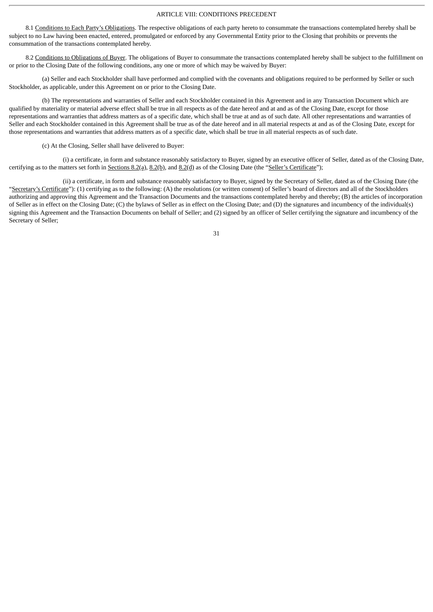## ARTICLE VIII: CONDITIONS PRECEDENT

8.1 Conditions to Each Party's Obligations. The respective obligations of each party hereto to consummate the transactions contemplated hereby shall be subject to no Law having been enacted, entered, promulgated or enforced by any Governmental Entity prior to the Closing that prohibits or prevents the consummation of the transactions contemplated hereby.

8.2 Conditions to Obligations of Buyer. The obligations of Buyer to consummate the transactions contemplated hereby shall be subject to the fulfillment on or prior to the Closing Date of the following conditions, any one or more of which may be waived by Buyer:

(a) Seller and each Stockholder shall have performed and complied with the covenants and obligations required to be performed by Seller or such Stockholder, as applicable, under this Agreement on or prior to the Closing Date.

(b) The representations and warranties of Seller and each Stockholder contained in this Agreement and in any Transaction Document which are qualified by materiality or material adverse effect shall be true in all respects as of the date hereof and at and as of the Closing Date, except for those representations and warranties that address matters as of a specific date, which shall be true at and as of such date. All other representations and warranties of Seller and each Stockholder contained in this Agreement shall be true as of the date hereof and in all material respects at and as of the Closing Date, except for those representations and warranties that address matters as of a specific date, which shall be true in all material respects as of such date.

(c) At the Closing, Seller shall have delivered to Buyer:

(i) a certificate, in form and substance reasonably satisfactory to Buyer, signed by an executive officer of Seller, dated as of the Closing Date, certifying as to the matters set forth in  $Sections 8.2(a)$ ,  $8.2(b)$ , and  $8.2(d)$  as of the Closing Date (the "Seller's Certificate");

(ii) a certificate, in form and substance reasonably satisfactory to Buyer, signed by the Secretary of Seller, dated as of the Closing Date (the "Secretary's Certificate"): (1) certifying as to the following: (A) the resolutions (or written consent) of Seller's board of directors and all of the Stockholders authorizing and approving this Agreement and the Transaction Documents and the transactions contemplated hereby and thereby; (B) the articles of incorporation of Seller as in effect on the Closing Date; (C) the bylaws of Seller as in effect on the Closing Date; and (D) the signatures and incumbency of the individual(s) signing this Agreement and the Transaction Documents on behalf of Seller; and (2) signed by an officer of Seller certifying the signature and incumbency of the Secretary of Seller;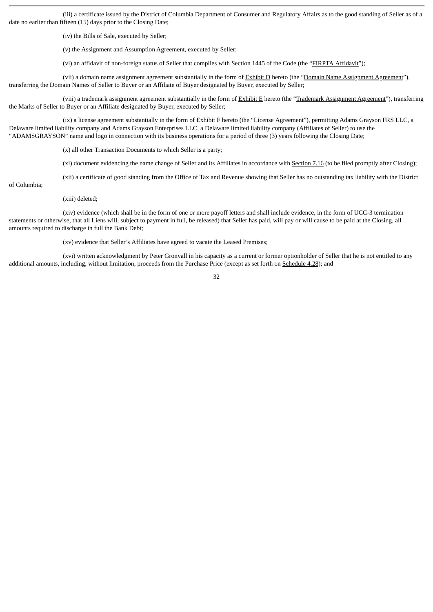(iii) a certificate issued by the District of Columbia Department of Consumer and Regulatory Affairs as to the good standing of Seller as of a date no earlier than fifteen (15) days prior to the Closing Date;

(iv) the Bills of Sale, executed by Seller;

(v) the Assignment and Assumption Agreement, executed by Seller;

(vi) an affidavit of non-foreign status of Seller that complies with Section 1445 of the Code (the "FIRPTA Affidavit");

(vii) a domain name assignment agreement substantially in the form of Exhibit D hereto (the "Domain Name Assignment Agreement"), transferring the Domain Names of Seller to Buyer or an Affiliate of Buyer designated by Buyer, executed by Seller;

(viii) a trademark assignment agreement substantially in the form of  $Exhibit E$  hereto (the "Trademark Assignment Agreement"), transferring the Marks of Seller to Buyer or an Affiliate designated by Buyer, executed by Seller;

(ix) a license agreement substantially in the form of Exhibit F hereto (the "License Agreement"), permitting Adams Grayson FRS LLC, a Delaware limited liability company and Adams Grayson Enterprises LLC, a Delaware limited liability company (Affiliates of Seller) to use the "ADAMSGRAYSON" name and logo in connection with its business operations for a period of three (3) years following the Closing Date;

(x) all other Transaction Documents to which Seller is a party;

(xi) document evidencing the name change of Seller and its Affiliates in accordance with **Section 7.16** (to be filed promptly after Closing);

(xii) a certificate of good standing from the Office of Tax and Revenue showing that Seller has no outstanding tax liability with the District

of Columbia;

(xiii) deleted;

(xiv) evidence (which shall be in the form of one or more payoff letters and shall include evidence, in the form of UCC-3 termination statements or otherwise, that all Liens will, subject to payment in full, be released) that Seller has paid, will pay or will cause to be paid at the Closing, all amounts required to discharge in full the Bank Debt;

(xv) evidence that Seller's Affiliates have agreed to vacate the Leased Premises;

(xvi) written acknowledgment by Peter Gronvall in his capacity as a current or former optionholder of Seller that he is not entitled to any additional amounts, including, without limitation, proceeds from the Purchase Price (except as set forth on Schedule 4.28); and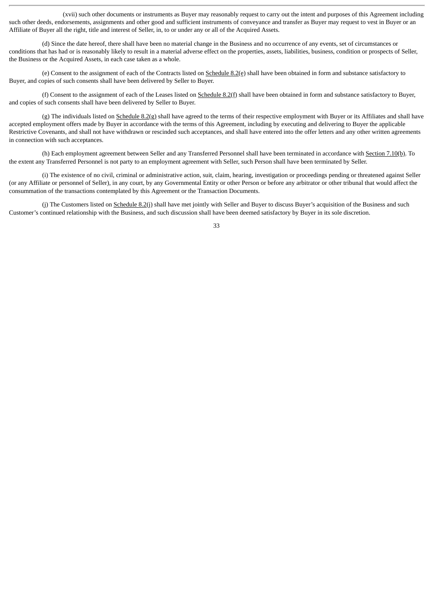(xvii) such other documents or instruments as Buyer may reasonably request to carry out the intent and purposes of this Agreement including such other deeds, endorsements, assignments and other good and sufficient instruments of conveyance and transfer as Buyer may request to vest in Buyer or an Affiliate of Buyer all the right, title and interest of Seller, in, to or under any or all of the Acquired Assets.

(d) Since the date hereof, there shall have been no material change in the Business and no occurrence of any events, set of circumstances or conditions that has had or is reasonably likely to result in a material adverse effect on the properties, assets, liabilities, business, condition or prospects of Seller, the Business or the Acquired Assets, in each case taken as a whole.

(e) Consent to the assignment of each of the Contracts listed on  $S$ chedule  $8.2$ (e) shall have been obtained in form and substance satisfactory to Buyer, and copies of such consents shall have been delivered by Seller to Buyer.

(f) Consent to the assignment of each of the Leases listed on  $S$ chedule  $8.2(f)$  shall have been obtained in form and substance satisfactory to Buyer, and copies of such consents shall have been delivered by Seller to Buyer.

(g) The individuals listed on Schedule 8.2(g) shall have agreed to the terms of their respective employment with Buyer or its Affiliates and shall have accepted employment offers made by Buyer in accordance with the terms of this Agreement, including by executing and delivering to Buyer the applicable Restrictive Covenants, and shall not have withdrawn or rescinded such acceptances, and shall have entered into the offer letters and any other written agreements in connection with such acceptances.

(h) Each employment agreement between Seller and any Transferred Personnel shall have been terminated in accordance with Section 7.10(b). To the extent any Transferred Personnel is not party to an employment agreement with Seller, such Person shall have been terminated by Seller.

(i) The existence of no civil, criminal or administrative action, suit, claim, hearing, investigation or proceedings pending or threatened against Seller (or any Affiliate or personnel of Seller), in any court, by any Governmental Entity or other Person or before any arbitrator or other tribunal that would affect the consummation of the transactions contemplated by this Agreement or the Transaction Documents.

(j) The Customers listed on Schedule 8.2(j) shall have met jointly with Seller and Buyer to discuss Buyer's acquisition of the Business and such Customer's continued relationship with the Business, and such discussion shall have been deemed satisfactory by Buyer in its sole discretion.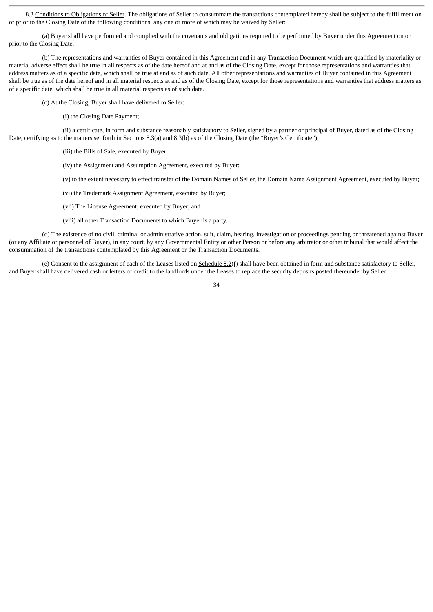8.3 Conditions to Obligations of Seller. The obligations of Seller to consummate the transactions contemplated hereby shall be subject to the fulfillment on or prior to the Closing Date of the following conditions, any one or more of which may be waived by Seller:

(a) Buyer shall have performed and complied with the covenants and obligations required to be performed by Buyer under this Agreement on or prior to the Closing Date.

(b) The representations and warranties of Buyer contained in this Agreement and in any Transaction Document which are qualified by materiality or material adverse effect shall be true in all respects as of the date hereof and at and as of the Closing Date, except for those representations and warranties that address matters as of a specific date, which shall be true at and as of such date. All other representations and warranties of Buyer contained in this Agreement shall be true as of the date hereof and in all material respects at and as of the Closing Date, except for those representations and warranties that address matters as of a specific date, which shall be true in all material respects as of such date.

(c) At the Closing, Buyer shall have delivered to Seller:

(i) the Closing Date Payment;

(ii) a certificate, in form and substance reasonably satisfactory to Seller, signed by a partner or principal of Buyer, dated as of the Closing Date, certifying as to the matters set forth in Sections 8.3(a) and 8.3(b) as of the Closing Date (the "Buyer's Certificate");

(iii) the Bills of Sale, executed by Buyer;

(iv) the Assignment and Assumption Agreement, executed by Buyer;

(v) to the extent necessary to effect transfer of the Domain Names of Seller, the Domain Name Assignment Agreement, executed by Buyer;

- (vi) the Trademark Assignment Agreement, executed by Buyer;
- (vii) The License Agreement, executed by Buyer; and
- (viii) all other Transaction Documents to which Buyer is a party.

(d) The existence of no civil, criminal or administrative action, suit, claim, hearing, investigation or proceedings pending or threatened against Buyer (or any Affiliate or personnel of Buyer), in any court, by any Governmental Entity or other Person or before any arbitrator or other tribunal that would affect the consummation of the transactions contemplated by this Agreement or the Transaction Documents.

(e) Consent to the assignment of each of the Leases listed on Schedule 8.2(f) shall have been obtained in form and substance satisfactory to Seller, and Buyer shall have delivered cash or letters of credit to the landlords under the Leases to replace the security deposits posted thereunder by Seller.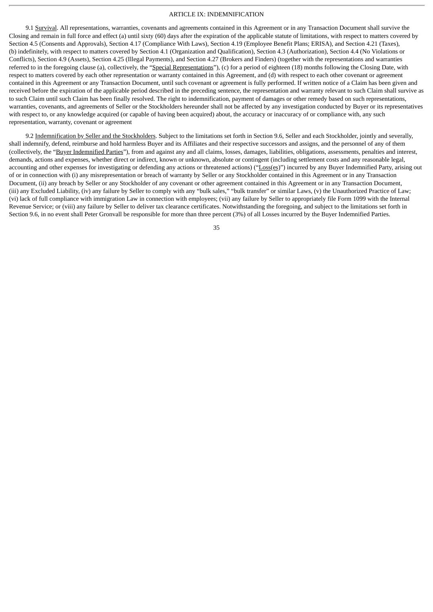## ARTICLE IX: INDEMNIFICATION

9.1 Survival. All representations, warranties, covenants and agreements contained in this Agreement or in any Transaction Document shall survive the Closing and remain in full force and effect (a) until sixty (60) days after the expiration of the applicable statute of limitations, with respect to matters covered by Section 4.5 (Consents and Approvals), Section 4.17 (Compliance With Laws), Section 4.19 (Employee Benefit Plans; ERISA), and Section 4.21 (Taxes), (b) indefinitely, with respect to matters covered by Section 4.1 (Organization and Qualification), Section 4.3 (Authorization), Section 4.4 (No Violations or Conflicts), Section 4.9 (Assets), Section 4.25 (Illegal Payments), and Section 4.27 (Brokers and Finders) (together with the representations and warranties referred to in the foregoing clause (a), collectively, the "Special Representations"), (c) for a period of eighteen (18) months following the Closing Date, with respect to matters covered by each other representation or warranty contained in this Agreement, and (d) with respect to each other covenant or agreement contained in this Agreement or any Transaction Document, until such covenant or agreement is fully performed. If written notice of a Claim has been given and received before the expiration of the applicable period described in the preceding sentence, the representation and warranty relevant to such Claim shall survive as to such Claim until such Claim has been finally resolved. The right to indemnification, payment of damages or other remedy based on such representations, warranties, covenants, and agreements of Seller or the Stockholders hereunder shall not be affected by any investigation conducted by Buyer or its representatives with respect to, or any knowledge acquired (or capable of having been acquired) about, the accuracy or inaccuracy of or compliance with, any such representation, warranty, covenant or agreement

9.2 Indemnification by Seller and the Stockholders. Subject to the limitations set forth in Section 9.6, Seller and each Stockholder, jointly and severally, shall indemnify, defend, reimburse and hold harmless Buyer and its Affiliates and their respective successors and assigns, and the personnel of any of them (collectively, the "Buyer Indemnified Parties"), from and against any and all claims, losses, damages, liabilities, obligations, assessments, penalties and interest, demands, actions and expenses, whether direct or indirect, known or unknown, absolute or contingent (including settlement costs and any reasonable legal, accounting and other expenses for investigating or defending any actions or threatened actions) ("Loss(es)") incurred by any Buyer Indemnified Party, arising out of or in connection with (i) any misrepresentation or breach of warranty by Seller or any Stockholder contained in this Agreement or in any Transaction Document, (ii) any breach by Seller or any Stockholder of any covenant or other agreement contained in this Agreement or in any Transaction Document, (iii) any Excluded Liability, (iv) any failure by Seller to comply with any "bulk sales," "bulk transfer" or similar Laws, (v) the Unauthorized Practice of Law; (vi) lack of full compliance with immigration Law in connection with employees; (vii) any failure by Seller to appropriately file Form 1099 with the Internal Revenue Service; or (viii) any failure by Seller to deliver tax clearance certificates. Notwithstanding the foregoing, and subject to the limitations set forth in Section 9.6, in no event shall Peter Gronvall be responsible for more than three percent (3%) of all Losses incurred by the Buyer Indemnified Parties.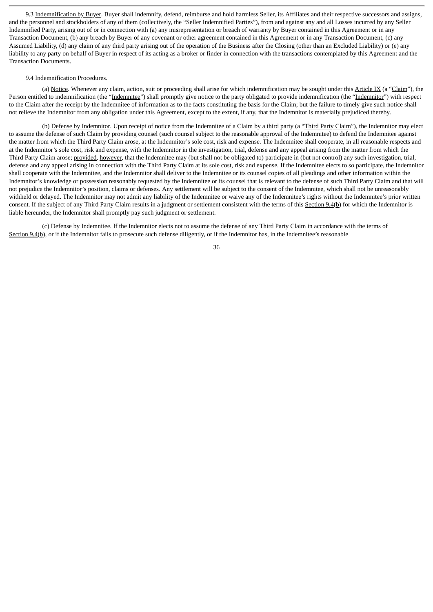9.3 Indemnification by Buyer. Buyer shall indemnify, defend, reimburse and hold harmless Seller, its Affiliates and their respective successors and assigns, and the personnel and stockholders of any of them (collectively, the "Seller Indemnified Parties"), from and against any and all Losses incurred by any Seller Indemnified Party, arising out of or in connection with (a) any misrepresentation or breach of warranty by Buyer contained in this Agreement or in any Transaction Document, (b) any breach by Buyer of any covenant or other agreement contained in this Agreement or in any Transaction Document, (c) any Assumed Liability, (d) any claim of any third party arising out of the operation of the Business after the Closing (other than an Excluded Liability) or (e) any liability to any party on behalf of Buyer in respect of its acting as a broker or finder in connection with the transactions contemplated by this Agreement and the Transaction Documents.

### 9.4 Indemnification Procedures.

(a) Notice. Whenever any claim, action, suit or proceeding shall arise for which indemnification may be sought under this Article IX (a "Claim"), the Person entitled to indemnification (the "Indemnitee") shall promptly give notice to the party obligated to provide indemnification (the "Indemnitor") with respect to the Claim after the receipt by the Indemnitee of information as to the facts constituting the basis for the Claim; but the failure to timely give such notice shall not relieve the Indemnitor from any obligation under this Agreement, except to the extent, if any, that the Indemnitor is materially prejudiced thereby.

(b) Defense by Indemnitor. Upon receipt of notice from the Indemnitee of a Claim by a third party (a "Third Party Claim"), the Indemnitor may elect to assume the defense of such Claim by providing counsel (such counsel subject to the reasonable approval of the Indemnitee) to defend the Indemnitee against the matter from which the Third Party Claim arose, at the Indemnitor's sole cost, risk and expense. The Indemnitee shall cooperate, in all reasonable respects and at the Indemnitor's sole cost, risk and expense, with the Indemnitor in the investigation, trial, defense and any appeal arising from the matter from which the Third Party Claim arose; provided, however, that the Indemnitee may (but shall not be obligated to) participate in (but not control) any such investigation, trial, defense and any appeal arising in connection with the Third Party Claim at its sole cost, risk and expense. If the Indemnitee elects to so participate, the Indemnitor shall cooperate with the Indemnitee, and the Indemnitor shall deliver to the Indemnitee or its counsel copies of all pleadings and other information within the Indemnitor's knowledge or possession reasonably requested by the Indemnitee or its counsel that is relevant to the defense of such Third Party Claim and that will not prejudice the Indemnitor's position, claims or defenses. Any settlement will be subject to the consent of the Indemnitee, which shall not be unreasonably withheld or delayed. The Indemnitor may not admit any liability of the Indemnitee or waive any of the Indemnitee's rights without the Indemnitee's prior written consent. If the subject of any Third Party Claim results in a judgment or settlement consistent with the terms of this Section 9.4(b) for which the Indemnitor is liable hereunder, the Indemnitor shall promptly pay such judgment or settlement.

(c) Defense by Indemnitee. If the Indemnitor elects not to assume the defense of any Third Party Claim in accordance with the terms of Section 9.4(b), or if the Indemnitor fails to prosecute such defense diligently, or if the Indemnitor has, in the Indemnitee's reasonable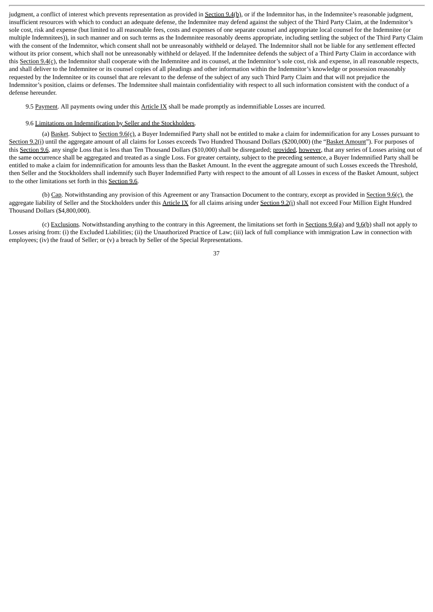judgment, a conflict of interest which prevents representation as provided in Section 9.4(b), or if the Indemnitor has, in the Indemnitee's reasonable judgment, insufficient resources with which to conduct an adequate defense, the Indemnitee may defend against the subject of the Third Party Claim, at the Indemnitor's sole cost, risk and expense (but limited to all reasonable fees, costs and expenses of one separate counsel and appropriate local counsel for the Indemnitee (or multiple Indemnitees)), in such manner and on such terms as the Indemnitee reasonably deems appropriate, including settling the subject of the Third Party Claim with the consent of the Indemnitor, which consent shall not be unreasonably withheld or delayed. The Indemnitor shall not be liable for any settlement effected without its prior consent, which shall not be unreasonably withheld or delayed. If the Indemnitee defends the subject of a Third Party Claim in accordance with this Section 9.4(c), the Indemnitor shall cooperate with the Indemnitee and its counsel, at the Indemnitor's sole cost, risk and expense, in all reasonable respects, and shall deliver to the Indemnitee or its counsel copies of all pleadings and other information within the Indemnitor's knowledge or possession reasonably requested by the Indemnitee or its counsel that are relevant to the defense of the subject of any such Third Party Claim and that will not prejudice the Indemnitor's position, claims or defenses. The Indemnitee shall maintain confidentiality with respect to all such information consistent with the conduct of a defense hereunder.

9.5 Payment. All payments owing under this Article IX shall be made promptly as indemnifiable Losses are incurred.

### 9.6 Limitations on Indemnification by Seller and the Stockholders.

(a) Basket. Subject to Section  $9.6(c)$ , a Buyer Indemnified Party shall not be entitled to make a claim for indemnification for any Losses pursuant to Section 9.2(i) until the aggregate amount of all claims for Losses exceeds Two Hundred Thousand Dollars (\$200,000) (the "Basket Amount"). For purposes of this Section 9.6, any single Loss that is less than Ten Thousand Dollars (\$10,000) shall be disregarded; provided, however, that any series of Losses arising out of the same occurrence shall be aggregated and treated as a single Loss. For greater certainty, subject to the preceding sentence, a Buyer Indemnified Party shall be entitled to make a claim for indemnification for amounts less than the Basket Amount. In the event the aggregate amount of such Losses exceeds the Threshold, then Seller and the Stockholders shall indemnify such Buyer Indemnified Party with respect to the amount of all Losses in excess of the Basket Amount, subject to the other limitations set forth in this Section 9.6.

(b) Cap. Notwithstanding any provision of this Agreement or any Transaction Document to the contrary, except as provided in Section 9.6(c), the aggregate liability of Seller and the Stockholders under this Article IX for all claims arising under Section 9.2(i) shall not exceed Four Million Eight Hundred Thousand Dollars (\$4,800,000).

(c) Exclusions. Notwithstanding anything to the contrary in this Agreement, the limitations set forth in Sections  $9.6(a)$  and  $9.6(b)$  shall not apply to Losses arising from: (i) the Excluded Liabilities; (ii) the Unauthorized Practice of Law; (iii) lack of full compliance with immigration Law in connection with employees; (iv) the fraud of Seller; or (v) a breach by Seller of the Special Representations.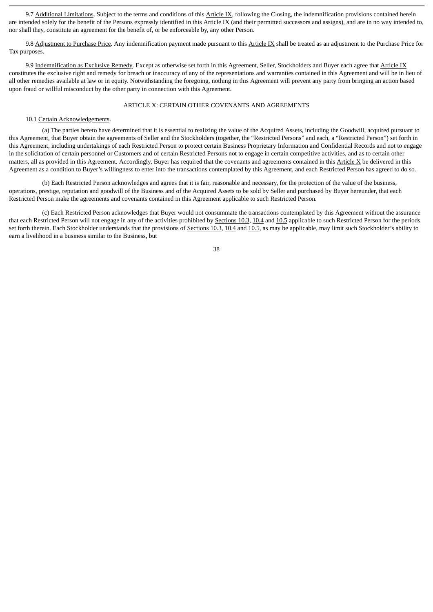9.7 Additional Limitations. Subject to the terms and conditions of this Article IX, following the Closing, the indemnification provisions contained herein are intended solely for the benefit of the Persons expressly identified in this Article IX (and their permitted successors and assigns), and are in no way intended to, nor shall they, constitute an agreement for the benefit of, or be enforceable by, any other Person.

9.8 Adjustment to Purchase Price. Any indemnification payment made pursuant to this Article IX shall be treated as an adjustment to the Purchase Price for Tax purposes.

9.9 Indemnification as Exclusive Remedy. Except as otherwise set forth in this Agreement, Seller, Stockholders and Buyer each agree that Article IX constitutes the exclusive right and remedy for breach or inaccuracy of any of the representations and warranties contained in this Agreement and will be in lieu of all other remedies available at law or in equity. Notwithstanding the foregoing, nothing in this Agreement will prevent any party from bringing an action based upon fraud or willful misconduct by the other party in connection with this Agreement.

#### ARTICLE X: CERTAIN OTHER COVENANTS AND AGREEMENTS

#### 10.1 Certain Acknowledgements.

(a) The parties hereto have determined that it is essential to realizing the value of the Acquired Assets, including the Goodwill, acquired pursuant to this Agreement, that Buyer obtain the agreements of Seller and the Stockholders (together, the "Restricted Persons" and each, a "Restricted Person") set forth in this Agreement, including undertakings of each Restricted Person to protect certain Business Proprietary Information and Confidential Records and not to engage in the solicitation of certain personnel or Customers and of certain Restricted Persons not to engage in certain competitive activities, and as to certain other matters, all as provided in this Agreement. Accordingly, Buyer has required that the covenants and agreements contained in this Article X be delivered in this Agreement as a condition to Buyer's willingness to enter into the transactions contemplated by this Agreement, and each Restricted Person has agreed to do so.

(b) Each Restricted Person acknowledges and agrees that it is fair, reasonable and necessary, for the protection of the value of the business, operations, prestige, reputation and goodwill of the Business and of the Acquired Assets to be sold by Seller and purchased by Buyer hereunder, that each Restricted Person make the agreements and covenants contained in this Agreement applicable to such Restricted Person.

(c) Each Restricted Person acknowledges that Buyer would not consummate the transactions contemplated by this Agreement without the assurance that each Restricted Person will not engage in any of the activities prohibited by Sections 10.3, 10.4 and 10.5 applicable to such Restricted Person for the periods set forth therein. Each Stockholder understands that the provisions of Sections 10.3, 10.4 and 10.5, as may be applicable, may limit such Stockholder's ability to earn a livelihood in a business similar to the Business, but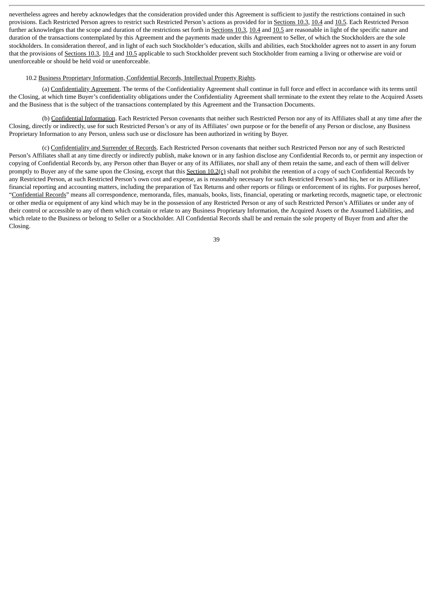nevertheless agrees and hereby acknowledges that the consideration provided under this Agreement is sufficient to justify the restrictions contained in such provisions. Each Restricted Person agrees to restrict such Restricted Person's actions as provided for in Sections 10.3, 10.4 and 10.5. Each Restricted Person further acknowledges that the scope and duration of the restrictions set forth in Sections 10.3, 10.4 and 10.5 are reasonable in light of the specific nature and duration of the transactions contemplated by this Agreement and the payments made under this Agreement to Seller, of which the Stockholders are the sole stockholders. In consideration thereof, and in light of each such Stockholder's education, skills and abilities, each Stockholder agrees not to assert in any forum that the provisions of Sections 10.3, 10.4 and 10.5 applicable to such Stockholder prevent such Stockholder from earning a living or otherwise are void or unenforceable or should be held void or unenforceable.

## 10.2 Business Proprietary Information, Confidential Records, Intellectual Property Rights.

(a) Confidentiality Agreement. The terms of the Confidentiality Agreement shall continue in full force and effect in accordance with its terms until the Closing, at which time Buyer's confidentiality obligations under the Confidentiality Agreement shall terminate to the extent they relate to the Acquired Assets and the Business that is the subject of the transactions contemplated by this Agreement and the Transaction Documents.

(b) Confidential Information. Each Restricted Person covenants that neither such Restricted Person nor any of its Affiliates shall at any time after the Closing, directly or indirectly, use for such Restricted Person's or any of its Affiliates' own purpose or for the benefit of any Person or disclose, any Business Proprietary Information to any Person, unless such use or disclosure has been authorized in writing by Buyer.

(c) Confidentiality and Surrender of Records. Each Restricted Person covenants that neither such Restricted Person nor any of such Restricted Person's Affiliates shall at any time directly or indirectly publish, make known or in any fashion disclose any Confidential Records to, or permit any inspection or copying of Confidential Records by, any Person other than Buyer or any of its Affiliates, nor shall any of them retain the same, and each of them will deliver promptly to Buyer any of the same upon the Closing, except that this Section  $10.2(c)$  shall not prohibit the retention of a copy of such Confidential Records by any Restricted Person, at such Restricted Person's own cost and expense, as is reasonably necessary for such Restricted Person's and his, her or its Affiliates' financial reporting and accounting matters, including the preparation of Tax Returns and other reports or filings or enforcement of its rights. For purposes hereof, "Confidential Records" means all correspondence, memoranda, files, manuals, books, lists, financial, operating or marketing records, magnetic tape, or electronic or other media or equipment of any kind which may be in the possession of any Restricted Person or any of such Restricted Person's Affiliates or under any of their control or accessible to any of them which contain or relate to any Business Proprietary Information, the Acquired Assets or the Assumed Liabilities, and which relate to the Business or belong to Seller or a Stockholder. All Confidential Records shall be and remain the sole property of Buyer from and after the Closing.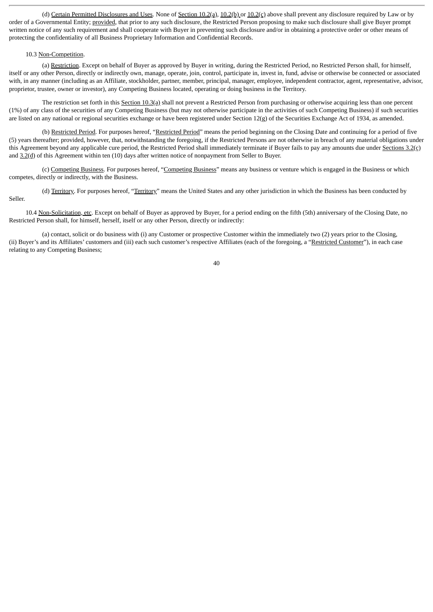(d) Certain Permitted Disclosures and Uses. None of Section 10.2(a), 10.2(b) or 10.2(c) above shall prevent any disclosure required by Law or by order of a Governmental Entity; provided, that prior to any such disclosure, the Restricted Person proposing to make such disclosure shall give Buyer prompt written notice of any such requirement and shall cooperate with Buyer in preventing such disclosure and/or in obtaining a protective order or other means of protecting the confidentiality of all Business Proprietary Information and Confidential Records.

## 10.3 Non-Competition.

(a) Restriction. Except on behalf of Buyer as approved by Buyer in writing, during the Restricted Period, no Restricted Person shall, for himself, itself or any other Person, directly or indirectly own, manage, operate, join, control, participate in, invest in, fund, advise or otherwise be connected or associated with, in any manner (including as an Affiliate, stockholder, partner, member, principal, manager, employee, independent contractor, agent, representative, advisor, proprietor, trustee, owner or investor), any Competing Business located, operating or doing business in the Territory.

The restriction set forth in this Section 10.3(a) shall not prevent a Restricted Person from purchasing or otherwise acquiring less than one percent (1%) of any class of the securities of any Competing Business (but may not otherwise participate in the activities of such Competing Business) if such securities are listed on any national or regional securities exchange or have been registered under Section 12(g) of the Securities Exchange Act of 1934, as amended.

(b) Restricted Period. For purposes hereof, "Restricted Period" means the period beginning on the Closing Date and continuing for a period of five (5) years thereafter; provided, however, that, notwithstanding the foregoing, if the Restricted Persons are not otherwise in breach of any material obligations under this Agreement beyond any applicable cure period, the Restricted Period shall immediately terminate if Buyer fails to pay any amounts due under Sections  $3.2(c)$ and 3.2(d) of this Agreement within ten (10) days after written notice of nonpayment from Seller to Buyer.

(c) Competing Business. For purposes hereof, "Competing Business" means any business or venture which is engaged in the Business or which competes, directly or indirectly, with the Business.

(d) Territory. For purposes hereof, "Territory" means the United States and any other jurisdiction in which the Business has been conducted by Seller.

10.4 Non-Solicitation, etc. Except on behalf of Buyer as approved by Buyer, for a period ending on the fifth (5th) anniversary of the Closing Date, no Restricted Person shall, for himself, herself, itself or any other Person, directly or indirectly:

(a) contact, solicit or do business with (i) any Customer or prospective Customer within the immediately two (2) years prior to the Closing, (ii) Buyer's and its Affiliates' customers and (iii) each such customer's respective Affiliates (each of the foregoing, a "Restricted Customer"), in each case relating to any Competing Business;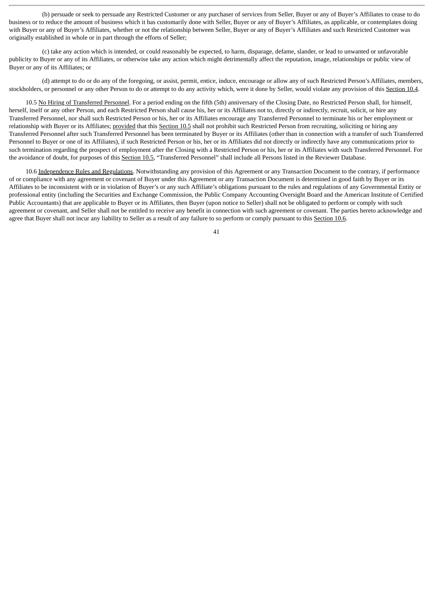(b) persuade or seek to persuade any Restricted Customer or any purchaser of services from Seller, Buyer or any of Buyer's Affiliates to cease to do business or to reduce the amount of business which it has customarily done with Seller, Buyer or any of Buyer's Affiliates, as applicable, or contemplates doing with Buyer or any of Buyer's Affiliates, whether or not the relationship between Seller, Buyer or any of Buyer's Affiliates and such Restricted Customer was originally established in whole or in part through the efforts of Seller;

(c) take any action which is intended, or could reasonably be expected, to harm, disparage, defame, slander, or lead to unwanted or unfavorable publicity to Buyer or any of its Affiliates, or otherwise take any action which might detrimentally affect the reputation, image, relationships or public view of Buyer or any of its Affiliates; or

(d) attempt to do or do any of the foregoing, or assist, permit, entice, induce, encourage or allow any of such Restricted Person's Affiliates, members, stockholders, or personnel or any other Person to do or attempt to do any activity which, were it done by Seller, would violate any provision of this Section 10.4.

10.5 No Hiring of Transferred Personnel. For a period ending on the fifth (5th) anniversary of the Closing Date, no Restricted Person shall, for himself, herself, itself or any other Person, and each Restricted Person shall cause his, her or its Affiliates not to, directly or indirectly, recruit, solicit, or hire any Transferred Personnel, nor shall such Restricted Person or his, her or its Affiliates encourage any Transferred Personnel to terminate his or her employment or relationship with Buyer or its Affiliates; provided that this Section 10.5 shall not prohibit such Restricted Person from recruiting, soliciting or hiring any Transferred Personnel after such Transferred Personnel has been terminated by Buyer or its Affiliates (other than in connection with a transfer of such Transferred Personnel to Buyer or one of its Affiliates), if such Restricted Person or his, her or its Affiliates did not directly or indirectly have any communications prior to such termination regarding the prospect of employment after the Closing with a Restricted Person or his, her or its Affiliates with such Transferred Personnel. For the avoidance of doubt, for purposes of this Section 10.5, "Transferred Personnel" shall include all Persons listed in the Reviewer Database.

10.6 Independence Rules and Regulations. Notwithstanding any provision of this Agreement or any Transaction Document to the contrary, if performance of or compliance with any agreement or covenant of Buyer under this Agreement or any Transaction Document is determined in good faith by Buyer or its Affiliates to be inconsistent with or in violation of Buyer's or any such Affiliate's obligations pursuant to the rules and regulations of any Governmental Entity or professional entity (including the Securities and Exchange Commission, the Public Company Accounting Oversight Board and the American Institute of Certified Public Accountants) that are applicable to Buyer or its Affiliates, then Buyer (upon notice to Seller) shall not be obligated to perform or comply with such agreement or covenant, and Seller shall not be entitled to receive any benefit in connection with such agreement or covenant. The parties hereto acknowledge and agree that Buyer shall not incur any liability to Seller as a result of any failure to so perform or comply pursuant to this Section 10.6.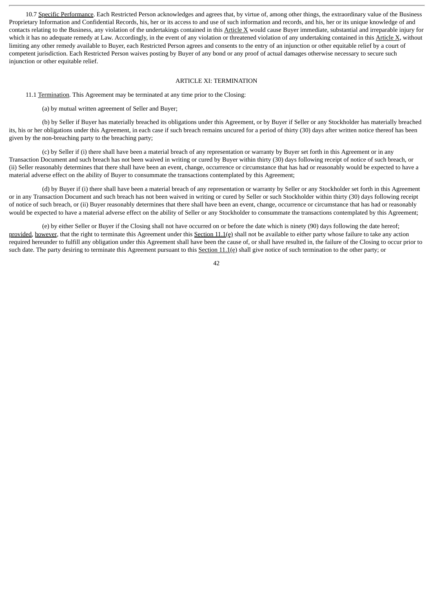10.7 Specific Performance. Each Restricted Person acknowledges and agrees that, by virtue of, among other things, the extraordinary value of the Business Proprietary Information and Confidential Records, his, her or its access to and use of such information and records, and his, her or its unique knowledge of and contacts relating to the Business, any violation of the undertakings contained in this  $Article X$  would cause Buyer immediate, substantial and irreparable injury for which it has no adequate remedy at Law. Accordingly, in the event of any violation or threatened violation of any undertaking contained in this Article X, without limiting any other remedy available to Buyer, each Restricted Person agrees and consents to the entry of an injunction or other equitable relief by a court of competent jurisdiction. Each Restricted Person waives posting by Buyer of any bond or any proof of actual damages otherwise necessary to secure such injunction or other equitable relief.

#### ARTICLE XI: TERMINATION

11.1 Termination. This Agreement may be terminated at any time prior to the Closing:

(a) by mutual written agreement of Seller and Buyer;

(b) by Seller if Buyer has materially breached its obligations under this Agreement, or by Buyer if Seller or any Stockholder has materially breached its, his or her obligations under this Agreement, in each case if such breach remains uncured for a period of thirty (30) days after written notice thereof has been given by the non-breaching party to the breaching party;

(c) by Seller if (i) there shall have been a material breach of any representation or warranty by Buyer set forth in this Agreement or in any Transaction Document and such breach has not been waived in writing or cured by Buyer within thirty (30) days following receipt of notice of such breach, or (ii) Seller reasonably determines that there shall have been an event, change, occurrence or circumstance that has had or reasonably would be expected to have a material adverse effect on the ability of Buyer to consummate the transactions contemplated by this Agreement;

(d) by Buyer if (i) there shall have been a material breach of any representation or warranty by Seller or any Stockholder set forth in this Agreement or in any Transaction Document and such breach has not been waived in writing or cured by Seller or such Stockholder within thirty (30) days following receipt of notice of such breach, or (ii) Buyer reasonably determines that there shall have been an event, change, occurrence or circumstance that has had or reasonably would be expected to have a material adverse effect on the ability of Seller or any Stockholder to consummate the transactions contemplated by this Agreement;

(e) by either Seller or Buyer if the Closing shall not have occurred on or before the date which is ninety (90) days following the date hereof; provided, however, that the right to terminate this Agreement under this Section 11.1(e) shall not be available to either party whose failure to take any action required hereunder to fulfill any obligation under this Agreement shall have been the cause of, or shall have resulted in, the failure of the Closing to occur prior to such date. The party desiring to terminate this Agreement pursuant to this Section 11.1(e) shall give notice of such termination to the other party; or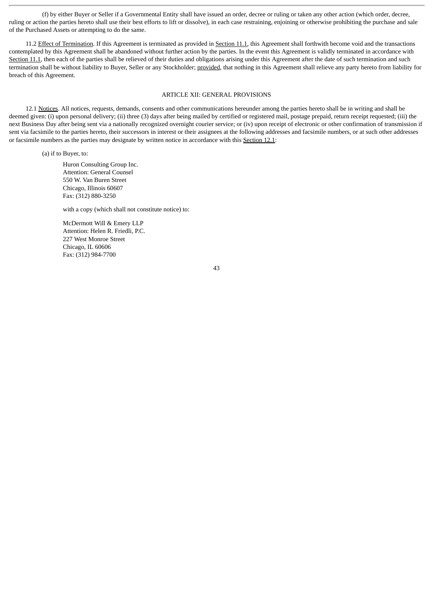(f) by either Buyer or Seller if a Governmental Entity shall have issued an order, decree or ruling or taken any other action (which order, decree, ruling or action the parties hereto shall use their best efforts to lift or dissolve), in each case restraining, enjoining or otherwise prohibiting the purchase and sale of the Purchased Assets or attempting to do the same.

11.2 Effect of Termination. If this Agreement is terminated as provided in Section 11.1, this Agreement shall forthwith become void and the transactions contemplated by this Agreement shall be abandoned without further action by the parties. In the event this Agreement is validly terminated in accordance with Section 11.1, then each of the parties shall be relieved of their duties and obligations arising under this Agreement after the date of such termination and such termination shall be without liability to Buyer, Seller or any Stockholder; provided, that nothing in this Agreement shall relieve any party hereto from liability for breach of this Agreement.

# ARTICLE XII: GENERAL PROVISIONS

12.1 Notices. All notices, requests, demands, consents and other communications hereunder among the parties hereto shall be in writing and shall be deemed given: (i) upon personal delivery; (ii) three (3) days after being mailed by certified or registered mail, postage prepaid, return receipt requested; (iii) the next Business Day after being sent via a nationally recognized overnight courier service; or (iv) upon receipt of electronic or other confirmation of transmission if sent via facsimile to the parties hereto, their successors in interest or their assignees at the following addresses and facsimile numbers, or at such other addresses or facsimile numbers as the parties may designate by written notice in accordance with this Section 12.1:

(a) if to Buyer, to:

Huron Consulting Group Inc. Attention: General Counsel 550 W. Van Buren Street Chicago, Illinois 60607 Fax: (312) 880-3250

with a copy (which shall not constitute notice) to:

McDermott Will & Emery LLP Attention: Helen R. Friedli, P.C. 227 West Monroe Street Chicago, IL 60606 Fax: (312) 984-7700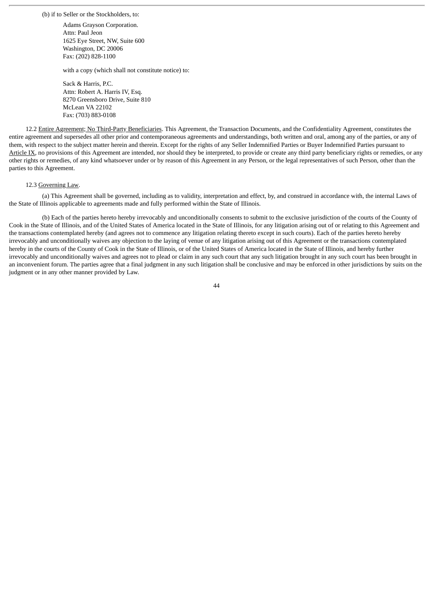(b) if to Seller or the Stockholders, to:

Adams Grayson Corporation. Attn: Paul Jeon 1625 Eye Street, NW, Suite 600 Washington, DC 20006 Fax: (202) 828-1100

with a copy (which shall not constitute notice) to:

Sack & Harris, P.C. Attn: Robert A. Harris IV, Esq. 8270 Greensboro Drive, Suite 810 McLean VA 22102 Fax: (703) 883-0108

12.2 Entire Agreement; No Third-Party Beneficiaries. This Agreement, the Transaction Documents, and the Confidentiality Agreement, constitutes the entire agreement and supersedes all other prior and contemporaneous agreements and understandings, both written and oral, among any of the parties, or any of them, with respect to the subject matter herein and therein. Except for the rights of any Seller Indemnified Parties or Buyer Indemnified Parties pursuant to Article IX, no provisions of this Agreement are intended, nor should they be interpreted, to provide or create any third party beneficiary rights or remedies, or any other rights or remedies, of any kind whatsoever under or by reason of this Agreement in any Person, or the legal representatives of such Person, other than the parties to this Agreement.

#### 12.3 Governing Law.

(a) This Agreement shall be governed, including as to validity, interpretation and effect, by, and construed in accordance with, the internal Laws of the State of Illinois applicable to agreements made and fully performed within the State of Illinois.

(b) Each of the parties hereto hereby irrevocably and unconditionally consents to submit to the exclusive jurisdiction of the courts of the County of Cook in the State of Illinois, and of the United States of America located in the State of Illinois, for any litigation arising out of or relating to this Agreement and the transactions contemplated hereby (and agrees not to commence any litigation relating thereto except in such courts). Each of the parties hereto hereby irrevocably and unconditionally waives any objection to the laying of venue of any litigation arising out of this Agreement or the transactions contemplated hereby in the courts of the County of Cook in the State of Illinois, or of the United States of America located in the State of Illinois, and hereby further irrevocably and unconditionally waives and agrees not to plead or claim in any such court that any such litigation brought in any such court has been brought in an inconvenient forum. The parties agree that a final judgment in any such litigation shall be conclusive and may be enforced in other jurisdictions by suits on the judgment or in any other manner provided by Law.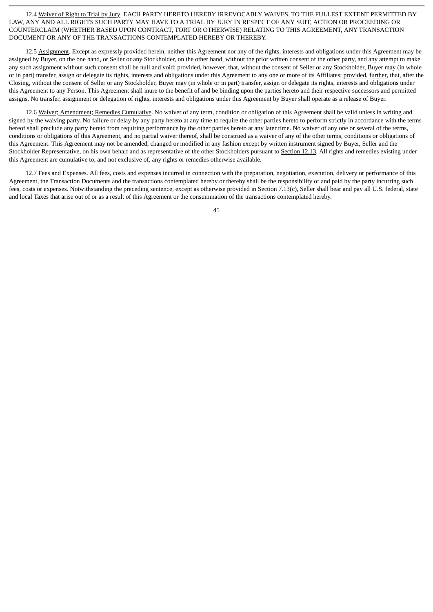12.4 Waiver of Right to Trial by Jury. EACH PARTY HERETO HEREBY IRREVOCABLY WAIVES, TO THE FULLEST EXTENT PERMITTED BY LAW, ANY AND ALL RIGHTS SUCH PARTY MAY HAVE TO A TRIAL BY JURY IN RESPECT OF ANY SUIT, ACTION OR PROCEEDING OR COUNTERCLAIM (WHETHER BASED UPON CONTRACT, TORT OR OTHERWISE) RELATING TO THIS AGREEMENT, ANY TRANSACTION DOCUMENT OR ANY OF THE TRANSACTIONS CONTEMPLATED HEREBY OR THEREBY.

12.5 Assignment. Except as expressly provided herein, neither this Agreement nor any of the rights, interests and obligations under this Agreement may be assigned by Buyer, on the one hand, or Seller or any Stockholder, on the other hand, without the prior written consent of the other party, and any attempt to make any such assignment without such consent shall be null and void; provided, however, that, without the consent of Seller or any Stockholder, Buyer may (in whole or in part) transfer, assign or delegate its rights, interests and obligations under this Agreement to any one or more of its Affiliates; provided, further, that, after the Closing, without the consent of Seller or any Stockholder, Buyer may (in whole or in part) transfer, assign or delegate its rights, interests and obligations under this Agreement to any Person. This Agreement shall inure to the benefit of and be binding upon the parties hereto and their respective successors and permitted assigns. No transfer, assignment or delegation of rights, interests and obligations under this Agreement by Buyer shall operate as a release of Buyer.

12.6 Waiver; Amendment; Remedies Cumulative. No waiver of any term, condition or obligation of this Agreement shall be valid unless in writing and signed by the waiving party. No failure or delay by any party hereto at any time to require the other parties hereto to perform strictly in accordance with the terms hereof shall preclude any party hereto from requiring performance by the other parties hereto at any later time. No waiver of any one or several of the terms, conditions or obligations of this Agreement, and no partial waiver thereof, shall be construed as a waiver of any of the other terms, conditions or obligations of this Agreement. This Agreement may not be amended, changed or modified in any fashion except by written instrument signed by Buyer, Seller and the Stockholder Representative, on his own behalf and as representative of the other Stockholders pursuant to Section 12.13. All rights and remedies existing under this Agreement are cumulative to, and not exclusive of, any rights or remedies otherwise available.

12.7 Fees and Expenses. All fees, costs and expenses incurred in connection with the preparation, negotiation, execution, delivery or performance of this Agreement, the Transaction Documents and the transactions contemplated hereby or thereby shall be the responsibility of and paid by the party incurring such fees, costs or expenses. Notwithstanding the preceding sentence, except as otherwise provided in Section 7.13(c), Seller shall bear and pay all U.S. federal, state and local Taxes that arise out of or as a result of this Agreement or the consummation of the transactions contemplated hereby.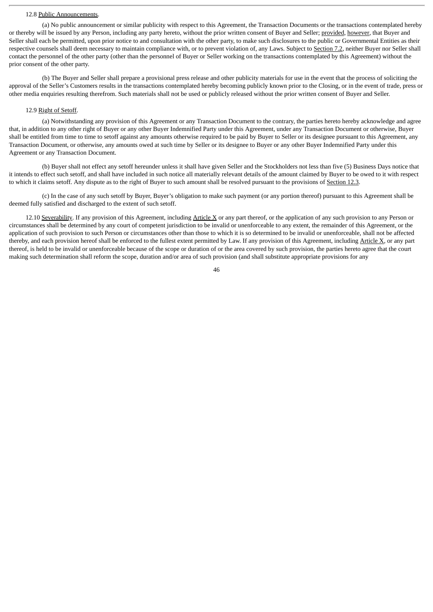#### 12.8 Public Announcements.

(a) No public announcement or similar publicity with respect to this Agreement, the Transaction Documents or the transactions contemplated hereby or thereby will be issued by any Person, including any party hereto, without the prior written consent of Buyer and Seller; provided, however, that Buyer and Seller shall each be permitted, upon prior notice to and consultation with the other party, to make such disclosures to the public or Governmental Entities as their respective counsels shall deem necessary to maintain compliance with, or to prevent violation of, any Laws. Subject to Section 7.2, neither Buyer nor Seller shall contact the personnel of the other party (other than the personnel of Buyer or Seller working on the transactions contemplated by this Agreement) without the prior consent of the other party.

(b) The Buyer and Seller shall prepare a provisional press release and other publicity materials for use in the event that the process of soliciting the approval of the Seller's Customers results in the transactions contemplated hereby becoming publicly known prior to the Closing, or in the event of trade, press or other media enquiries resulting therefrom. Such materials shall not be used or publicly released without the prior written consent of Buyer and Seller.

## 12.9 Right of Setoff.

(a) Notwithstanding any provision of this Agreement or any Transaction Document to the contrary, the parties hereto hereby acknowledge and agree that, in addition to any other right of Buyer or any other Buyer Indemnified Party under this Agreement, under any Transaction Document or otherwise, Buyer shall be entitled from time to time to setoff against any amounts otherwise required to be paid by Buyer to Seller or its designee pursuant to this Agreement, any Transaction Document, or otherwise, any amounts owed at such time by Seller or its designee to Buyer or any other Buyer Indemnified Party under this Agreement or any Transaction Document.

(b) Buyer shall not effect any setoff hereunder unless it shall have given Seller and the Stockholders not less than five (5) Business Days notice that it intends to effect such setoff, and shall have included in such notice all materially relevant details of the amount claimed by Buyer to be owed to it with respect to which it claims setoff. Any dispute as to the right of Buyer to such amount shall be resolved pursuant to the provisions of Section 12.3.

(c) In the case of any such setoff by Buyer, Buyer's obligation to make such payment (or any portion thereof) pursuant to this Agreement shall be deemed fully satisfied and discharged to the extent of such setoff.

12.10 Severability. If any provision of this Agreement, including Article X or any part thereof, or the application of any such provision to any Person or circumstances shall be determined by any court of competent jurisdiction to be invalid or unenforceable to any extent, the remainder of this Agreement, or the application of such provision to such Person or circumstances other than those to which it is so determined to be invalid or unenforceable, shall not be affected thereby, and each provision hereof shall be enforced to the fullest extent permitted by Law. If any provision of this Agreement, including  $\Delta$ rticle X, or any part thereof, is held to be invalid or unenforceable because of the scope or duration of or the area covered by such provision, the parties hereto agree that the court making such determination shall reform the scope, duration and/or area of such provision (and shall substitute appropriate provisions for any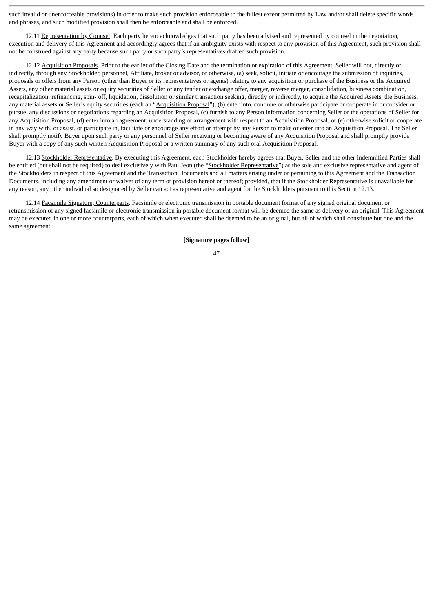such invalid or unenforceable provisions) in order to make such provision enforceable to the fullest extent permitted by Law and/or shall delete specific words and phrases, and such modified provision shall then be enforceable and shall be enforced.

12.11 Representation by Counsel. Each party hereto acknowledges that such party has been advised and represented by counsel in the negotiation, execution and delivery of this Agreement and accordingly agrees that if an ambiguity exists with respect to any provision of this Agreement, such provision shall not be construed against any party because such party or such party's representatives drafted such provision.

12.12 Acquisition Proposals. Prior to the earlier of the Closing Date and the termination or expiration of this Agreement, Seller will not, directly or indirectly, through any Stockholder, personnel, Affiliate, broker or advisor, or otherwise, (a) seek, solicit, initiate or encourage the submission of inquiries, proposals or offers from any Person (other than Buyer or its representatives or agents) relating to any acquisition or purchase of the Business or the Acquired Assets, any other material assets or equity securities of Seller or any tender or exchange offer, merger, reverse merger, consolidation, business combination, recapitalization, refinancing, spin- off, liquidation, dissolution or similar transaction seeking, directly or indirectly, to acquire the Acquired Assets, the Business, any material assets or Seller's equity securities (each an "Acquisition Proposal"), (b) enter into, continue or otherwise participate or cooperate in or consider or pursue, any discussions or negotiations regarding an Acquisition Proposal, (c) furnish to any Person information concerning Seller or the operations of Seller for any Acquisition Proposal, (d) enter into an agreement, understanding or arrangement with respect to an Acquisition Proposal, or (e) otherwise solicit or cooperate in any way with, or assist, or participate in, facilitate or encourage any effort or attempt by any Person to make or enter into an Acquisition Proposal. The Seller shall promptly notify Buyer upon such party or any personnel of Seller receiving or becoming aware of any Acquisition Proposal and shall promptly provide Buyer with a copy of any such written Acquisition Proposal or a written summary of any such oral Acquisition Proposal.

12.13 Stockholder Representative. By executing this Agreement, each Stockholder hereby agrees that Buyer, Seller and the other Indemnified Parties shall be entitled (but shall not be required) to deal exclusively with Paul Jeon (the "Stockholder Representative") as the sole and exclusive representative and agent of the Stockholders in respect of this Agreement and the Transaction Documents and all matters arising under or pertaining to this Agreement and the Transaction Documents, including any amendment or waiver of any term or provision hereof or thereof; provided, that if the Stockholder Representative is unavailable for any reason, any other individual so designated by Seller can act as representative and agent for the Stockholders pursuant to this Section 12.13.

12.14 Facsimile Signature; Counterparts. Facsimile or electronic transmission in portable document format of any signed original document or retransmission of any signed facsimile or electronic transmission in portable document format will be deemed the same as delivery of an original. This Agreement may be executed in one or more counterparts, each of which when executed shall be deemed to be an original, but all of which shall constitute but one and the same agreement.

### **[Signature pages follow]**

<sup>47</sup>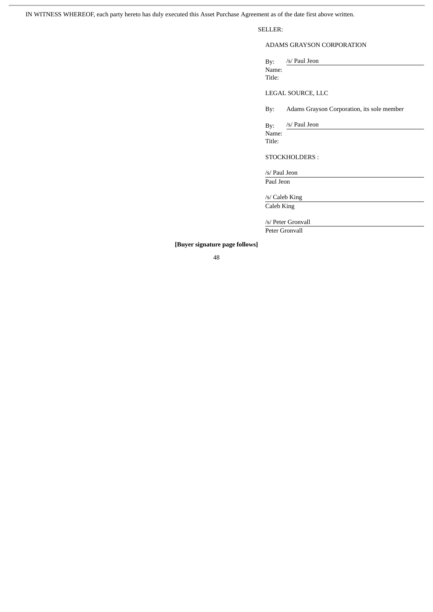IN WITNESS WHEREOF, each party hereto has duly executed this Asset Purchase Agreement as of the date first above written.

SELLER:

ADAMS GRAYSON CORPORATION

By: /s/ Paul Jeon Name: Title:

LEGAL SOURCE, LLC

By: Adams Grayson Corporation, its sole member

By: /s/ Paul Jeon Name: Title:

STOCKHOLDERS :

/s/ Paul Jeon Paul Jeon

/s/ Caleb King

Caleb King

/s/ Peter Gronvall Peter Gronvall

**[Buyer signature page follows]**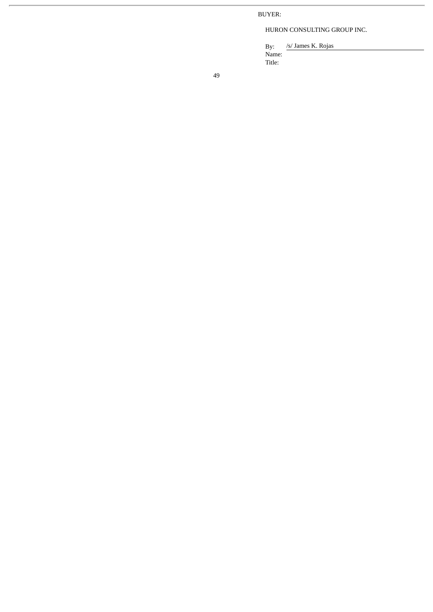BUYER:

HURON CONSULTING GROUP INC.

/s/ James K. Rojas Name: Title: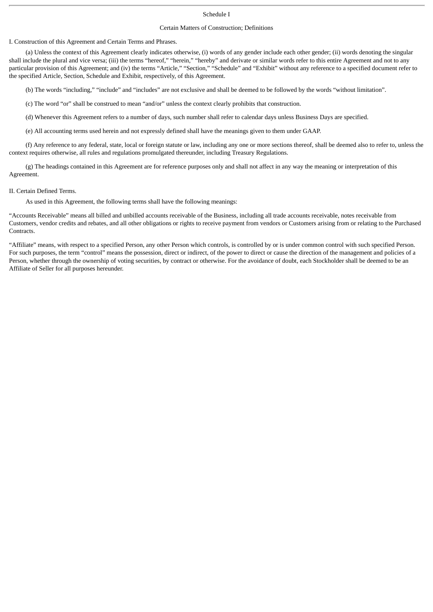## Schedule I

### Certain Matters of Construction; Definitions

I. Construction of this Agreement and Certain Terms and Phrases.

(a) Unless the context of this Agreement clearly indicates otherwise, (i) words of any gender include each other gender; (ii) words denoting the singular shall include the plural and vice versa; (iii) the terms "hereof," "herein," "hereby" and derivate or similar words refer to this entire Agreement and not to any particular provision of this Agreement; and (iv) the terms "Article," "Section," "Schedule" and "Exhibit" without any reference to a specified document refer to the specified Article, Section, Schedule and Exhibit, respectively, of this Agreement.

(b) The words "including," "include" and "includes" are not exclusive and shall be deemed to be followed by the words "without limitation".

(c) The word "or" shall be construed to mean "and/or" unless the context clearly prohibits that construction.

(d) Whenever this Agreement refers to a number of days, such number shall refer to calendar days unless Business Days are specified.

(e) All accounting terms used herein and not expressly defined shall have the meanings given to them under GAAP.

(f) Any reference to any federal, state, local or foreign statute or law, including any one or more sections thereof, shall be deemed also to refer to, unless the context requires otherwise, all rules and regulations promulgated thereunder, including Treasury Regulations.

(g) The headings contained in this Agreement are for reference purposes only and shall not affect in any way the meaning or interpretation of this Agreement.

#### II. Certain Defined Terms.

As used in this Agreement, the following terms shall have the following meanings:

"Accounts Receivable" means all billed and unbilled accounts receivable of the Business, including all trade accounts receivable, notes receivable from Customers, vendor credits and rebates, and all other obligations or rights to receive payment from vendors or Customers arising from or relating to the Purchased **Contracts** 

"Affiliate" means, with respect to a specified Person, any other Person which controls, is controlled by or is under common control with such specified Person. For such purposes, the term "control" means the possession, direct or indirect, of the power to direct or cause the direction of the management and policies of a Person, whether through the ownership of voting securities, by contract or otherwise. For the avoidance of doubt, each Stockholder shall be deemed to be an Affiliate of Seller for all purposes hereunder.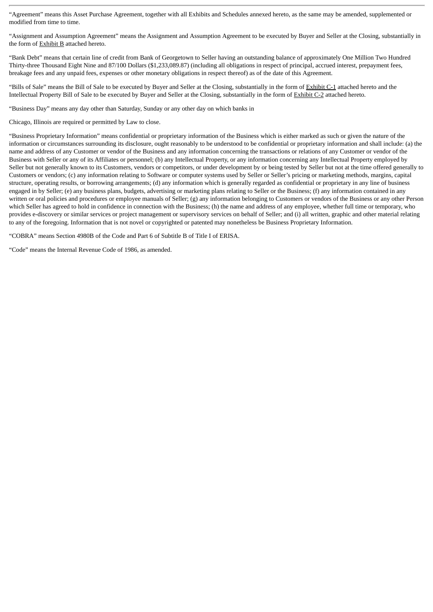"Agreement" means this Asset Purchase Agreement, together with all Exhibits and Schedules annexed hereto, as the same may be amended, supplemented or modified from time to time.

"Assignment and Assumption Agreement" means the Assignment and Assumption Agreement to be executed by Buyer and Seller at the Closing, substantially in the form of **Exhibit B** attached hereto.

"Bank Debt" means that certain line of credit from Bank of Georgetown to Seller having an outstanding balance of approximately One Million Two Hundred Thirty-three Thousand Eight Nine and 87/100 Dollars (\$1,233,089.87) (including all obligations in respect of principal, accrued interest, prepayment fees, breakage fees and any unpaid fees, expenses or other monetary obligations in respect thereof) as of the date of this Agreement.

"Bills of Sale" means the Bill of Sale to be executed by Buyer and Seller at the Closing, substantially in the form of Exhibit C-1 attached hereto and the Intellectual Property Bill of Sale to be executed by Buyer and Seller at the Closing, substantially in the form of Exhibit C-2 attached hereto.

"Business Day" means any day other than Saturday, Sunday or any other day on which banks in

Chicago, Illinois are required or permitted by Law to close.

"Business Proprietary Information" means confidential or proprietary information of the Business which is either marked as such or given the nature of the information or circumstances surrounding its disclosure, ought reasonably to be understood to be confidential or proprietary information and shall include: (a) the name and address of any Customer or vendor of the Business and any information concerning the transactions or relations of any Customer or vendor of the Business with Seller or any of its Affiliates or personnel; (b) any Intellectual Property, or any information concerning any Intellectual Property employed by Seller but not generally known to its Customers, vendors or competitors, or under development by or being tested by Seller but not at the time offered generally to Customers or vendors; (c) any information relating to Software or computer systems used by Seller or Seller's pricing or marketing methods, margins, capital structure, operating results, or borrowing arrangements; (d) any information which is generally regarded as confidential or proprietary in any line of business engaged in by Seller; (e) any business plans, budgets, advertising or marketing plans relating to Seller or the Business; (f) any information contained in any written or oral policies and procedures or employee manuals of Seller; (g) any information belonging to Customers or vendors of the Business or any other Person which Seller has agreed to hold in confidence in connection with the Business; (h) the name and address of any employee, whether full time or temporary, who provides e-discovery or similar services or project management or supervisory services on behalf of Seller; and (i) all written, graphic and other material relating to any of the foregoing. Information that is not novel or copyrighted or patented may nonetheless be Business Proprietary Information.

"COBRA" means Section 4980B of the Code and Part 6 of Subtitle B of Title I of ERISA.

"Code" means the Internal Revenue Code of 1986, as amended.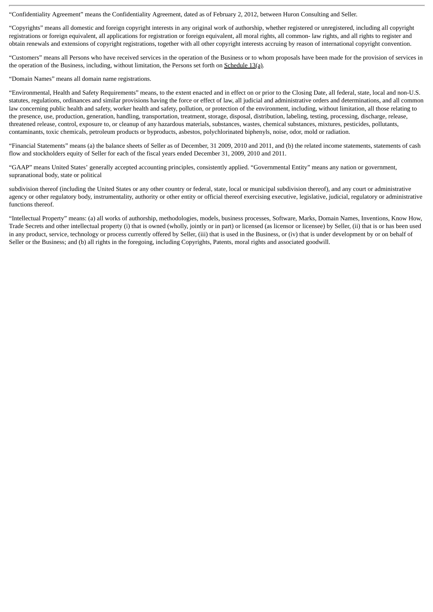"Confidentiality Agreement" means the Confidentiality Agreement, dated as of February 2, 2012, between Huron Consulting and Seller.

"Copyrights" means all domestic and foreign copyright interests in any original work of authorship, whether registered or unregistered, including all copyright registrations or foreign equivalent, all applications for registration or foreign equivalent, all moral rights, all common- law rights, and all rights to register and obtain renewals and extensions of copyright registrations, together with all other copyright interests accruing by reason of international copyright convention.

"Customers" means all Persons who have received services in the operation of the Business or to whom proposals have been made for the provision of services in the operation of the Business, including, without limitation, the Persons set forth on Schedule 13(a).

"Domain Names" means all domain name registrations.

"Environmental, Health and Safety Requirements" means, to the extent enacted and in effect on or prior to the Closing Date, all federal, state, local and non-U.S. statutes, regulations, ordinances and similar provisions having the force or effect of law, all judicial and administrative orders and determinations, and all common law concerning public health and safety, worker health and safety, pollution, or protection of the environment, including, without limitation, all those relating to the presence, use, production, generation, handling, transportation, treatment, storage, disposal, distribution, labeling, testing, processing, discharge, release, threatened release, control, exposure to, or cleanup of any hazardous materials, substances, wastes, chemical substances, mixtures, pesticides, pollutants, contaminants, toxic chemicals, petroleum products or byproducts, asbestos, polychlorinated biphenyls, noise, odor, mold or radiation.

"Financial Statements" means (a) the balance sheets of Seller as of December, 31 2009, 2010 and 2011, and (b) the related income statements, statements of cash flow and stockholders equity of Seller for each of the fiscal years ended December 31, 2009, 2010 and 2011.

"GAAP" means United States' generally accepted accounting principles, consistently applied. "Governmental Entity" means any nation or government, supranational body, state or political

subdivision thereof (including the United States or any other country or federal, state, local or municipal subdivision thereof), and any court or administrative agency or other regulatory body, instrumentality, authority or other entity or official thereof exercising executive, legislative, judicial, regulatory or administrative functions thereof.

"Intellectual Property" means: (a) all works of authorship, methodologies, models, business processes, Software, Marks, Domain Names, Inventions, Know How, Trade Secrets and other intellectual property (i) that is owned (wholly, jointly or in part) or licensed (as licensor or licensee) by Seller, (ii) that is or has been used in any product, service, technology or process currently offered by Seller, (iii) that is used in the Business, or (iv) that is under development by or on behalf of Seller or the Business; and (b) all rights in the foregoing, including Copyrights, Patents, moral rights and associated goodwill.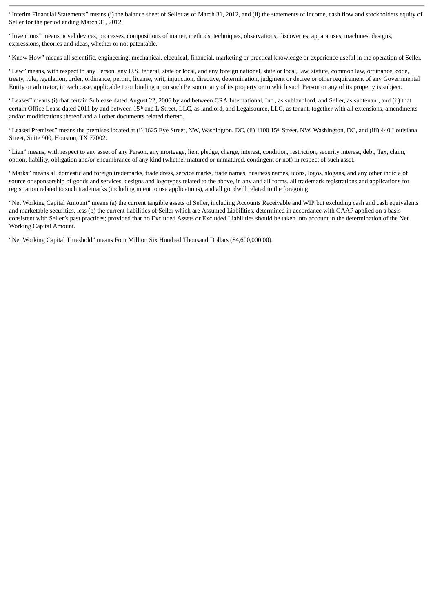"Interim Financial Statements" means (i) the balance sheet of Seller as of March 31, 2012, and (ii) the statements of income, cash flow and stockholders equity of Seller for the period ending March 31, 2012.

"Inventions" means novel devices, processes, compositions of matter, methods, techniques, observations, discoveries, apparatuses, machines, designs, expressions, theories and ideas, whether or not patentable.

"Know How" means all scientific, engineering, mechanical, electrical, financial, marketing or practical knowledge or experience useful in the operation of Seller.

"Law" means, with respect to any Person, any U.S. federal, state or local, and any foreign national, state or local, law, statute, common law, ordinance, code, treaty, rule, regulation, order, ordinance, permit, license, writ, injunction, directive, determination, judgment or decree or other requirement of any Governmental Entity or arbitrator, in each case, applicable to or binding upon such Person or any of its property or to which such Person or any of its property is subject.

"Leases" means (i) that certain Sublease dated August 22, 2006 by and between CRA International, Inc., as sublandlord, and Seller, as subtenant, and (ii) that certain Office Lease dated 2011 by and between 15<sup>th</sup> and L Street, LLC, as landlord, and Legalsource, LLC, as tenant, together with all extensions, amendments and/or modifications thereof and all other documents related thereto.

"Leased Premises" means the premises located at (i) 1625 Eye Street, NW, Washington, DC, (ii) 1100 15<sup>th</sup> Street, NW, Washington, DC, and (iii) 440 Louisiana Street, Suite 900, Houston, TX 77002.

"Lien" means, with respect to any asset of any Person, any mortgage, lien, pledge, charge, interest, condition, restriction, security interest, debt, Tax, claim, option, liability, obligation and/or encumbrance of any kind (whether matured or unmatured, contingent or not) in respect of such asset.

"Marks" means all domestic and foreign trademarks, trade dress, service marks, trade names, business names, icons, logos, slogans, and any other indicia of source or sponsorship of goods and services, designs and logotypes related to the above, in any and all forms, all trademark registrations and applications for registration related to such trademarks (including intent to use applications), and all goodwill related to the foregoing.

"Net Working Capital Amount" means (a) the current tangible assets of Seller, including Accounts Receivable and WIP but excluding cash and cash equivalents and marketable securities, less (b) the current liabilities of Seller which are Assumed Liabilities, determined in accordance with GAAP applied on a basis consistent with Seller's past practices; provided that no Excluded Assets or Excluded Liabilities should be taken into account in the determination of the Net Working Capital Amount.

"Net Working Capital Threshold" means Four Million Six Hundred Thousand Dollars (\$4,600,000.00).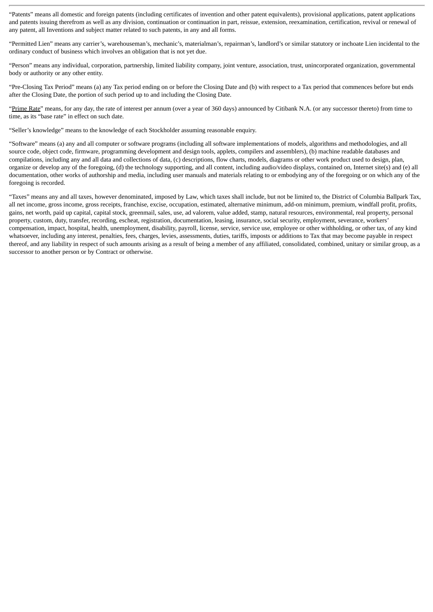"Patents" means all domestic and foreign patents (including certificates of invention and other patent equivalents), provisional applications, patent applications and patents issuing therefrom as well as any division, continuation or continuation in part, reissue, extension, reexamination, certification, revival or renewal of any patent, all Inventions and subject matter related to such patents, in any and all forms.

"Permitted Lien" means any carrier's, warehouseman's, mechanic's, materialman's, repairman's, landlord's or similar statutory or inchoate Lien incidental to the ordinary conduct of business which involves an obligation that is not yet due.

"Person" means any individual, corporation, partnership, limited liability company, joint venture, association, trust, unincorporated organization, governmental body or authority or any other entity.

"Pre-Closing Tax Period" means (a) any Tax period ending on or before the Closing Date and (b) with respect to a Tax period that commences before but ends after the Closing Date, the portion of such period up to and including the Closing Date.

"Prime Rate" means, for any day, the rate of interest per annum (over a year of 360 days) announced by Citibank N.A. (or any successor thereto) from time to time, as its "base rate" in effect on such date.

"Seller's knowledge" means to the knowledge of each Stockholder assuming reasonable enquiry.

"Software" means (a) any and all computer or software programs (including all software implementations of models, algorithms and methodologies, and all source code, object code, firmware, programming development and design tools, applets, compilers and assemblers), (b) machine readable databases and compilations, including any and all data and collections of data, (c) descriptions, flow charts, models, diagrams or other work product used to design, plan, organize or develop any of the foregoing, (d) the technology supporting, and all content, including audio/video displays, contained on, Internet site(s) and (e) all documentation, other works of authorship and media, including user manuals and materials relating to or embodying any of the foregoing or on which any of the foregoing is recorded.

"Taxes" means any and all taxes, however denominated, imposed by Law, which taxes shall include, but not be limited to, the District of Columbia Ballpark Tax, all net income, gross income, gross receipts, franchise, excise, occupation, estimated, alternative minimum, add-on minimum, premium, windfall profit, profits, gains, net worth, paid up capital, capital stock, greenmail, sales, use, ad valorem, value added, stamp, natural resources, environmental, real property, personal property, custom, duty, transfer, recording, escheat, registration, documentation, leasing, insurance, social security, employment, severance, workers' compensation, impact, hospital, health, unemployment, disability, payroll, license, service, service use, employee or other withholding, or other tax, of any kind whatsoever, including any interest, penalties, fees, charges, levies, assessments, duties, tariffs, imposts or additions to Tax that may become payable in respect thereof, and any liability in respect of such amounts arising as a result of being a member of any affiliated, consolidated, combined, unitary or similar group, as a successor to another person or by Contract or otherwise.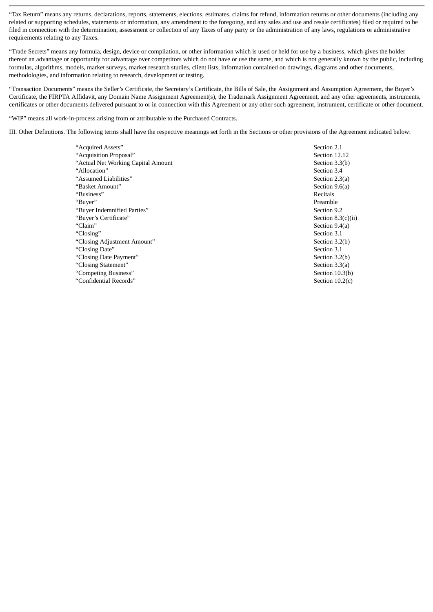"Tax Return" means any returns, declarations, reports, statements, elections, estimates, claims for refund, information returns or other documents (including any related or supporting schedules, statements or information, any amendment to the foregoing, and any sales and use and resale certificates) filed or required to be filed in connection with the determination, assessment or collection of any Taxes of any party or the administration of any laws, regulations or administrative requirements relating to any Taxes.

"Trade Secrets" means any formula, design, device or compilation, or other information which is used or held for use by a business, which gives the holder thereof an advantage or opportunity for advantage over competitors which do not have or use the same, and which is not generally known by the public, including formulas, algorithms, models, market surveys, market research studies, client lists, information contained on drawings, diagrams and other documents, methodologies, and information relating to research, development or testing.

"Transaction Documents" means the Seller's Certificate, the Secretary's Certificate, the Bills of Sale, the Assignment and Assumption Agreement, the Buyer's Certificate, the FIRPTA Affidavit, any Domain Name Assignment Agreement(s), the Trademark Assignment Agreement, and any other agreements, instruments, certificates or other documents delivered pursuant to or in connection with this Agreement or any other such agreement, instrument, certificate or other document.

"WIP" means all work-in-process arising from or attributable to the Purchased Contracts.

III. Other Definitions. The following terms shall have the respective meanings set forth in the Sections or other provisions of the Agreement indicated below:

| "Acquired Assets"                   | Section 2.1          |
|-------------------------------------|----------------------|
| "Acquisition Proposal"              | Section 12.12        |
| "Actual Net Working Capital Amount" | Section 3.3(b)       |
| "Allocation"                        | Section 3.4          |
| "Assumed Liabilities"               | Section 2.3(a)       |
| "Basket Amount"                     | Section 9.6(a)       |
| "Business"                          | Recitals             |
| "Buver"                             | Preamble             |
| "Buver Indemnified Parties"         | Section 9.2          |
| "Buver's Certificate"               | Section $8.3(c)(ii)$ |
| "Claim"                             | Section 9.4(a)       |
| "Closing"                           | Section 3.1          |
| "Closing Adjustment Amount"         | Section 3.2(b)       |
| "Closing Date"                      | Section 3.1          |
| "Closing Date Payment"              | Section 3.2(b)       |
| "Closing Statement"                 | Section 3.3(a)       |
| "Competing Business"                | Section 10.3(b)      |
| "Confidential Records"              | Section $10.2(c)$    |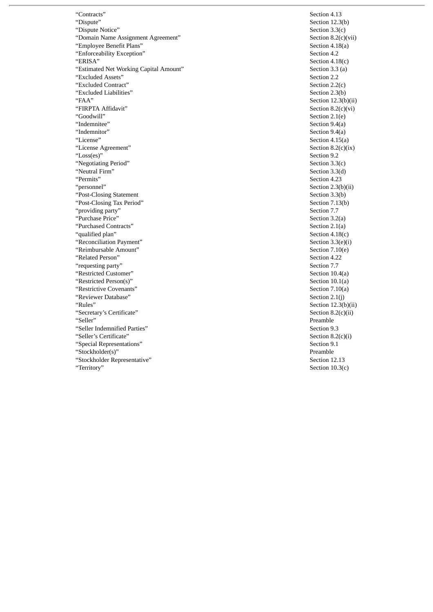"Contracts" Section 4.13 "Dispute" Section 12.3(b) "Dispute Notice" Section 3.3(c) "Domain Name Assignment Agreement" Section 8.2(c)(view Section 8.2(c)(view Section 4.18(a) "Employee Benefit Plans" Section 4.18(a) "Enforceability Exception"<br>"ERISA" "Estimated Net Working Capital Amount" "Excluded Assets" Section 2.2 "Excluded Contract"<br>
"Excluded Liabilities" contract" Section 2.2(c)<br>
Section 2.3(b) "Excluded Liabilities"<br>"FAA" "FIRPTA Affidavit"<br>"Goodwill" "Goodwill" Section 2.1(e)<br>"Indemnitee" Section 9.4(a) "Indemnitee" Section 9.4(a)<br>"Indemnitor" Section 9.4(a) "Indemnitor" Section 9.4(a) "License Agreement" Section 8.2(c)(ix) "Loss(es)" Section 9.2 "Negotiating Period" Section 3.3(c) "Neutral Firm" "Permits" Section 4.23 % "Post-Closing Statement" Post-Closing Tax Period" (Section 3.3(b) Section 3.3(b) Section 7.13(b) "Post-Closing Tax Period" Section 7.1<br>"providing party" Section 7.7 "providing party" "Purchase Price" Section 3.2(a) "Purchased Contracts" "qualified plan" Section 4.18(c) "Reconciliation Payment" Section 3.3(e)(i)<br>"Reimbursable Amount" Section 7.10(e) "Reimbursable Amount" Section 7.10(e) "Related Person" Section 4.22 "requesting party" Section 7.7 "Restricted Customer" Section 10.4(a)<br>"Restricted Person(s)" Section 10.1(a) "Restricted Person(s)" "Restrictive Covenants" Section 7.10(a)<br>"Reviewer Database" Section 2.1(j) "Reviewer Database"<br>"Rules" "Secretary's Certificate" Secretary's Certificate" Secretary's Certificate" Secretary Secretary Secretary of Secretary Secretary Secretary Secretary Secretary Secretary Secretary Secretary Secretary Secretary Secretary Sec "Seller" Preamble "Seller Indemnified Parties" Section 9.3 "Seller's Certificate" "Special Representations" Section 9.1 "Stockholder(s)" Preamble "Stockholder Representative" "Territory" Section 10.3(c)

 $Section 4.18(c)$ <br>Section 3.3 (a)  $Section 12.3(b)(ii)$ <br>Section  $8.2(c)(vi)$  $Section 4.15(a)$ <br>Section  $8.2(c)(ix)$  $Section 2.3(b)(ii)$ Section  $12.3(b)(ii)$ Section  $8.2(c)(i)$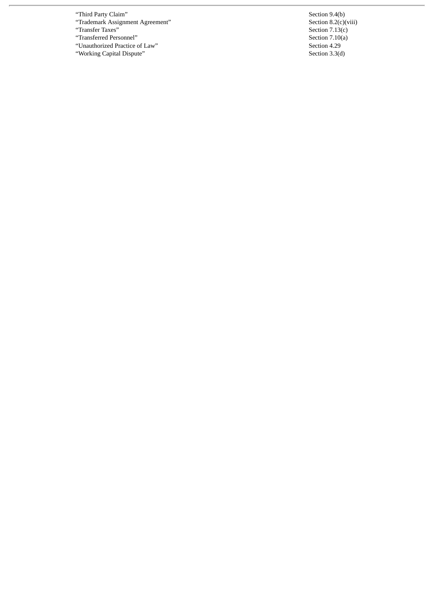- "Third Party Claim" Section 9.4(b)
- "Trademark Assignment Agreement" Section 8.2(c)(viii)

- 
- "Transferred Personnel" Section 7.10(4)<br>"Unauthorized Practice of Law" Section 4.29
- "Working Capital Dispute"

"Transfer Taxes" Section 7.13(c)<br>"Transferred Personnel" Section 7.10(a) "Unauthorized Practice of Law" Section 4.29 Section 4.29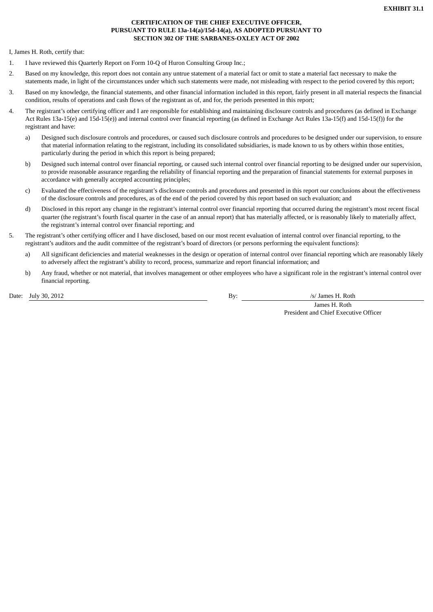# **CERTIFICATION OF THE CHIEF EXECUTIVE OFFICER, PURSUANT TO RULE 13a-14(a)/15d-14(a), AS ADOPTED PURSUANT TO SECTION 302 OF THE SARBANES-OXLEY ACT OF 2002**

I, James H. Roth, certify that:

- 1. I have reviewed this Quarterly Report on Form 10-Q of Huron Consulting Group Inc.;
- 2. Based on my knowledge, this report does not contain any untrue statement of a material fact or omit to state a material fact necessary to make the statements made, in light of the circumstances under which such statements were made, not misleading with respect to the period covered by this report;
- 3. Based on my knowledge, the financial statements, and other financial information included in this report, fairly present in all material respects the financial condition, results of operations and cash flows of the registrant as of, and for, the periods presented in this report;
- 4. The registrant's other certifying officer and I are responsible for establishing and maintaining disclosure controls and procedures (as defined in Exchange Act Rules 13a-15(e) and 15d-15(e)) and internal control over financial reporting (as defined in Exchange Act Rules 13a-15(f) and 15d-15(f)) for the registrant and have:
	- a) Designed such disclosure controls and procedures, or caused such disclosure controls and procedures to be designed under our supervision, to ensure that material information relating to the registrant, including its consolidated subsidiaries, is made known to us by others within those entities, particularly during the period in which this report is being prepared;
	- b) Designed such internal control over financial reporting, or caused such internal control over financial reporting to be designed under our supervision, to provide reasonable assurance regarding the reliability of financial reporting and the preparation of financial statements for external purposes in accordance with generally accepted accounting principles;
	- c) Evaluated the effectiveness of the registrant's disclosure controls and procedures and presented in this report our conclusions about the effectiveness of the disclosure controls and procedures, as of the end of the period covered by this report based on such evaluation; and
	- d) Disclosed in this report any change in the registrant's internal control over financial reporting that occurred during the registrant's most recent fiscal quarter (the registrant's fourth fiscal quarter in the case of an annual report) that has materially affected, or is reasonably likely to materially affect, the registrant's internal control over financial reporting; and
- 5. The registrant's other certifying officer and I have disclosed, based on our most recent evaluation of internal control over financial reporting, to the registrant's auditors and the audit committee of the registrant's board of directors (or persons performing the equivalent functions):
	- a) All significant deficiencies and material weaknesses in the design or operation of internal control over financial reporting which are reasonably likely to adversely affect the registrant's ability to record, process, summarize and report financial information; and
	- b) Any fraud, whether or not material, that involves management or other employees who have a significant role in the registrant's internal control over financial reporting.

Date: July 30, 2012 **By:** *Internal By: By: Internal By: Internal By: Internal By: Internal By: Internal By: Internal By: Internal By: Internal By: Internal By: Internal By: Internal By: Internal* 

James H. Roth President and Chief Executive Officer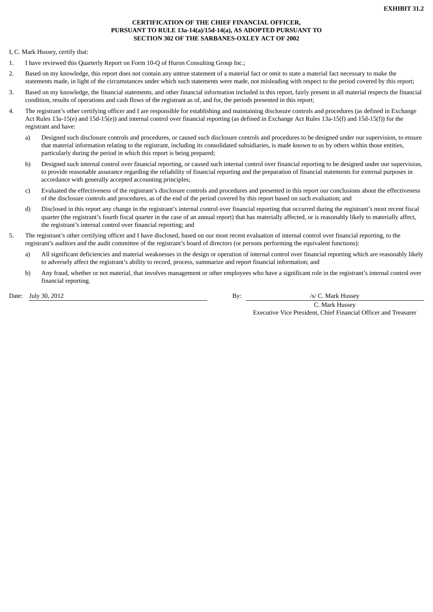# **CERTIFICATION OF THE CHIEF FINANCIAL OFFICER, PURSUANT TO RULE 13a-14(a)/15d-14(a), AS ADOPTED PURSUANT TO SECTION 302 OF THE SARBANES-OXLEY ACT OF 2002**

I, C. Mark Hussey, certify that:

- 1. I have reviewed this Quarterly Report on Form 10-Q of Huron Consulting Group Inc.;
- 2. Based on my knowledge, this report does not contain any untrue statement of a material fact or omit to state a material fact necessary to make the statements made, in light of the circumstances under which such statements were made, not misleading with respect to the period covered by this report;
- 3. Based on my knowledge, the financial statements, and other financial information included in this report, fairly present in all material respects the financial condition, results of operations and cash flows of the registrant as of, and for, the periods presented in this report;
- 4. The registrant's other certifying officer and I are responsible for establishing and maintaining disclosure controls and procedures (as defined in Exchange Act Rules 13a-15(e) and 15d-15(e)) and internal control over financial reporting (as defined in Exchange Act Rules 13a-15(f) and 15d-15(f)) for the registrant and have:
	- a) Designed such disclosure controls and procedures, or caused such disclosure controls and procedures to be designed under our supervision, to ensure that material information relating to the registrant, including its consolidated subsidiaries, is made known to us by others within those entities, particularly during the period in which this report is being prepared;
	- b) Designed such internal control over financial reporting, or caused such internal control over financial reporting to be designed under our supervision, to provide reasonable assurance regarding the reliability of financial reporting and the preparation of financial statements for external purposes in accordance with generally accepted accounting principles;
	- c) Evaluated the effectiveness of the registrant's disclosure controls and procedures and presented in this report our conclusions about the effectiveness of the disclosure controls and procedures, as of the end of the period covered by this report based on such evaluation; and
	- d) Disclosed in this report any change in the registrant's internal control over financial reporting that occurred during the registrant's most recent fiscal quarter (the registrant's fourth fiscal quarter in the case of an annual report) that has materially affected, or is reasonably likely to materially affect, the registrant's internal control over financial reporting; and
- 5. The registrant's other certifying officer and I have disclosed, based on our most recent evaluation of internal control over financial reporting, to the registrant's auditors and the audit committee of the registrant's board of directors (or persons performing the equivalent functions):
	- a) All significant deficiencies and material weaknesses in the design or operation of internal control over financial reporting which are reasonably likely to adversely affect the registrant's ability to record, process, summarize and report financial information; and
	- b) Any fraud, whether or not material, that involves management or other employees who have a significant role in the registrant's internal control over financial reporting.

Date: July 30, 2012 **Date:** July 30, 2012 **By:** *Internal By: By: Internal By: Internal By: Internal By: Internal By: Internal By: Internal By: Internal By: Internal By: Internal By: Internal By: In* 

C. Mark Hussey Executive Vice President, Chief Financial Officer and Treasurer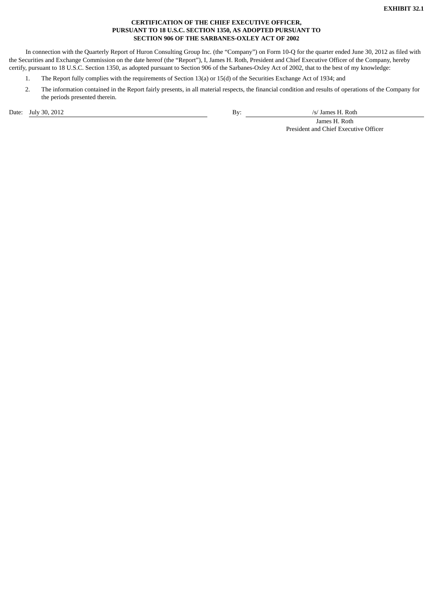# **CERTIFICATION OF THE CHIEF EXECUTIVE OFFICER, PURSUANT TO 18 U.S.C. SECTION 1350, AS ADOPTED PURSUANT TO SECTION 906 OF THE SARBANES-OXLEY ACT OF 2002**

In connection with the Quarterly Report of Huron Consulting Group Inc. (the "Company") on Form 10-Q for the quarter ended June 30, 2012 as filed with the Securities and Exchange Commission on the date hereof (the "Report"), I, James H. Roth, President and Chief Executive Officer of the Company, hereby certify, pursuant to 18 U.S.C. Section 1350, as adopted pursuant to Section 906 of the Sarbanes-Oxley Act of 2002, that to the best of my knowledge:

- 1. The Report fully complies with the requirements of Section 13(a) or 15(d) of the Securities Exchange Act of 1934; and
- 2. The information contained in the Report fairly presents, in all material respects, the financial condition and results of operations of the Company for the periods presented therein.

Date: July 30, 2012 <br>
By: /s/ James H. Roth

James H. Roth President and Chief Executive Officer